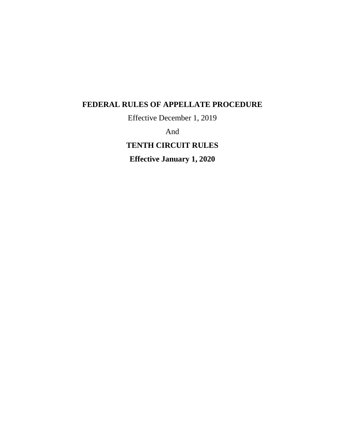### **FEDERAL RULES OF APPELLATE PROCEDURE**

Effective December 1, 2019

And

**TENTH CIRCUIT RULES**

**Effective January 1, 2020**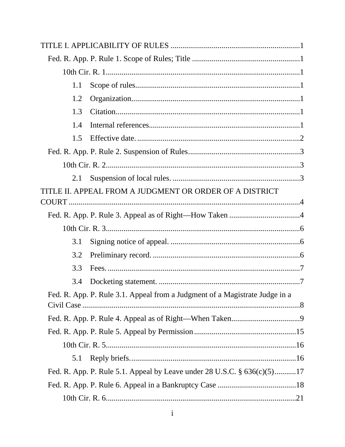| 1.1 |                                                                             |
|-----|-----------------------------------------------------------------------------|
| 1.2 |                                                                             |
| 1.3 |                                                                             |
| 1.4 |                                                                             |
| 1.5 |                                                                             |
|     |                                                                             |
|     |                                                                             |
| 2.1 |                                                                             |
|     | TITLE II. APPEAL FROM A JUDGMENT OR ORDER OF A DISTRICT                     |
|     |                                                                             |
|     |                                                                             |
|     |                                                                             |
| 3.1 |                                                                             |
| 3.2 |                                                                             |
| 3.3 |                                                                             |
| 3.4 |                                                                             |
|     | Fed. R. App. P. Rule 3.1. Appeal from a Judgment of a Magistrate Judge in a |
|     |                                                                             |
|     |                                                                             |
|     |                                                                             |
| 5.1 |                                                                             |
|     | Fed. R. App. P. Rule 5.1. Appeal by Leave under 28 U.S.C. § 636(c)(5)17     |
|     |                                                                             |
|     |                                                                             |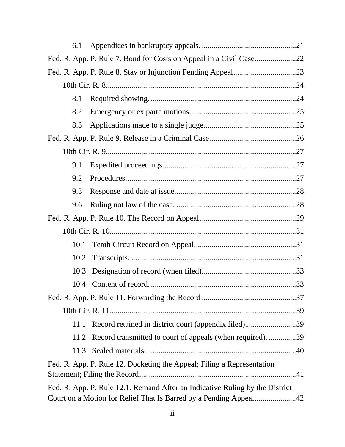| 6.1  |                                                                              |  |
|------|------------------------------------------------------------------------------|--|
|      | Fed. R. App. P. Rule 7. Bond for Costs on Appeal in a Civil Case22           |  |
|      |                                                                              |  |
|      |                                                                              |  |
| 8.1  |                                                                              |  |
| 8.2  |                                                                              |  |
| 8.3  |                                                                              |  |
|      |                                                                              |  |
|      |                                                                              |  |
| 9.1  |                                                                              |  |
| 9.2  |                                                                              |  |
| 9.3  |                                                                              |  |
| 9.6  |                                                                              |  |
|      |                                                                              |  |
|      |                                                                              |  |
| 10.1 |                                                                              |  |
| 10.2 |                                                                              |  |
| 10.3 |                                                                              |  |
| 10.4 |                                                                              |  |
|      |                                                                              |  |
|      |                                                                              |  |
| 11.1 | Record retained in district court (appendix filed)39                         |  |
| 11.2 | Record transmitted to court of appeals (when required). 39                   |  |
|      |                                                                              |  |
|      | Fed. R. App. P. Rule 12. Docketing the Appeal; Filing a Representation       |  |
|      | Fed. R. App. P. Rule 12.1. Remand After an Indicative Ruling by the District |  |
|      | Court on a Motion for Relief That Is Barred by a Pending Appeal42            |  |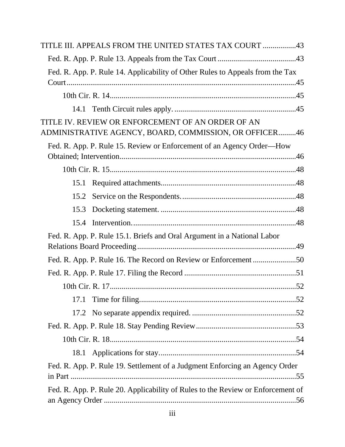| TITLE III. APPEALS FROM THE UNITED STATES TAX COURT 43                                                      |  |
|-------------------------------------------------------------------------------------------------------------|--|
|                                                                                                             |  |
| Fed. R. App. P. Rule 14. Applicability of Other Rules to Appeals from the Tax                               |  |
|                                                                                                             |  |
|                                                                                                             |  |
|                                                                                                             |  |
| TITLE IV. REVIEW OR ENFORCEMENT OF AN ORDER OF AN<br>ADMINISTRATIVE AGENCY, BOARD, COMMISSION, OR OFFICER46 |  |
| Fed. R. App. P. Rule 15. Review or Enforcement of an Agency Order—How                                       |  |
|                                                                                                             |  |
| 15.1                                                                                                        |  |
|                                                                                                             |  |
| 15.3                                                                                                        |  |
| 15.4                                                                                                        |  |
| Fed. R. App. P. Rule 15.1. Briefs and Oral Argument in a National Labor                                     |  |
| Fed. R. App. P. Rule 16. The Record on Review or Enforcement 50                                             |  |
|                                                                                                             |  |
|                                                                                                             |  |
| 17.1                                                                                                        |  |
|                                                                                                             |  |
|                                                                                                             |  |
|                                                                                                             |  |
|                                                                                                             |  |
| Fed. R. App. P. Rule 19. Settlement of a Judgment Enforcing an Agency Order                                 |  |
| Fed. R. App. P. Rule 20. Applicability of Rules to the Review or Enforcement of                             |  |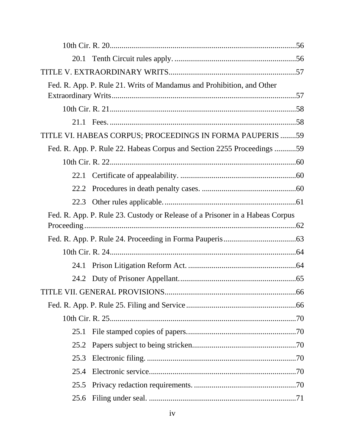|      | Fed. R. App. P. Rule 21. Writs of Mandamus and Prohibition, and Other        |  |  |
|------|------------------------------------------------------------------------------|--|--|
|      |                                                                              |  |  |
|      |                                                                              |  |  |
|      |                                                                              |  |  |
|      | TITLE VI. HABEAS CORPUS; PROCEEDINGS IN FORMA PAUPERIS 59                    |  |  |
|      | Fed. R. App. P. Rule 22. Habeas Corpus and Section 2255 Proceedings 59       |  |  |
|      |                                                                              |  |  |
|      |                                                                              |  |  |
|      |                                                                              |  |  |
|      |                                                                              |  |  |
|      | Fed. R. App. P. Rule 23. Custody or Release of a Prisoner in a Habeas Corpus |  |  |
|      |                                                                              |  |  |
|      |                                                                              |  |  |
|      |                                                                              |  |  |
|      |                                                                              |  |  |
|      |                                                                              |  |  |
| 66   |                                                                              |  |  |
|      |                                                                              |  |  |
|      |                                                                              |  |  |
| 25.1 |                                                                              |  |  |
|      |                                                                              |  |  |
| 25.3 |                                                                              |  |  |
| 25.4 |                                                                              |  |  |
| 25.5 |                                                                              |  |  |
| 25.6 |                                                                              |  |  |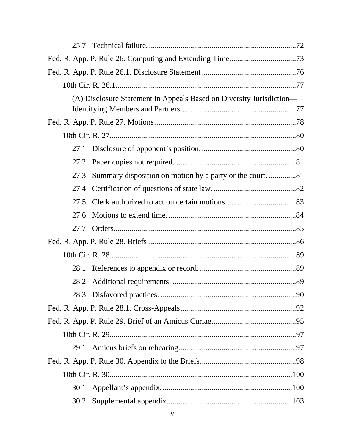|      | (A) Disclosure Statement in Appeals Based on Diversity Jurisdiction— |  |
|------|----------------------------------------------------------------------|--|
|      |                                                                      |  |
|      |                                                                      |  |
|      |                                                                      |  |
| 27.1 |                                                                      |  |
| 27.2 |                                                                      |  |
| 27.3 | Summary disposition on motion by a party or the court81              |  |
| 27.4 |                                                                      |  |
| 27.5 |                                                                      |  |
| 27.6 |                                                                      |  |
| 27.7 |                                                                      |  |
|      |                                                                      |  |
|      |                                                                      |  |
|      |                                                                      |  |
|      |                                                                      |  |
|      |                                                                      |  |
|      |                                                                      |  |
|      |                                                                      |  |
|      |                                                                      |  |
|      |                                                                      |  |
|      |                                                                      |  |
|      |                                                                      |  |
|      |                                                                      |  |
|      |                                                                      |  |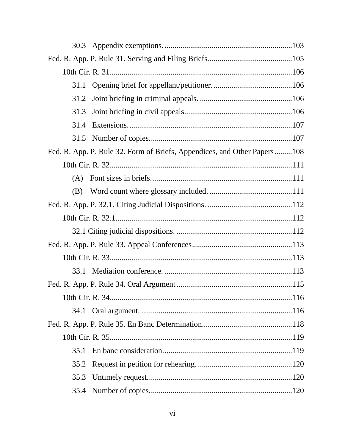| 31.1 |                                                                          |  |
|------|--------------------------------------------------------------------------|--|
| 31.2 |                                                                          |  |
| 31.3 |                                                                          |  |
| 31.4 |                                                                          |  |
|      |                                                                          |  |
|      | Fed. R. App. P. Rule 32. Form of Briefs, Appendices, and Other Papers108 |  |
|      |                                                                          |  |
| (A)  |                                                                          |  |
| (B)  |                                                                          |  |
|      |                                                                          |  |
|      |                                                                          |  |
|      |                                                                          |  |
|      |                                                                          |  |
|      |                                                                          |  |
| 33.1 |                                                                          |  |
|      |                                                                          |  |
|      |                                                                          |  |
| 34.1 |                                                                          |  |
|      |                                                                          |  |
|      |                                                                          |  |
| 35.1 |                                                                          |  |
| 35.2 |                                                                          |  |
| 35.3 |                                                                          |  |
| 35.4 |                                                                          |  |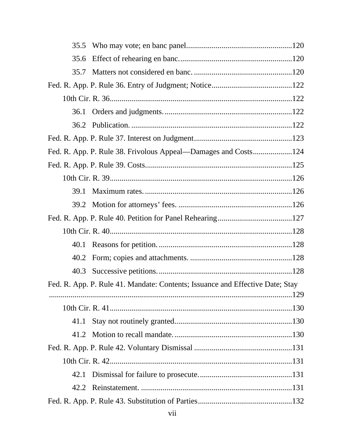| 35.6 |                                                                               |  |  |
|------|-------------------------------------------------------------------------------|--|--|
|      |                                                                               |  |  |
|      |                                                                               |  |  |
|      |                                                                               |  |  |
| 36.1 |                                                                               |  |  |
|      |                                                                               |  |  |
|      |                                                                               |  |  |
|      | Fed. R. App. P. Rule 38. Frivolous Appeal—Damages and Costs124                |  |  |
|      |                                                                               |  |  |
|      |                                                                               |  |  |
| 39.1 |                                                                               |  |  |
|      |                                                                               |  |  |
|      |                                                                               |  |  |
|      |                                                                               |  |  |
| 40.1 |                                                                               |  |  |
|      |                                                                               |  |  |
|      |                                                                               |  |  |
|      | Fed. R. App. P. Rule 41. Mandate: Contents; Issuance and Effective Date; Stay |  |  |
|      |                                                                               |  |  |
|      |                                                                               |  |  |
| 41.1 |                                                                               |  |  |
|      |                                                                               |  |  |
|      |                                                                               |  |  |
|      |                                                                               |  |  |
|      |                                                                               |  |  |
|      |                                                                               |  |  |
|      |                                                                               |  |  |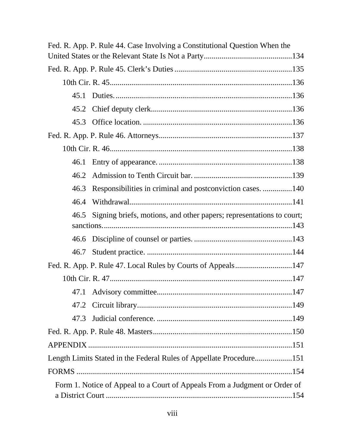|      | Fed. R. App. P. Rule 44. Case Involving a Constitutional Question When the |  |
|------|----------------------------------------------------------------------------|--|
|      |                                                                            |  |
|      |                                                                            |  |
|      |                                                                            |  |
| 45.1 |                                                                            |  |
|      |                                                                            |  |
| 45.3 |                                                                            |  |
|      |                                                                            |  |
|      |                                                                            |  |
|      |                                                                            |  |
| 46.2 |                                                                            |  |
| 46.3 | Responsibilities in criminal and postconviction cases. 140                 |  |
| 46.4 |                                                                            |  |
|      | 46.5 Signing briefs, motions, and other papers; representations to court;  |  |
|      |                                                                            |  |
|      |                                                                            |  |
| 46.7 |                                                                            |  |
|      | Fed. R. App. P. Rule 47. Local Rules by Courts of Appeals147               |  |
|      |                                                                            |  |
|      |                                                                            |  |
|      |                                                                            |  |
| 47.3 |                                                                            |  |
|      |                                                                            |  |
|      |                                                                            |  |
|      | Length Limits Stated in the Federal Rules of Appellate Procedure151        |  |
|      |                                                                            |  |
|      | Form 1. Notice of Appeal to a Court of Appeals From a Judgment or Order of |  |
|      |                                                                            |  |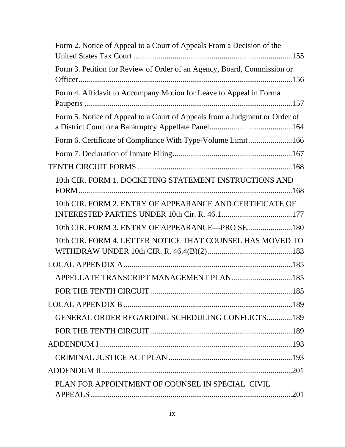| Form 2. Notice of Appeal to a Court of Appeals From a Decision of the      |
|----------------------------------------------------------------------------|
| Form 3. Petition for Review of Order of an Agency, Board, Commission or    |
| Form 4. Affidavit to Accompany Motion for Leave to Appeal in Forma         |
| Form 5. Notice of Appeal to a Court of Appeals from a Judgment or Order of |
| Form 6. Certificate of Compliance With Type-Volume Limit 166               |
|                                                                            |
|                                                                            |
| 10th CIR. FORM 1. DOCKETING STATEMENT INSTRUCTIONS AND                     |
| 10th CIR. FORM 2. ENTRY OF APPEARANCE AND CERTIFICATE OF                   |
| 10th CIR. FORM 3. ENTRY OF APPEARANCE—PRO SE180                            |
| 10th CIR. FORM 4. LETTER NOTICE THAT COUNSEL HAS MOVED TO                  |
|                                                                            |
| APPELLATE TRANSCRIPT MANAGEMENT PLAN185                                    |
|                                                                            |
|                                                                            |
| GENERAL ORDER REGARDING SCHEDULING CONFLICTS189                            |
|                                                                            |
|                                                                            |
|                                                                            |
|                                                                            |
| PLAN FOR APPOINTMENT OF COUNSEL IN SPECIAL CIVIL                           |
|                                                                            |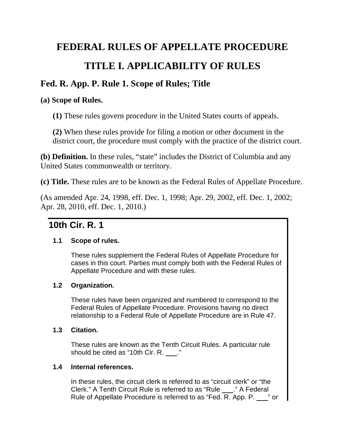# **FEDERAL RULES OF APPELLATE PROCEDURE TITLE I. APPLICABILITY OF RULES**

## <span id="page-11-1"></span><span id="page-11-0"></span>**Fed. R. App. P. Rule 1. Scope of Rules; Title**

#### **(a) Scope of Rules.**

**(1)** These rules govern procedure in the United States courts of appeals.

**(2)** When these rules provide for filing a motion or other document in the district court, the procedure must comply with the practice of the district court.

**(b) Definition.** In these rules, "state" includes the District of Columbia and any United States commonwealth or territory.

**(c) Title.** These rules are to be known as the Federal Rules of Appellate Procedure.

(As amended Apr. 24, 1998, eff. Dec. 1, 1998; Apr. 29, 2002, eff. Dec. 1, 2002; Apr. 28, 2010, eff. Dec. 1, 2010.)

### <span id="page-11-2"></span>**10th Cir. R. 1**

#### <span id="page-11-3"></span>**1.1 Scope of rules.**

These rules supplement the Federal Rules of Appellate Procedure for cases in this court. Parties must comply both with the Federal Rules of Appellate Procedure and with these rules.

#### <span id="page-11-4"></span>**1.2 Organization.**

These rules have been organized and numbered to correspond to the Federal Rules of Appellate Procedure. Provisions having no direct relationship to a Federal Rule of Appellate Procedure are in Rule 47.

#### <span id="page-11-5"></span>**1.3 Citation.**

These rules are known as the Tenth Circuit Rules. A particular rule should be cited as "10th Cir. R. \_\_\_."

#### <span id="page-11-6"></span>**1.4 Internal references.**

In these rules, the circuit clerk is referred to as "circuit clerk" or "the Clerk." A Tenth Circuit Rule is referred to as "Rule \_\_\_." A Federal Rule of Appellate Procedure is referred to as "Fed. R. App. P. \_\_\_" or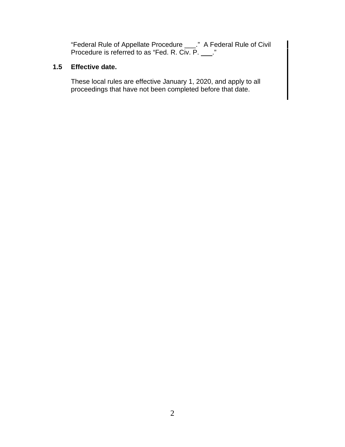"Federal Rule of Appellate Procedure \_\_\_." A Federal Rule of Civil Procedure is referred to as "Fed. R. Civ. P. \_\_\_."

#### <span id="page-12-0"></span>**1.5 Effective date.**

These local rules are effective January 1, 2020, and apply to all proceedings that have not been completed before that date.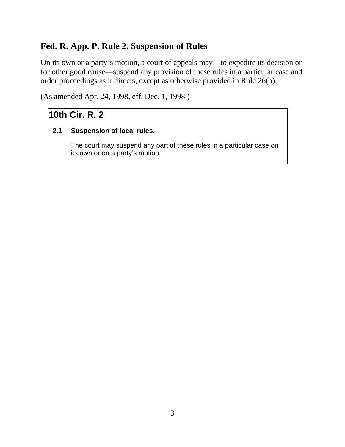# <span id="page-13-0"></span>**Fed. R. App. P. Rule 2. Suspension of Rules**

On its own or a party's motion, a court of appeals may—to expedite its decision or for other good cause—suspend any provision of these rules in a particular case and order proceedings as it directs, except as otherwise provided in Rule 26(b).

(As amended Apr. 24, 1998, eff. Dec. 1, 1998.)

# <span id="page-13-1"></span>**10th Cir. R. 2**

#### <span id="page-13-2"></span>**2.1 Suspension of local rules.**

The court may suspend any part of these rules in a particular case on its own or on a party's motion.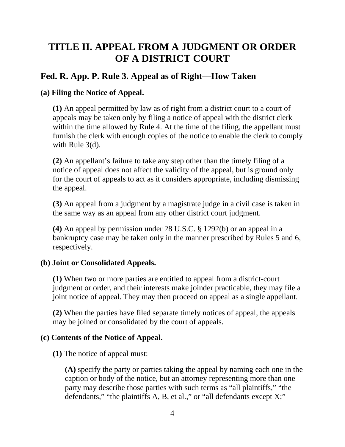# <span id="page-14-0"></span>**TITLE II. APPEAL FROM A JUDGMENT OR ORDER OF A DISTRICT COURT**

## <span id="page-14-1"></span>**Fed. R. App. P. Rule 3. Appeal as of Right—How Taken**

### **(a) Filing the Notice of Appeal.**

**(1)** An appeal permitted by law as of right from a district court to a court of appeals may be taken only by filing a notice of appeal with the district clerk within the time allowed by Rule 4. At the time of the filing, the appellant must furnish the clerk with enough copies of the notice to enable the clerk to comply with Rule 3(d).

**(2)** An appellant's failure to take any step other than the timely filing of a notice of appeal does not affect the validity of the appeal, but is ground only for the court of appeals to act as it considers appropriate, including dismissing the appeal.

**(3)** An appeal from a judgment by a magistrate judge in a civil case is taken in the same way as an appeal from any other district court judgment.

**(4)** An appeal by permission under 28 U.S.C. § 1292(b) or an appeal in a bankruptcy case may be taken only in the manner prescribed by Rules 5 and 6, respectively.

### **(b) Joint or Consolidated Appeals.**

**(1)** When two or more parties are entitled to appeal from a district-court judgment or order, and their interests make joinder practicable, they may file a joint notice of appeal. They may then proceed on appeal as a single appellant.

**(2)** When the parties have filed separate timely notices of appeal, the appeals may be joined or consolidated by the court of appeals.

### **(c) Contents of the Notice of Appeal.**

**(1)** The notice of appeal must:

**(A)** specify the party or parties taking the appeal by naming each one in the caption or body of the notice, but an attorney representing more than one party may describe those parties with such terms as "all plaintiffs," "the defendants," "the plaintiffs A, B, et al.," or "all defendants except X;"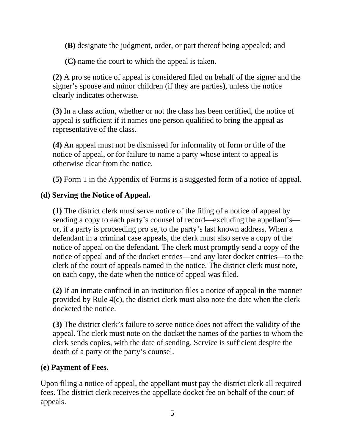**(B)** designate the judgment, order, or part thereof being appealed; and

**(C)** name the court to which the appeal is taken.

**(2)** A pro se notice of appeal is considered filed on behalf of the signer and the signer's spouse and minor children (if they are parties), unless the notice clearly indicates otherwise.

**(3)** In a class action, whether or not the class has been certified, the notice of appeal is sufficient if it names one person qualified to bring the appeal as representative of the class.

**(4)** An appeal must not be dismissed for informality of form or title of the notice of appeal, or for failure to name a party whose intent to appeal is otherwise clear from the notice.

**(5)** Form 1 in the Appendix of Forms is a suggested form of a notice of appeal.

### **(d) Serving the Notice of Appeal.**

**(1)** The district clerk must serve notice of the filing of a notice of appeal by sending a copy to each party's counsel of record—excluding the appellant's or, if a party is proceeding pro se, to the party's last known address. When a defendant in a criminal case appeals, the clerk must also serve a copy of the notice of appeal on the defendant. The clerk must promptly send a copy of the notice of appeal and of the docket entries—and any later docket entries—to the clerk of the court of appeals named in the notice. The district clerk must note, on each copy, the date when the notice of appeal was filed.

**(2)** If an inmate confined in an institution files a notice of appeal in the manner provided by Rule 4(c), the district clerk must also note the date when the clerk docketed the notice.

**(3)** The district clerk's failure to serve notice does not affect the validity of the appeal. The clerk must note on the docket the names of the parties to whom the clerk sends copies, with the date of sending. Service is sufficient despite the death of a party or the party's counsel.

### **(e) Payment of Fees.**

Upon filing a notice of appeal, the appellant must pay the district clerk all required fees. The district clerk receives the appellate docket fee on behalf of the court of appeals.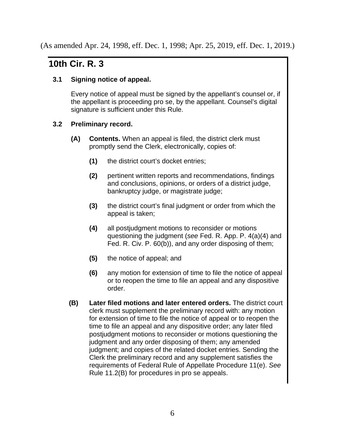(As amended Apr. 24, 1998, eff. Dec. 1, 1998; Apr. 25, 2019, eff. Dec. 1, 2019.)

# <span id="page-16-0"></span>**10th Cir. R. 3**

#### <span id="page-16-1"></span>**3.1 Signing notice of appeal.**

Every notice of appeal must be signed by the appellant's counsel or, if the appellant is proceeding pro se, by the appellant. Counsel's digital signature is sufficient under this Rule.

#### <span id="page-16-2"></span>**3.2 Preliminary record.**

- **(A) Contents.** When an appeal is filed, the district clerk must promptly send the Clerk, electronically, copies of:
	- **(1)** the district court's docket entries;
	- **(2)** pertinent written reports and recommendations, findings and conclusions, opinions, or orders of a district judge, bankruptcy judge, or magistrate judge;
	- **(3)** the district court's final judgment or order from which the appeal is taken;
	- **(4)** all postjudgment motions to reconsider or motions questioning the judgment (*see* Fed. R. App. P. 4(a)(4) and Fed. R. Civ. P. 60(b)), and any order disposing of them;
	- **(5)** the notice of appeal; and
	- **(6)** any motion for extension of time to file the notice of appeal or to reopen the time to file an appeal and any dispositive order.
- **(B) Later filed motions and later entered orders.** The district court clerk must supplement the preliminary record with: any motion for extension of time to file the notice of appeal or to reopen the time to file an appeal and any dispositive order; any later filed postjudgment motions to reconsider or motions questioning the judgment and any order disposing of them; any amended judgment; and copies of the related docket entries. Sending the Clerk the preliminary record and any supplement satisfies the requirements of Federal Rule of Appellate Procedure 11(e). *See* Rule 11.2(B) for procedures in pro se appeals.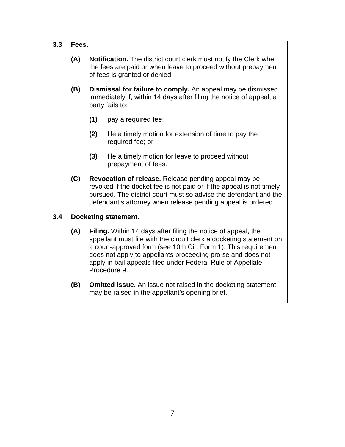- <span id="page-17-0"></span>**3.3 Fees.**
	- **(A) Notification.** The district court clerk must notify the Clerk when the fees are paid or when leave to proceed without prepayment of fees is granted or denied.
	- **(B) Dismissal for failure to comply.** An appeal may be dismissed immediately if, within 14 days after filing the notice of appeal, a party fails to:
		- **(1)** pay a required fee;
		- **(2)** file a timely motion for extension of time to pay the required fee; or
		- **(3)** file a timely motion for leave to proceed without prepayment of fees.
	- **(C) Revocation of release.** Release pending appeal may be revoked if the docket fee is not paid or if the appeal is not timely pursued. The district court must so advise the defendant and the defendant's attorney when release pending appeal is ordered.

#### <span id="page-17-1"></span>**3.4 Docketing statement.**

- **(A) Filing.** Within 14 days after filing the notice of appeal, the appellant must file with the circuit clerk a docketing statement on a court-approved form (*see* 10th Cir. Form 1). This requirement does not apply to appellants proceeding pro se and does not apply in bail appeals filed under Federal Rule of Appellate Procedure 9.
- **(B) Omitted issue.** An issue not raised in the docketing statement may be raised in the appellant's opening brief.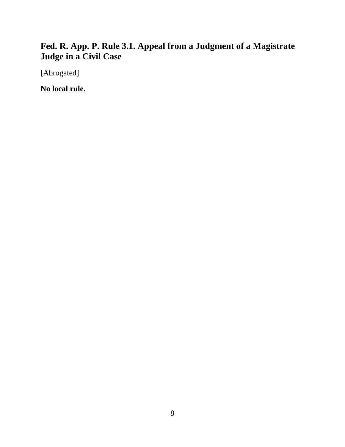# <span id="page-18-0"></span>**Fed. R. App. P. Rule 3.1. Appeal from a Judgment of a Magistrate Judge in a Civil Case**

[Abrogated]

**No local rule.**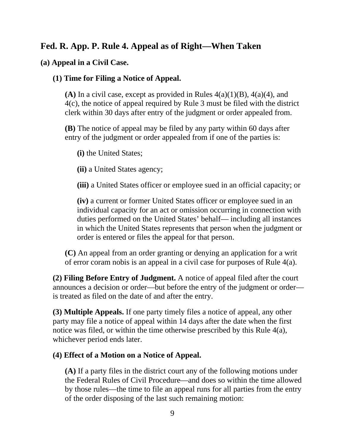# <span id="page-19-0"></span>**Fed. R. App. P. Rule 4. Appeal as of Right—When Taken**

### **(a) Appeal in a Civil Case.**

#### **(1) Time for Filing a Notice of Appeal.**

**(A)** In a civil case, except as provided in Rules  $4(a)(1)(B)$ ,  $4(a)(4)$ , and 4(c), the notice of appeal required by Rule 3 must be filed with the district clerk within 30 days after entry of the judgment or order appealed from.

**(B)** The notice of appeal may be filed by any party within 60 days after entry of the judgment or order appealed from if one of the parties is:

**(i)** the United States;

**(ii)** a United States agency;

**(iii)** a United States officer or employee sued in an official capacity; or

**(iv)** a current or former United States officer or employee sued in an individual capacity for an act or omission occurring in connection with duties performed on the United States' behalf— including all instances in which the United States represents that person when the judgment or order is entered or files the appeal for that person.

**(C)** An appeal from an order granting or denying an application for a writ of error coram nobis is an appeal in a civil case for purposes of Rule 4(a).

**(2) Filing Before Entry of Judgment.** A notice of appeal filed after the court announces a decision or order—but before the entry of the judgment or order is treated as filed on the date of and after the entry.

**(3) Multiple Appeals.** If one party timely files a notice of appeal, any other party may file a notice of appeal within 14 days after the date when the first notice was filed, or within the time otherwise prescribed by this Rule 4(a), whichever period ends later.

### **(4) Effect of a Motion on a Notice of Appeal.**

**(A)** If a party files in the district court any of the following motions under the Federal Rules of Civil Procedure—and does so within the time allowed by those rules—the time to file an appeal runs for all parties from the entry of the order disposing of the last such remaining motion: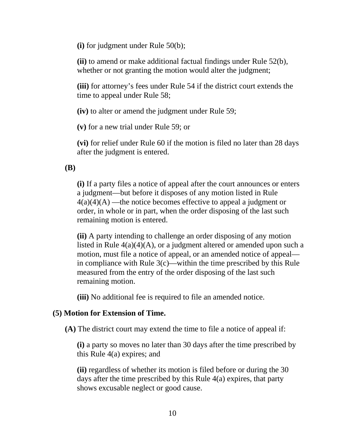**(i)** for judgment under Rule 50(b);

**(ii)** to amend or make additional factual findings under Rule 52(b), whether or not granting the motion would alter the judgment;

**(iii)** for attorney's fees under Rule 54 if the district court extends the time to appeal under Rule 58;

**(iv)** to alter or amend the judgment under Rule 59;

**(v)** for a new trial under Rule 59; or

**(vi)** for relief under Rule 60 if the motion is filed no later than 28 days after the judgment is entered.

**(B)**

**(i)** If a party files a notice of appeal after the court announces or enters a judgment—but before it disposes of any motion listed in Rule  $4(a)(4)(A)$ —the notice becomes effective to appeal a judgment or order, in whole or in part, when the order disposing of the last such remaining motion is entered.

**(ii)** A party intending to challenge an order disposing of any motion listed in Rule 4(a)(4)(A), or a judgment altered or amended upon such a motion, must file a notice of appeal, or an amended notice of appeal in compliance with Rule  $3(c)$ —within the time prescribed by this Rule measured from the entry of the order disposing of the last such remaining motion.

**(iii)** No additional fee is required to file an amended notice.

#### **(5) Motion for Extension of Time.**

**(A)** The district court may extend the time to file a notice of appeal if:

**(i)** a party so moves no later than 30 days after the time prescribed by this Rule 4(a) expires; and

**(ii)** regardless of whether its motion is filed before or during the 30 days after the time prescribed by this Rule 4(a) expires, that party shows excusable neglect or good cause.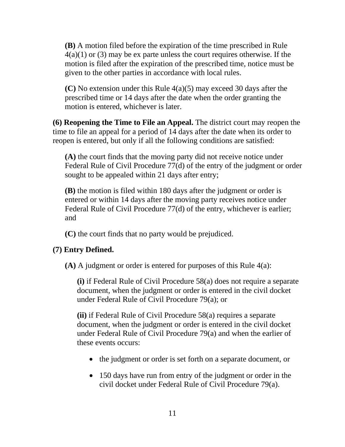**(B)** A motion filed before the expiration of the time prescribed in Rule  $4(a)(1)$  or (3) may be ex parte unless the court requires otherwise. If the motion is filed after the expiration of the prescribed time, notice must be given to the other parties in accordance with local rules.

**(C)** No extension under this Rule 4(a)(5) may exceed 30 days after the prescribed time or 14 days after the date when the order granting the motion is entered, whichever is later.

**(6) Reopening the Time to File an Appeal.** The district court may reopen the time to file an appeal for a period of 14 days after the date when its order to reopen is entered, but only if all the following conditions are satisfied:

**(A)** the court finds that the moving party did not receive notice under Federal Rule of Civil Procedure 77(d) of the entry of the judgment or order sought to be appealed within 21 days after entry;

**(B)** the motion is filed within 180 days after the judgment or order is entered or within 14 days after the moving party receives notice under Federal Rule of Civil Procedure 77(d) of the entry, whichever is earlier; and

**(C)** the court finds that no party would be prejudiced.

### **(7) Entry Defined.**

**(A)** A judgment or order is entered for purposes of this Rule 4(a):

**(i)** if Federal Rule of Civil Procedure 58(a) does not require a separate document, when the judgment or order is entered in the civil docket under Federal Rule of Civil Procedure 79(a); or

**(ii)** if Federal Rule of Civil Procedure 58(a) requires a separate document, when the judgment or order is entered in the civil docket under Federal Rule of Civil Procedure 79(a) and when the earlier of these events occurs:

- the judgment or order is set forth on a separate document, or
- 150 days have run from entry of the judgment or order in the civil docket under Federal Rule of Civil Procedure 79(a).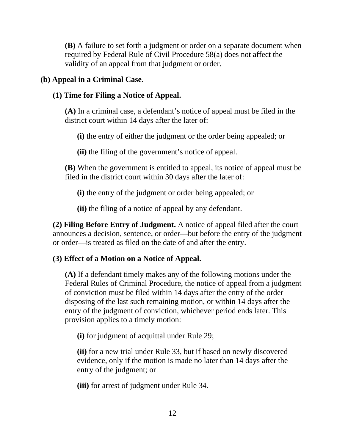**(B)** A failure to set forth a judgment or order on a separate document when required by Federal Rule of Civil Procedure 58(a) does not affect the validity of an appeal from that judgment or order.

#### **(b) Appeal in a Criminal Case.**

### **(1) Time for Filing a Notice of Appeal.**

**(A)** In a criminal case, a defendant's notice of appeal must be filed in the district court within 14 days after the later of:

**(i)** the entry of either the judgment or the order being appealed; or

**(ii)** the filing of the government's notice of appeal.

**(B)** When the government is entitled to appeal, its notice of appeal must be filed in the district court within 30 days after the later of:

**(i)** the entry of the judgment or order being appealed; or

**(ii)** the filing of a notice of appeal by any defendant.

**(2) Filing Before Entry of Judgment.** A notice of appeal filed after the court announces a decision, sentence, or order—but before the entry of the judgment or order—is treated as filed on the date of and after the entry.

### **(3) Effect of a Motion on a Notice of Appeal.**

**(A)** If a defendant timely makes any of the following motions under the Federal Rules of Criminal Procedure, the notice of appeal from a judgment of conviction must be filed within 14 days after the entry of the order disposing of the last such remaining motion, or within 14 days after the entry of the judgment of conviction, whichever period ends later. This provision applies to a timely motion:

**(i)** for judgment of acquittal under Rule 29;

**(ii)** for a new trial under Rule 33, but if based on newly discovered evidence, only if the motion is made no later than 14 days after the entry of the judgment; or

**(iii)** for arrest of judgment under Rule 34.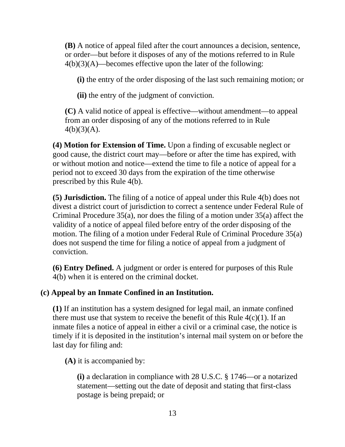**(B)** A notice of appeal filed after the court announces a decision, sentence, or order—but before it disposes of any of the motions referred to in Rule  $4(b)(3)(A)$ —becomes effective upon the later of the following:

**(i)** the entry of the order disposing of the last such remaining motion; or

**(ii)** the entry of the judgment of conviction.

**(C)** A valid notice of appeal is effective—without amendment—to appeal from an order disposing of any of the motions referred to in Rule  $4(b)(3)(A)$ .

**(4) Motion for Extension of Time.** Upon a finding of excusable neglect or good cause, the district court may—before or after the time has expired, with or without motion and notice—extend the time to file a notice of appeal for a period not to exceed 30 days from the expiration of the time otherwise prescribed by this Rule 4(b).

**(5) Jurisdiction.** The filing of a notice of appeal under this Rule 4(b) does not divest a district court of jurisdiction to correct a sentence under Federal Rule of Criminal Procedure 35(a), nor does the filing of a motion under 35(a) affect the validity of a notice of appeal filed before entry of the order disposing of the motion. The filing of a motion under Federal Rule of Criminal Procedure 35(a) does not suspend the time for filing a notice of appeal from a judgment of conviction.

**(6) Entry Defined.** A judgment or order is entered for purposes of this Rule 4(b) when it is entered on the criminal docket.

### **(c) Appeal by an Inmate Confined in an Institution.**

**(1)** If an institution has a system designed for legal mail, an inmate confined there must use that system to receive the benefit of this Rule  $4(c)(1)$ . If an inmate files a notice of appeal in either a civil or a criminal case, the notice is timely if it is deposited in the institution's internal mail system on or before the last day for filing and:

**(A)** it is accompanied by:

**(i)** a declaration in compliance with 28 U.S.C. § 1746—or a notarized statement—setting out the date of deposit and stating that first-class postage is being prepaid; or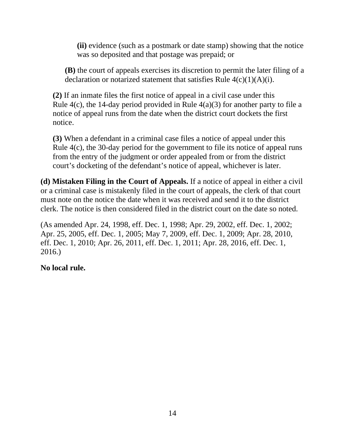**(ii)** evidence (such as a postmark or date stamp) showing that the notice was so deposited and that postage was prepaid; or

**(B)** the court of appeals exercises its discretion to permit the later filing of a declaration or notarized statement that satisfies Rule  $4(c)(1)(A)(i)$ .

**(2)** If an inmate files the first notice of appeal in a civil case under this Rule  $4(c)$ , the 14-day period provided in Rule  $4(a)(3)$  for another party to file a notice of appeal runs from the date when the district court dockets the first notice.

**(3)** When a defendant in a criminal case files a notice of appeal under this Rule 4(c), the 30-day period for the government to file its notice of appeal runs from the entry of the judgment or order appealed from or from the district court's docketing of the defendant's notice of appeal, whichever is later.

**(d) Mistaken Filing in the Court of Appeals.** If a notice of appeal in either a civil or a criminal case is mistakenly filed in the court of appeals, the clerk of that court must note on the notice the date when it was received and send it to the district clerk. The notice is then considered filed in the district court on the date so noted.

(As amended Apr. 24, 1998, eff. Dec. 1, 1998; Apr. 29, 2002, eff. Dec. 1, 2002; Apr. 25, 2005, eff. Dec. 1, 2005; May 7, 2009, eff. Dec. 1, 2009; Apr. 28, 2010, eff. Dec. 1, 2010; Apr. 26, 2011, eff. Dec. 1, 2011; Apr. 28, 2016, eff. Dec. 1, 2016.)

### **No local rule.**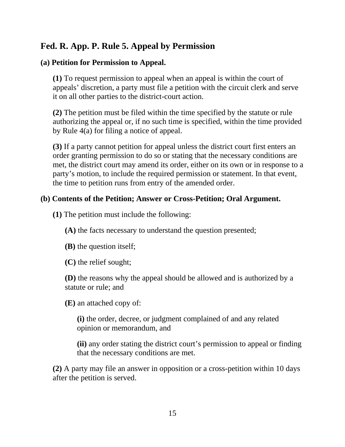# <span id="page-25-0"></span>**Fed. R. App. P. Rule 5. Appeal by Permission**

### **(a) Petition for Permission to Appeal.**

**(1)** To request permission to appeal when an appeal is within the court of appeals' discretion, a party must file a petition with the circuit clerk and serve it on all other parties to the district-court action.

**(2)** The petition must be filed within the time specified by the statute or rule authorizing the appeal or, if no such time is specified, within the time provided by Rule 4(a) for filing a notice of appeal.

**(3)** If a party cannot petition for appeal unless the district court first enters an order granting permission to do so or stating that the necessary conditions are met, the district court may amend its order, either on its own or in response to a party's motion, to include the required permission or statement. In that event, the time to petition runs from entry of the amended order.

### **(b) Contents of the Petition; Answer or Cross-Petition; Oral Argument.**

**(1)** The petition must include the following:

**(A)** the facts necessary to understand the question presented;

**(B)** the question itself;

**(C)** the relief sought;

**(D)** the reasons why the appeal should be allowed and is authorized by a statute or rule; and

**(E)** an attached copy of:

**(i)** the order, decree, or judgment complained of and any related opinion or memorandum, and

**(ii)** any order stating the district court's permission to appeal or finding that the necessary conditions are met.

**(2)** A party may file an answer in opposition or a cross-petition within 10 days after the petition is served.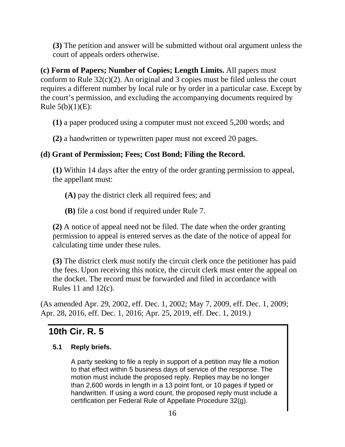**(3)** The petition and answer will be submitted without oral argument unless the court of appeals orders otherwise.

**(c) Form of Papers; Number of Copies; Length Limits.** All papers must conform to Rule  $32(c)(2)$ . An original and 3 copies must be filed unless the court requires a different number by local rule or by order in a particular case. Except by the court's permission, and excluding the accompanying documents required by Rule  $5(b)(1)(E)$ :

**(1)** a paper produced using a computer must not exceed 5,200 words; and

**(2)** a handwritten or typewritten paper must not exceed 20 pages.

### **(d) Grant of Permission; Fees; Cost Bond; Filing the Record.**

**(1)** Within 14 days after the entry of the order granting permission to appeal, the appellant must:

**(A)** pay the district clerk all required fees; and

**(B)** file a cost bond if required under Rule 7.

**(2)** A notice of appeal need not be filed. The date when the order granting permission to appeal is entered serves as the date of the notice of appeal for calculating time under these rules.

**(3)** The district clerk must notify the circuit clerk once the petitioner has paid the fees. Upon receiving this notice, the circuit clerk must enter the appeal on the docket. The record must be forwarded and filed in accordance with Rules 11 and  $12(c)$ .

(As amended Apr. 29, 2002, eff. Dec. 1, 2002; May 7, 2009, eff. Dec. 1, 2009; Apr. 28, 2016, eff. Dec. 1, 2016; Apr. 25, 2019, eff. Dec. 1, 2019.)

# <span id="page-26-0"></span>**10th Cir. R. 5**

### <span id="page-26-1"></span>**5.1 Reply briefs.**

A party seeking to file a reply in support of a petition may file a motion to that effect within 5 business days of service of the response. The motion must include the proposed reply. Replies may be no longer than 2,600 words in length in a 13 point font, or 10 pages if typed or handwritten. If using a word count, the proposed reply must include a certification per Federal Rule of Appellate Procedure 32(g).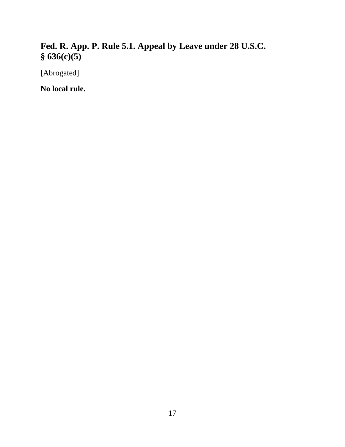# <span id="page-27-0"></span>**Fed. R. App. P. Rule 5.1. Appeal by Leave under 28 U.S.C. § 636(c)(5)**

[Abrogated]

**No local rule.**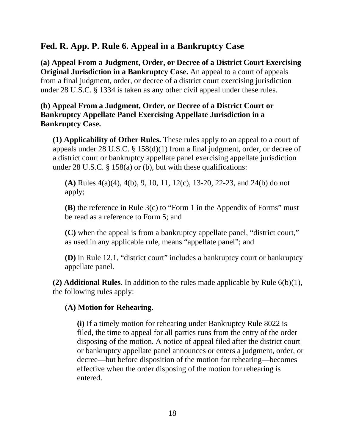# <span id="page-28-0"></span>**Fed. R. App. P. Rule 6. Appeal in a Bankruptcy Case**

**(a) Appeal From a Judgment, Order, or Decree of a District Court Exercising Original Jurisdiction in a Bankruptcy Case.** An appeal to a court of appeals from a final judgment, order, or decree of a district court exercising jurisdiction under 28 U.S.C. § 1334 is taken as any other civil appeal under these rules.

#### **(b) Appeal From a Judgment, Order, or Decree of a District Court or Bankruptcy Appellate Panel Exercising Appellate Jurisdiction in a Bankruptcy Case.**

**(1) Applicability of Other Rules.** These rules apply to an appeal to a court of appeals under 28 U.S.C. § 158(d)(1) from a final judgment, order, or decree of a district court or bankruptcy appellate panel exercising appellate jurisdiction under 28 U.S.C. § 158(a) or (b), but with these qualifications:

**(A)** Rules 4(a)(4), 4(b), 9, 10, 11, 12(c), 13-20, 22-23, and 24(b) do not apply;

**(B)** the reference in Rule 3(c) to "Form 1 in the Appendix of Forms" must be read as a reference to Form 5; and

**(C)** when the appeal is from a bankruptcy appellate panel, "district court," as used in any applicable rule, means "appellate panel"; and

**(D)** in Rule 12.1, "district court" includes a bankruptcy court or bankruptcy appellate panel.

**(2) Additional Rules.** In addition to the rules made applicable by Rule 6(b)(1), the following rules apply:

#### **(A) Motion for Rehearing.**

**(i)** If a timely motion for rehearing under Bankruptcy Rule 8022 is filed, the time to appeal for all parties runs from the entry of the order disposing of the motion. A notice of appeal filed after the district court or bankruptcy appellate panel announces or enters a judgment, order, or decree—but before disposition of the motion for rehearing—becomes effective when the order disposing of the motion for rehearing is entered.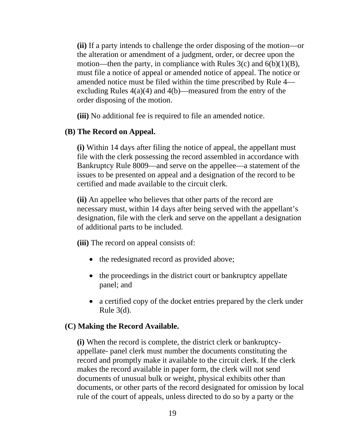**(ii)** If a party intends to challenge the order disposing of the motion—or the alteration or amendment of a judgment, order, or decree upon the motion—then the party, in compliance with Rules  $3(c)$  and  $6(b)(1)(B)$ , must file a notice of appeal or amended notice of appeal. The notice or amended notice must be filed within the time prescribed by Rule 4 excluding Rules 4(a)(4) and 4(b)—measured from the entry of the order disposing of the motion.

**(iii)** No additional fee is required to file an amended notice.

#### **(B) The Record on Appeal.**

**(i)** Within 14 days after filing the notice of appeal, the appellant must file with the clerk possessing the record assembled in accordance with Bankruptcy Rule 8009—and serve on the appellee—a statement of the issues to be presented on appeal and a designation of the record to be certified and made available to the circuit clerk.

**(ii)** An appellee who believes that other parts of the record are necessary must, within 14 days after being served with the appellant's designation, file with the clerk and serve on the appellant a designation of additional parts to be included.

**(iii)** The record on appeal consists of:

- the redesignated record as provided above;
- the proceedings in the district court or bankruptcy appellate panel; and
- a certified copy of the docket entries prepared by the clerk under Rule 3(d).

### **(C) Making the Record Available.**

**(i)** When the record is complete, the district clerk or bankruptcyappellate- panel clerk must number the documents constituting the record and promptly make it available to the circuit clerk. If the clerk makes the record available in paper form, the clerk will not send documents of unusual bulk or weight, physical exhibits other than documents, or other parts of the record designated for omission by local rule of the court of appeals, unless directed to do so by a party or the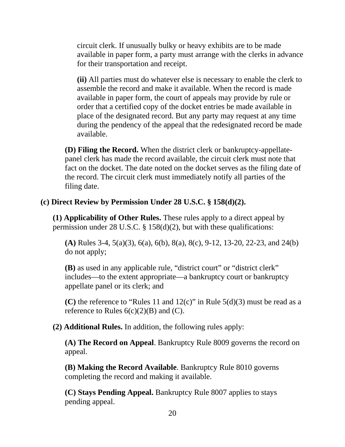circuit clerk. If unusually bulky or heavy exhibits are to be made available in paper form, a party must arrange with the clerks in advance for their transportation and receipt.

**(ii)** All parties must do whatever else is necessary to enable the clerk to assemble the record and make it available. When the record is made available in paper form, the court of appeals may provide by rule or order that a certified copy of the docket entries be made available in place of the designated record. But any party may request at any time during the pendency of the appeal that the redesignated record be made available.

**(D) Filing the Record.** When the district clerk or bankruptcy-appellatepanel clerk has made the record available, the circuit clerk must note that fact on the docket. The date noted on the docket serves as the filing date of the record. The circuit clerk must immediately notify all parties of the filing date.

#### **(c) Direct Review by Permission Under 28 U.S.C. § 158(d)(2).**

**(1) Applicability of Other Rules.** These rules apply to a direct appeal by permission under 28 U.S.C. § 158(d)(2), but with these qualifications:

**(A)** Rules 3-4, 5(a)(3), 6(a), 6(b), 8(a), 8(c), 9-12, 13-20, 22-23, and 24(b) do not apply;

**(B)** as used in any applicable rule, "district court" or "district clerk" includes—to the extent appropriate—a bankruptcy court or bankruptcy appellate panel or its clerk; and

**(C)** the reference to "Rules 11 and 12(c)" in Rule 5(d)(3) must be read as a reference to Rules  $6(c)(2)(B)$  and  $(C)$ .

**(2) Additional Rules.** In addition, the following rules apply:

**(A) The Record on Appeal**. Bankruptcy Rule 8009 governs the record on appeal.

**(B) Making the Record Available**. Bankruptcy Rule 8010 governs completing the record and making it available.

**(C) Stays Pending Appeal.** Bankruptcy Rule 8007 applies to stays pending appeal.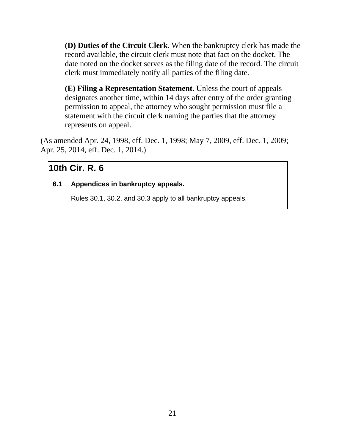**(D) Duties of the Circuit Clerk.** When the bankruptcy clerk has made the record available, the circuit clerk must note that fact on the docket. The date noted on the docket serves as the filing date of the record. The circuit clerk must immediately notify all parties of the filing date.

**(E) Filing a Representation Statement**. Unless the court of appeals designates another time, within 14 days after entry of the order granting permission to appeal, the attorney who sought permission must file a statement with the circuit clerk naming the parties that the attorney represents on appeal.

(As amended Apr. 24, 1998, eff. Dec. 1, 1998; May 7, 2009, eff. Dec. 1, 2009; Apr. 25, 2014, eff. Dec. 1, 2014.)

# <span id="page-31-0"></span>**10th Cir. R. 6**

#### <span id="page-31-1"></span>**6.1 Appendices in bankruptcy appeals.**

Rules 30.1, 30.2, and 30.3 apply to all bankruptcy appeals.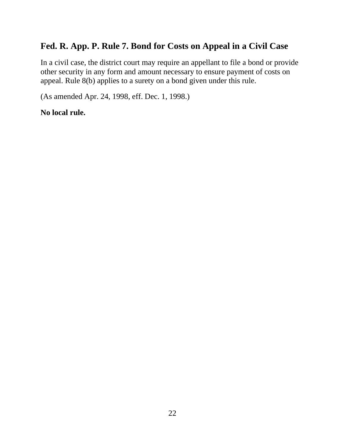# <span id="page-32-0"></span>**Fed. R. App. P. Rule 7. Bond for Costs on Appeal in a Civil Case**

In a civil case, the district court may require an appellant to file a bond or provide other security in any form and amount necessary to ensure payment of costs on appeal. Rule 8(b) applies to a surety on a bond given under this rule.

(As amended Apr. 24, 1998, eff. Dec. 1, 1998.)

**No local rule.**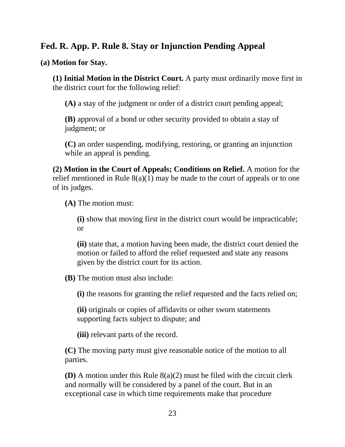# <span id="page-33-0"></span>**Fed. R. App. P. Rule 8. Stay or Injunction Pending Appeal**

**(a) Motion for Stay.**

**(1) Initial Motion in the District Court.** A party must ordinarily move first in the district court for the following relief:

**(A)** a stay of the judgment or order of a district court pending appeal;

**(B)** approval of a bond or other security provided to obtain a stay of judgment; or

**(C)** an order suspending, modifying, restoring, or granting an injunction while an appeal is pending.

**(2) Motion in the Court of Appeals; Conditions on Relief.** A motion for the relief mentioned in Rule  $8(a)(1)$  may be made to the court of appeals or to one of its judges.

**(A)** The motion must:

**(i)** show that moving first in the district court would be impracticable; or

**(ii)** state that, a motion having been made, the district court denied the motion or failed to afford the relief requested and state any reasons given by the district court for its action.

**(B)** The motion must also include:

**(i)** the reasons for granting the relief requested and the facts relied on;

**(ii)** originals or copies of affidavits or other sworn statements supporting facts subject to dispute; and

**(iii)** relevant parts of the record.

**(C)** The moving party must give reasonable notice of the motion to all parties.

**(D)** A motion under this Rule 8(a)(2) must be filed with the circuit clerk and normally will be considered by a panel of the court. But in an exceptional case in which time requirements make that procedure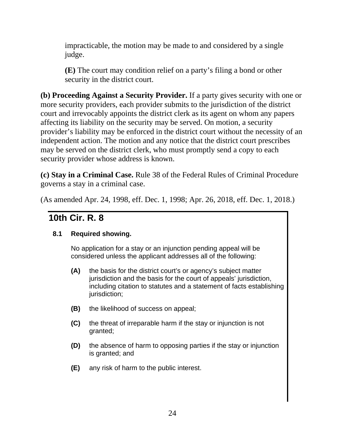impracticable, the motion may be made to and considered by a single judge.

**(E)** The court may condition relief on a party's filing a bond or other security in the district court.

**(b) Proceeding Against a Security Provider.** If a party gives security with one or more security providers, each provider submits to the jurisdiction of the district court and irrevocably appoints the district clerk as its agent on whom any papers affecting its liability on the security may be served. On motion, a security provider's liability may be enforced in the district court without the necessity of an independent action. The motion and any notice that the district court prescribes may be served on the district clerk, who must promptly send a copy to each security provider whose address is known.

**(c) Stay in a Criminal Case.** Rule 38 of the Federal Rules of Criminal Procedure governs a stay in a criminal case.

(As amended Apr. 24, 1998, eff. Dec. 1, 1998; Apr. 26, 2018, eff. Dec. 1, 2018.)

# <span id="page-34-0"></span>**10th Cir. R. 8**

### <span id="page-34-1"></span>**8.1 Required showing.**

No application for a stay or an injunction pending appeal will be considered unless the applicant addresses all of the following:

- **(A)** the basis for the district court's or agency's subject matter jurisdiction and the basis for the court of appeals' jurisdiction, including citation to statutes and a statement of facts establishing jurisdiction;
- **(B)** the likelihood of success on appeal;
- **(C)** the threat of irreparable harm if the stay or injunction is not granted;
- **(D)** the absence of harm to opposing parties if the stay or injunction is granted; and
- **(E)** any risk of harm to the public interest.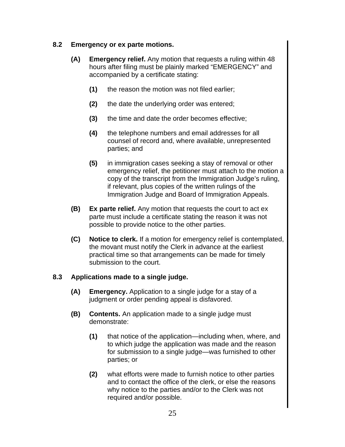#### <span id="page-35-0"></span>**8.2 Emergency or ex parte motions.**

- **(A) Emergency relief.** Any motion that requests a ruling within 48 hours after filing must be plainly marked "EMERGENCY" and accompanied by a certificate stating:
	- **(1)** the reason the motion was not filed earlier;
	- **(2)** the date the underlying order was entered;
	- **(3)** the time and date the order becomes effective;
	- **(4)** the telephone numbers and email addresses for all counsel of record and, where available, unrepresented parties; and
	- **(5)** in immigration cases seeking a stay of removal or other emergency relief, the petitioner must attach to the motion a copy of the transcript from the Immigration Judge's ruling, if relevant, plus copies of the written rulings of the Immigration Judge and Board of Immigration Appeals.
- **(B) Ex parte relief.** Any motion that requests the court to act ex parte must include a certificate stating the reason it was not possible to provide notice to the other parties.
- **(C) Notice to clerk.** If a motion for emergency relief is contemplated, the movant must notify the Clerk in advance at the earliest practical time so that arrangements can be made for timely submission to the court.

#### <span id="page-35-1"></span>**8.3 Applications made to a single judge.**

- **(A) Emergency.** Application to a single judge for a stay of a judgment or order pending appeal is disfavored.
- **(B) Contents.** An application made to a single judge must demonstrate:
	- **(1)** that notice of the application—including when, where, and to which judge the application was made and the reason for submission to a single judge—was furnished to other parties; or
	- **(2)** what efforts were made to furnish notice to other parties and to contact the office of the clerk, or else the reasons why notice to the parties and/or to the Clerk was not required and/or possible.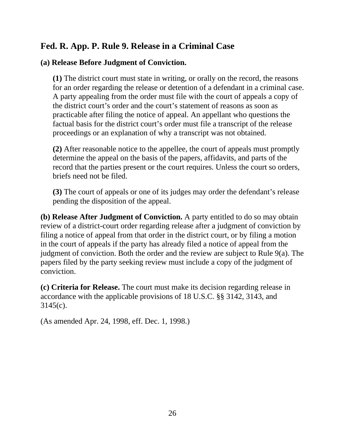## **Fed. R. App. P. Rule 9. Release in a Criminal Case**

## **(a) Release Before Judgment of Conviction.**

**(1)** The district court must state in writing, or orally on the record, the reasons for an order regarding the release or detention of a defendant in a criminal case. A party appealing from the order must file with the court of appeals a copy of the district court's order and the court's statement of reasons as soon as practicable after filing the notice of appeal. An appellant who questions the factual basis for the district court's order must file a transcript of the release proceedings or an explanation of why a transcript was not obtained.

**(2)** After reasonable notice to the appellee, the court of appeals must promptly determine the appeal on the basis of the papers, affidavits, and parts of the record that the parties present or the court requires. Unless the court so orders, briefs need not be filed.

**(3)** The court of appeals or one of its judges may order the defendant's release pending the disposition of the appeal.

**(b) Release After Judgment of Conviction.** A party entitled to do so may obtain review of a district-court order regarding release after a judgment of conviction by filing a notice of appeal from that order in the district court, or by filing a motion in the court of appeals if the party has already filed a notice of appeal from the judgment of conviction. Both the order and the review are subject to Rule 9(a). The papers filed by the party seeking review must include a copy of the judgment of conviction.

**(c) Criteria for Release.** The court must make its decision regarding release in accordance with the applicable provisions of 18 U.S.C. §§ 3142, 3143, and 3145(c).

(As amended Apr. 24, 1998, eff. Dec. 1, 1998.)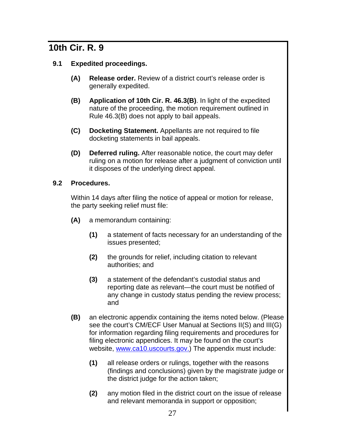## **10th Cir. R. 9**

#### **9.1 Expedited proceedings.**

- **(A) Release order.** Review of a district court's release order is generally expedited.
- **(B) Application of 10th Cir. R. 46.3(B)**. In light of the expedited nature of the proceeding, the motion requirement outlined in Rule 46.3(B) does not apply to bail appeals.
- **(C) Docketing Statement.** Appellants are not required to file docketing statements in bail appeals.
- **(D) Deferred ruling.** After reasonable notice, the court may defer ruling on a motion for release after a judgment of conviction until it disposes of the underlying direct appeal.

#### **9.2 Procedures.**

Within 14 days after filing the notice of appeal or motion for release, the party seeking relief must file:

- **(A)** a memorandum containing:
	- **(1)** a statement of facts necessary for an understanding of the issues presented;
	- **(2)** the grounds for relief, including citation to relevant authorities; and
	- **(3)** a statement of the defendant's custodial status and reporting date as relevant—the court must be notified of any change in custody status pending the review process; and
- **(B)** an electronic appendix containing the items noted below. (Please see the court's CM/ECF User Manual at Sections II(S) and III(G) for information regarding filing requirements and procedures for filing electronic appendices. It may be found on the court's website, [www.ca10.uscourts.gov.](http://www.ca10.uscourts.gov/)) The appendix must include:
	- **(1)** all release orders or rulings, together with the reasons (findings and conclusions) given by the magistrate judge or the district judge for the action taken;
	- **(2)** any motion filed in the district court on the issue of release and relevant memoranda in support or opposition;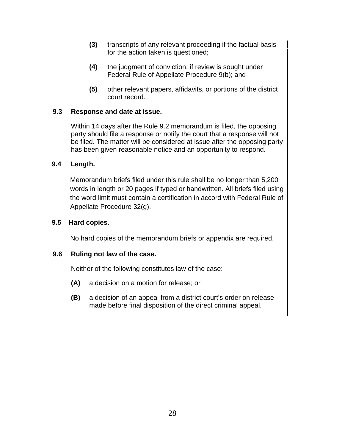- **(3)** transcripts of any relevant proceeding if the factual basis for the action taken is questioned;
- **(4)** the judgment of conviction, if review is sought under Federal Rule of Appellate Procedure 9(b); and
- **(5)** other relevant papers, affidavits, or portions of the district court record.

#### **9.3 Response and date at issue.**

Within 14 days after the Rule 9.2 memorandum is filed, the opposing party should file a response or notify the court that a response will not be filed. The matter will be considered at issue after the opposing party has been given reasonable notice and an opportunity to respond.

#### **9.4 Length.**

Memorandum briefs filed under this rule shall be no longer than 5,200 words in length or 20 pages if typed or handwritten. All briefs filed using the word limit must contain a certification in accord with Federal Rule of Appellate Procedure 32(g).

#### **9.5 Hard copies**.

No hard copies of the memorandum briefs or appendix are required.

#### **9.6 Ruling not law of the case.**

Neither of the following constitutes law of the case:

- **(A)** a decision on a motion for release; or
- **(B)** a decision of an appeal from a district court's order on release made before final disposition of the direct criminal appeal.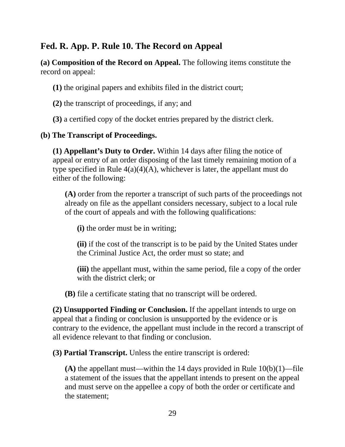## **Fed. R. App. P. Rule 10. The Record on Appeal**

**(a) Composition of the Record on Appeal.** The following items constitute the record on appeal:

**(1)** the original papers and exhibits filed in the district court;

**(2)** the transcript of proceedings, if any; and

**(3)** a certified copy of the docket entries prepared by the district clerk.

**(b) The Transcript of Proceedings.**

**(1) Appellant's Duty to Order.** Within 14 days after filing the notice of appeal or entry of an order disposing of the last timely remaining motion of a type specified in Rule  $4(a)(4)(A)$ , whichever is later, the appellant must do either of the following:

**(A)** order from the reporter a transcript of such parts of the proceedings not already on file as the appellant considers necessary, subject to a local rule of the court of appeals and with the following qualifications:

**(i)** the order must be in writing;

**(ii)** if the cost of the transcript is to be paid by the United States under the Criminal Justice Act, the order must so state; and

**(iii)** the appellant must, within the same period, file a copy of the order with the district clerk; or

**(B)** file a certificate stating that no transcript will be ordered.

**(2) Unsupported Finding or Conclusion.** If the appellant intends to urge on appeal that a finding or conclusion is unsupported by the evidence or is contrary to the evidence, the appellant must include in the record a transcript of all evidence relevant to that finding or conclusion.

**(3) Partial Transcript.** Unless the entire transcript is ordered:

**(A)** the appellant must—within the 14 days provided in Rule 10(b)(1)—file a statement of the issues that the appellant intends to present on the appeal and must serve on the appellee a copy of both the order or certificate and the statement;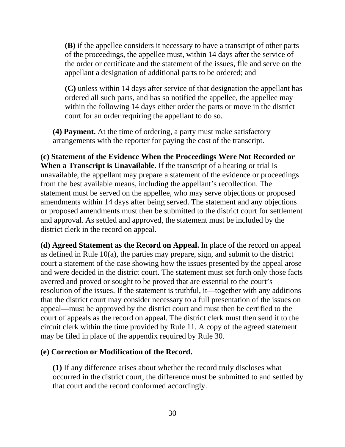**(B)** if the appellee considers it necessary to have a transcript of other parts of the proceedings, the appellee must, within 14 days after the service of the order or certificate and the statement of the issues, file and serve on the appellant a designation of additional parts to be ordered; and

**(C)** unless within 14 days after service of that designation the appellant has ordered all such parts, and has so notified the appellee, the appellee may within the following 14 days either order the parts or move in the district court for an order requiring the appellant to do so.

**(4) Payment.** At the time of ordering, a party must make satisfactory arrangements with the reporter for paying the cost of the transcript.

**(c) Statement of the Evidence When the Proceedings Were Not Recorded or When a Transcript is Unavailable.** If the transcript of a hearing or trial is unavailable, the appellant may prepare a statement of the evidence or proceedings from the best available means, including the appellant's recollection. The statement must be served on the appellee, who may serve objections or proposed amendments within 14 days after being served. The statement and any objections or proposed amendments must then be submitted to the district court for settlement and approval. As settled and approved, the statement must be included by the district clerk in the record on appeal.

**(d) Agreed Statement as the Record on Appeal.** In place of the record on appeal as defined in Rule 10(a), the parties may prepare, sign, and submit to the district court a statement of the case showing how the issues presented by the appeal arose and were decided in the district court. The statement must set forth only those facts averred and proved or sought to be proved that are essential to the court's resolution of the issues. If the statement is truthful, it—together with any additions that the district court may consider necessary to a full presentation of the issues on appeal—must be approved by the district court and must then be certified to the court of appeals as the record on appeal. The district clerk must then send it to the circuit clerk within the time provided by Rule 11. A copy of the agreed statement may be filed in place of the appendix required by Rule 30.

### **(e) Correction or Modification of the Record.**

**(1)** If any difference arises about whether the record truly discloses what occurred in the district court, the difference must be submitted to and settled by that court and the record conformed accordingly.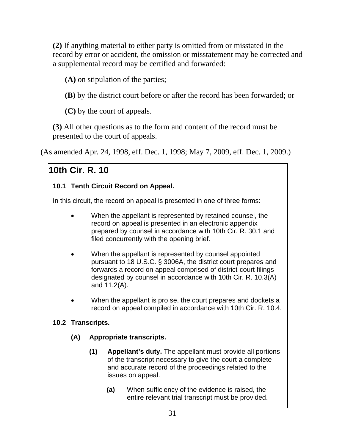**(2)** If anything material to either party is omitted from or misstated in the record by error or accident, the omission or misstatement may be corrected and a supplemental record may be certified and forwarded:

**(A)** on stipulation of the parties;

**(B)** by the district court before or after the record has been forwarded; or

**(C)** by the court of appeals.

**(3)** All other questions as to the form and content of the record must be presented to the court of appeals.

(As amended Apr. 24, 1998, eff. Dec. 1, 1998; May 7, 2009, eff. Dec. 1, 2009.)

# **10th Cir. R. 10**

### **10.1 Tenth Circuit Record on Appeal.**

In this circuit, the record on appeal is presented in one of three forms:

- When the appellant is represented by retained counsel, the record on appeal is presented in an electronic appendix prepared by counsel in accordance with 10th Cir. R. 30.1 and filed concurrently with the opening brief.
- When the appellant is represented by counsel appointed pursuant to 18 U.S.C. § 3006A, the district court prepares and forwards a record on appeal comprised of district-court filings designated by counsel in accordance with 10th Cir. R. 10.3(A) and 11.2(A).
- When the appellant is pro se, the court prepares and dockets a record on appeal compiled in accordance with 10th Cir. R. 10.4.

### **10.2 Transcripts.**

### **(A) Appropriate transcripts.**

- **(1) Appellant's duty.** The appellant must provide all portions of the transcript necessary to give the court a complete and accurate record of the proceedings related to the issues on appeal.
	- **(a)** When sufficiency of the evidence is raised, the entire relevant trial transcript must be provided.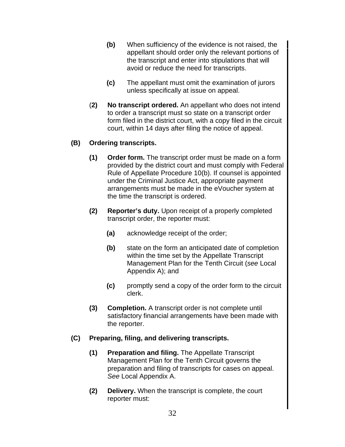- **(b)** When sufficiency of the evidence is not raised, the appellant should order only the relevant portions of the transcript and enter into stipulations that will avoid or reduce the need for transcripts.
- **(c)** The appellant must omit the examination of jurors unless specifically at issue on appeal.
- (**2) No transcript ordered.** An appellant who does not intend to order a transcript must so state on a transcript order form filed in the district court, with a copy filed in the circuit court, within 14 days after filing the notice of appeal.

#### **(B) Ordering transcripts.**

- **(1) Order form.** The transcript order must be made on a form provided by the district court and must comply with Federal Rule of Appellate Procedure 10(b). If counsel is appointed under the Criminal Justice Act, appropriate payment arrangements must be made in the eVoucher system at the time the transcript is ordered.
- **(2) Reporter's duty.** Upon receipt of a properly completed transcript order, the reporter must:
	- **(a)** acknowledge receipt of the order;
	- **(b)** state on the form an anticipated date of completion within the time set by the Appellate Transcript Management Plan for the Tenth Circuit (*see* Local Appendix A); and
	- **(c)** promptly send a copy of the order form to the circuit clerk.
- **(3) Completion.** A transcript order is not complete until satisfactory financial arrangements have been made with the reporter.

#### **(C) Preparing, filing, and delivering transcripts.**

- **(1) Preparation and filing.** The Appellate Transcript Management Plan for the Tenth Circuit governs the preparation and filing of transcripts for cases on appeal. *See* Local Appendix A.
- **(2) Delivery.** When the transcript is complete, the court reporter must: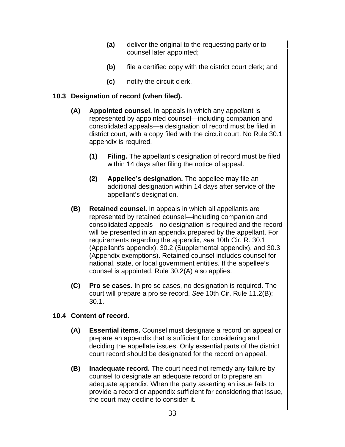- **(a)** deliver the original to the requesting party or to counsel later appointed;
- **(b)** file a certified copy with the district court clerk; and
- **(c)** notify the circuit clerk.

#### **10.3 Designation of record (when filed).**

- **(A) Appointed counsel.** In appeals in which any appellant is represented by appointed counsel—including companion and consolidated appeals—a designation of record must be filed in district court, with a copy filed with the circuit court. No Rule 30.1 appendix is required.
	- **(1) Filing.** The appellant's designation of record must be filed within 14 days after filing the notice of appeal.
	- **(2) Appellee's designation.** The appellee may file an additional designation within 14 days after service of the appellant's designation.
- **(B) Retained counsel.** In appeals in which all appellants are represented by retained counsel—including companion and consolidated appeals—no designation is required and the record will be presented in an appendix prepared by the appellant. For requirements regarding the appendix, *see* 10th Cir. R. 30.1 (Appellant's appendix), 30.2 (Supplemental appendix), and 30.3 (Appendix exemptions). Retained counsel includes counsel for national, state, or local government entities. If the appellee's counsel is appointed, Rule 30.2(A) also applies.
- **(C) Pro se cases.** In pro se cases, no designation is required. The court will prepare a pro se record. *See* 10th Cir. Rule 11.2(B); 30.1.

#### **10.4 Content of record.**

- **(A) Essential items.** Counsel must designate a record on appeal or prepare an appendix that is sufficient for considering and deciding the appellate issues. Only essential parts of the district court record should be designated for the record on appeal.
- **(B) Inadequate record.** The court need not remedy any failure by counsel to designate an adequate record or to prepare an adequate appendix. When the party asserting an issue fails to provide a record or appendix sufficient for considering that issue, the court may decline to consider it.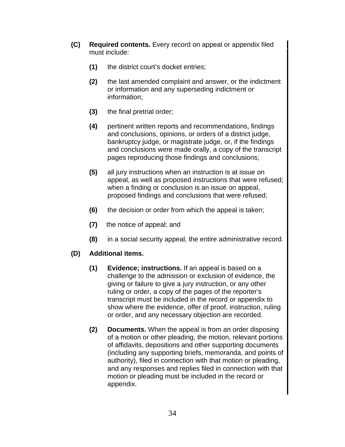- **(C) Required contents.** Every record on appeal or appendix filed must include:
	- **(1)** the district court's docket entries;
	- **(2)** the last amended complaint and answer, or the indictment or information and any superseding indictment or information;
	- **(3)** the final pretrial order;
	- **(4)** pertinent written reports and recommendations, findings and conclusions, opinions, or orders of a district judge, bankruptcy judge, or magistrate judge, or, if the findings and conclusions were made orally, a copy of the transcript pages reproducing those findings and conclusions;
	- **(5)** all jury instructions when an instruction is at issue on appeal, as well as proposed instructions that were refused; when a finding or conclusion is an issue on appeal, proposed findings and conclusions that were refused;
	- **(6)** the decision or order from which the appeal is taken;
	- **(7)** the notice of appeal; and
	- **(8)** in a social security appeal, the entire administrative record.

#### **(D) Additional items.**

- **(1) Evidence; instructions.** If an appeal is based on a challenge to the admission or exclusion of evidence, the giving or failure to give a jury instruction, or any other ruling or order, a copy of the pages of the reporter's transcript must be included in the record or appendix to show where the evidence, offer of proof, instruction, ruling or order, and any necessary objection are recorded.
- **(2) Documents.** When the appeal is from an order disposing of a motion or other pleading, the motion, relevant portions of affidavits, depositions and other supporting documents (including any supporting briefs, memoranda, and points of authority), filed in connection with that motion or pleading, and any responses and replies filed in connection with that motion or pleading must be included in the record or appendix.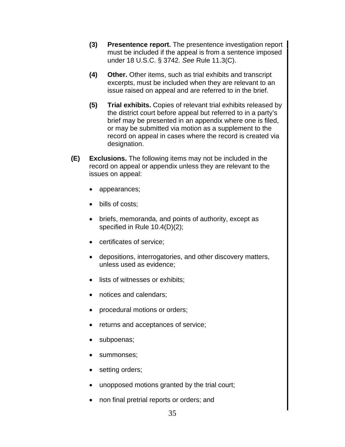- **(3) Presentence report.** The presentence investigation report must be included if the appeal is from a sentence imposed under 18 U.S.C. § 3742. *See* Rule 11.3(C).
- **(4) Other.** Other items, such as trial exhibits and transcript excerpts, must be included when they are relevant to an issue raised on appeal and are referred to in the brief.
- **(5) Trial exhibits.** Copies of relevant trial exhibits released by the district court before appeal but referred to in a party's brief may be presented in an appendix where one is filed, or may be submitted via motion as a supplement to the record on appeal in cases where the record is created via designation.
- **(E) Exclusions.** The following items may not be included in the record on appeal or appendix unless they are relevant to the issues on appeal:
	- appearances;
	- bills of costs;
	- briefs, memoranda, and points of authority, except as specified in Rule 10.4(D)(2);
	- certificates of service;
	- depositions, interrogatories, and other discovery matters, unless used as evidence;
	- lists of witnesses or exhibits;
	- notices and calendars;
	- procedural motions or orders;
	- returns and acceptances of service;
	- subpoenas;
	- summonses;
	- setting orders;
	- unopposed motions granted by the trial court;
	- non final pretrial reports or orders; and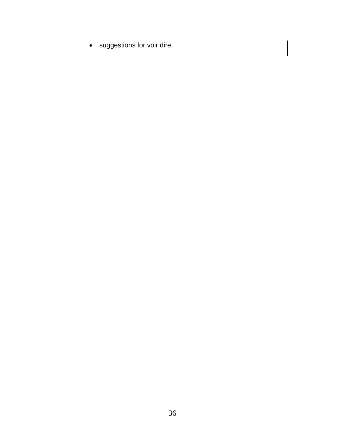• suggestions for voir dire.

 $\overline{\phantom{a}}$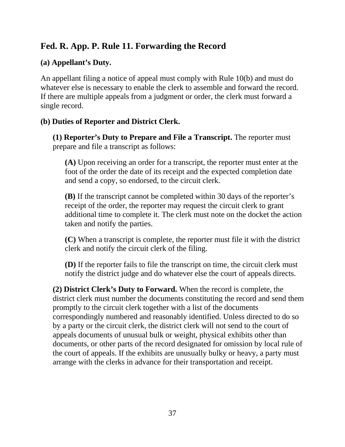## **Fed. R. App. P. Rule 11. Forwarding the Record**

## **(a) Appellant's Duty.**

An appellant filing a notice of appeal must comply with Rule 10(b) and must do whatever else is necessary to enable the clerk to assemble and forward the record. If there are multiple appeals from a judgment or order, the clerk must forward a single record.

## **(b) Duties of Reporter and District Clerk.**

**(1) Reporter's Duty to Prepare and File a Transcript.** The reporter must prepare and file a transcript as follows:

**(A)** Upon receiving an order for a transcript, the reporter must enter at the foot of the order the date of its receipt and the expected completion date and send a copy, so endorsed, to the circuit clerk.

**(B)** If the transcript cannot be completed within 30 days of the reporter's receipt of the order, the reporter may request the circuit clerk to grant additional time to complete it. The clerk must note on the docket the action taken and notify the parties.

**(C)** When a transcript is complete, the reporter must file it with the district clerk and notify the circuit clerk of the filing.

**(D)** If the reporter fails to file the transcript on time, the circuit clerk must notify the district judge and do whatever else the court of appeals directs.

**(2) District Clerk's Duty to Forward.** When the record is complete, the district clerk must number the documents constituting the record and send them promptly to the circuit clerk together with a list of the documents correspondingly numbered and reasonably identified. Unless directed to do so by a party or the circuit clerk, the district clerk will not send to the court of appeals documents of unusual bulk or weight, physical exhibits other than documents, or other parts of the record designated for omission by local rule of the court of appeals. If the exhibits are unusually bulky or heavy, a party must arrange with the clerks in advance for their transportation and receipt.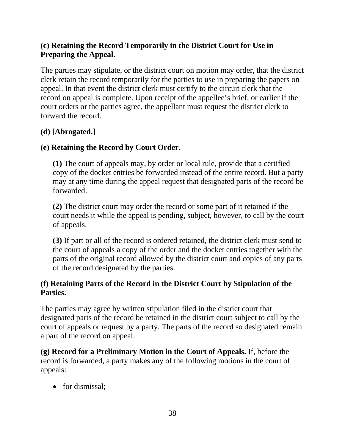## **(c) Retaining the Record Temporarily in the District Court for Use in Preparing the Appeal.**

The parties may stipulate, or the district court on motion may order, that the district clerk retain the record temporarily for the parties to use in preparing the papers on appeal. In that event the district clerk must certify to the circuit clerk that the record on appeal is complete. Upon receipt of the appellee's brief, or earlier if the court orders or the parties agree, the appellant must request the district clerk to forward the record.

## **(d) [Abrogated.]**

## **(e) Retaining the Record by Court Order.**

**(1)** The court of appeals may, by order or local rule, provide that a certified copy of the docket entries be forwarded instead of the entire record. But a party may at any time during the appeal request that designated parts of the record be forwarded.

**(2)** The district court may order the record or some part of it retained if the court needs it while the appeal is pending, subject, however, to call by the court of appeals.

**(3)** If part or all of the record is ordered retained, the district clerk must send to the court of appeals a copy of the order and the docket entries together with the parts of the original record allowed by the district court and copies of any parts of the record designated by the parties.

## **(f) Retaining Parts of the Record in the District Court by Stipulation of the Parties.**

The parties may agree by written stipulation filed in the district court that designated parts of the record be retained in the district court subject to call by the court of appeals or request by a party. The parts of the record so designated remain a part of the record on appeal.

**(g) Record for a Preliminary Motion in the Court of Appeals.** If, before the record is forwarded, a party makes any of the following motions in the court of appeals:

• for dismissal;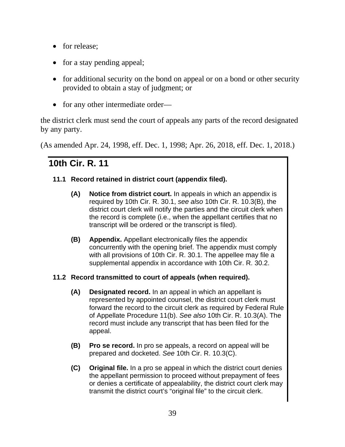- for release;
- for a stay pending appeal;
- for additional security on the bond on appeal or on a bond or other security provided to obtain a stay of judgment; or
- for any other intermediate order—

the district clerk must send the court of appeals any parts of the record designated by any party.

(As amended Apr. 24, 1998, eff. Dec. 1, 1998; Apr. 26, 2018, eff. Dec. 1, 2018.)

## **10th Cir. R. 11**

### **11.1 Record retained in district court (appendix filed).**

- **(A) Notice from district court.** In appeals in which an appendix is required by 10th Cir. R. 30.1, *see also* 10th Cir. R. 10.3(B), the district court clerk will notify the parties and the circuit clerk when the record is complete (i.e., when the appellant certifies that no transcript will be ordered or the transcript is filed).
- **(B) Appendix.** Appellant electronically files the appendix concurrently with the opening brief. The appendix must comply with all provisions of 10th Cir. R. 30.1. The appellee may file a supplemental appendix in accordance with 10th Cir. R. 30.2.

#### **11.2 Record transmitted to court of appeals (when required).**

- **(A) Designated record.** In an appeal in which an appellant is represented by appointed counsel, the district court clerk must forward the record to the circuit clerk as required by Federal Rule of Appellate Procedure 11(b). *See also* 10th Cir. R. 10.3(A). The record must include any transcript that has been filed for the appeal.
- **(B) Pro se record.** In pro se appeals, a record on appeal will be prepared and docketed. *See* 10th Cir. R. 10.3(C).
- **(C) Original file.** In a pro se appeal in which the district court denies the appellant permission to proceed without prepayment of fees or denies a certificate of appealability, the district court clerk may transmit the district court's "original file" to the circuit clerk.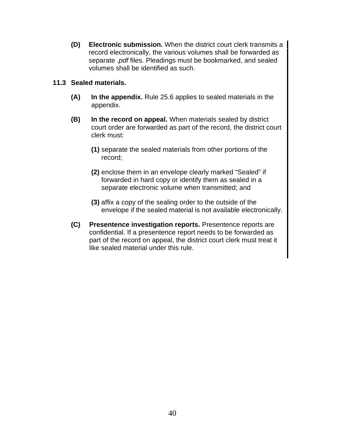**(D) Electronic submission.** When the district court clerk transmits a record electronically, the various volumes shall be forwarded as separate .*pdf* files. Pleadings must be bookmarked, and sealed volumes shall be identified as such.

#### **11.3 Sealed materials.**

- **(A) In the appendix.** Rule 25.6 applies to sealed materials in the appendix.
- **(B) In the record on appeal.** When materials sealed by district court order are forwarded as part of the record, the district court clerk must:
	- **(1)** separate the sealed materials from other portions of the record;
	- **(2)** enclose them in an envelope clearly marked "Sealed" if forwarded in hard copy or identify them as sealed in a separate electronic volume when transmitted; and
	- **(3)** affix a copy of the sealing order to the outside of the envelope if the sealed material is not available electronically.
- **(C) Presentence investigation reports.** Presentence reports are confidential. If a presentence report needs to be forwarded as part of the record on appeal, the district court clerk must treat it like sealed material under this rule.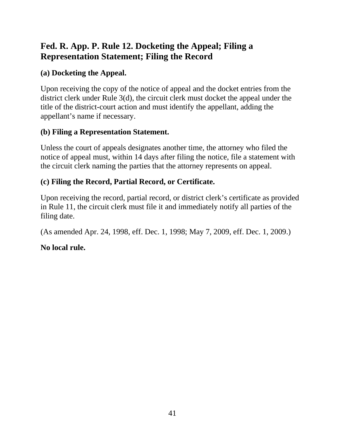## **Fed. R. App. P. Rule 12. Docketing the Appeal; Filing a Representation Statement; Filing the Record**

## **(a) Docketing the Appeal.**

Upon receiving the copy of the notice of appeal and the docket entries from the district clerk under Rule 3(d), the circuit clerk must docket the appeal under the title of the district-court action and must identify the appellant, adding the appellant's name if necessary.

### **(b) Filing a Representation Statement.**

Unless the court of appeals designates another time, the attorney who filed the notice of appeal must, within 14 days after filing the notice, file a statement with the circuit clerk naming the parties that the attorney represents on appeal.

### **(c) Filing the Record, Partial Record, or Certificate.**

Upon receiving the record, partial record, or district clerk's certificate as provided in Rule 11, the circuit clerk must file it and immediately notify all parties of the filing date.

(As amended Apr. 24, 1998, eff. Dec. 1, 1998; May 7, 2009, eff. Dec. 1, 2009.)

### **No local rule.**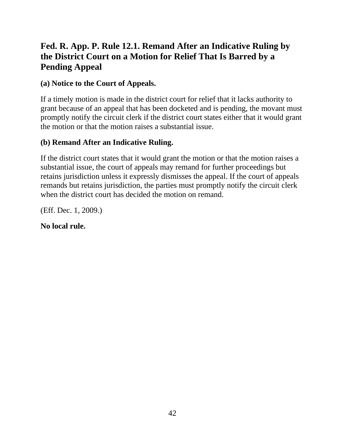## **Fed. R. App. P. Rule 12.1. Remand After an Indicative Ruling by the District Court on a Motion for Relief That Is Barred by a Pending Appeal**

### **(a) Notice to the Court of Appeals.**

If a timely motion is made in the district court for relief that it lacks authority to grant because of an appeal that has been docketed and is pending, the movant must promptly notify the circuit clerk if the district court states either that it would grant the motion or that the motion raises a substantial issue.

## **(b) Remand After an Indicative Ruling.**

If the district court states that it would grant the motion or that the motion raises a substantial issue, the court of appeals may remand for further proceedings but retains jurisdiction unless it expressly dismisses the appeal. If the court of appeals remands but retains jurisdiction, the parties must promptly notify the circuit clerk when the district court has decided the motion on remand.

(Eff. Dec. 1, 2009.)

**No local rule.**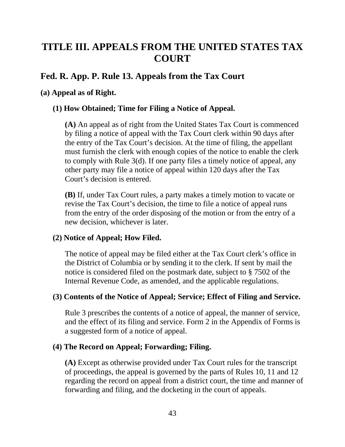# **TITLE III. APPEALS FROM THE UNITED STATES TAX COURT**

## **Fed. R. App. P. Rule 13. Appeals from the Tax Court**

### **(a) Appeal as of Right.**

#### **(1) How Obtained; Time for Filing a Notice of Appeal.**

**(A)** An appeal as of right from the United States Tax Court is commenced by filing a notice of appeal with the Tax Court clerk within 90 days after the entry of the Tax Court's decision. At the time of filing, the appellant must furnish the clerk with enough copies of the notice to enable the clerk to comply with Rule 3(d). If one party files a timely notice of appeal, any other party may file a notice of appeal within 120 days after the Tax Court's decision is entered.

**(B)** If, under Tax Court rules, a party makes a timely motion to vacate or revise the Tax Court's decision, the time to file a notice of appeal runs from the entry of the order disposing of the motion or from the entry of a new decision, whichever is later.

#### **(2) Notice of Appeal; How Filed.**

The notice of appeal may be filed either at the Tax Court clerk's office in the District of Columbia or by sending it to the clerk. If sent by mail the notice is considered filed on the postmark date, subject to § 7502 of the Internal Revenue Code, as amended, and the applicable regulations.

#### **(3) Contents of the Notice of Appeal; Service; Effect of Filing and Service.**

Rule 3 prescribes the contents of a notice of appeal, the manner of service, and the effect of its filing and service. Form 2 in the Appendix of Forms is a suggested form of a notice of appeal.

#### **(4) The Record on Appeal; Forwarding; Filing.**

**(A)** Except as otherwise provided under Tax Court rules for the transcript of proceedings, the appeal is governed by the parts of Rules 10, 11 and 12 regarding the record on appeal from a district court, the time and manner of forwarding and filing, and the docketing in the court of appeals.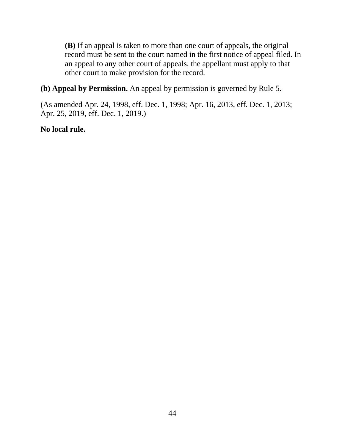**(B)** If an appeal is taken to more than one court of appeals, the original record must be sent to the court named in the first notice of appeal filed. In an appeal to any other court of appeals, the appellant must apply to that other court to make provision for the record.

**(b) Appeal by Permission.** An appeal by permission is governed by Rule 5.

(As amended Apr. 24, 1998, eff. Dec. 1, 1998; Apr. 16, 2013, eff. Dec. 1, 2013; Apr. 25, 2019, eff. Dec. 1, 2019.)

**No local rule.**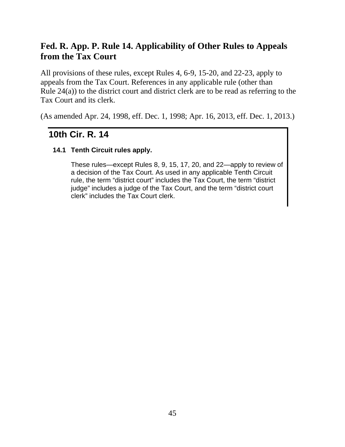## **Fed. R. App. P. Rule 14. Applicability of Other Rules to Appeals from the Tax Court**

All provisions of these rules, except Rules 4, 6-9, 15-20, and 22-23, apply to appeals from the Tax Court. References in any applicable rule (other than Rule 24(a)) to the district court and district clerk are to be read as referring to the Tax Court and its clerk.

(As amended Apr. 24, 1998, eff. Dec. 1, 1998; Apr. 16, 2013, eff. Dec. 1, 2013.)

## **10th Cir. R. 14**

### **14.1 Tenth Circuit rules apply.**

These rules—except Rules 8, 9, 15, 17, 20, and 22—apply to review of a decision of the Tax Court. As used in any applicable Tenth Circuit rule, the term "district court" includes the Tax Court, the term "district judge" includes a judge of the Tax Court, and the term "district court clerk" includes the Tax Court clerk.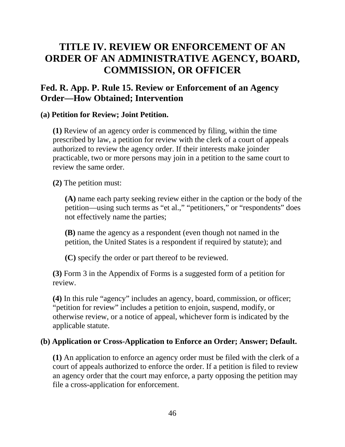# **TITLE IV. REVIEW OR ENFORCEMENT OF AN ORDER OF AN ADMINISTRATIVE AGENCY, BOARD, COMMISSION, OR OFFICER**

## **Fed. R. App. P. Rule 15. Review or Enforcement of an Agency Order—How Obtained; Intervention**

### **(a) Petition for Review; Joint Petition.**

**(1)** Review of an agency order is commenced by filing, within the time prescribed by law, a petition for review with the clerk of a court of appeals authorized to review the agency order. If their interests make joinder practicable, two or more persons may join in a petition to the same court to review the same order.

**(2)** The petition must:

**(A)** name each party seeking review either in the caption or the body of the petition—using such terms as "et al.," "petitioners," or "respondents" does not effectively name the parties;

**(B)** name the agency as a respondent (even though not named in the petition, the United States is a respondent if required by statute); and

**(C)** specify the order or part thereof to be reviewed.

**(3)** Form 3 in the Appendix of Forms is a suggested form of a petition for review.

**(4)** In this rule "agency" includes an agency, board, commission, or officer; "petition for review" includes a petition to enjoin, suspend, modify, or otherwise review, or a notice of appeal, whichever form is indicated by the applicable statute.

### **(b) Application or Cross-Application to Enforce an Order; Answer; Default.**

**(1)** An application to enforce an agency order must be filed with the clerk of a court of appeals authorized to enforce the order. If a petition is filed to review an agency order that the court may enforce, a party opposing the petition may file a cross-application for enforcement.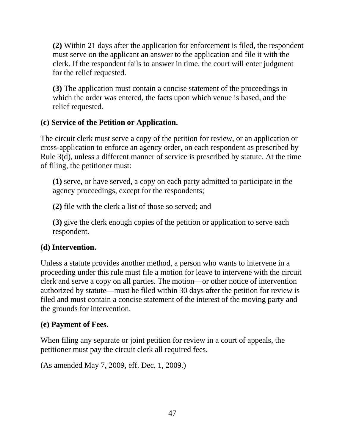**(2)** Within 21 days after the application for enforcement is filed, the respondent must serve on the applicant an answer to the application and file it with the clerk. If the respondent fails to answer in time, the court will enter judgment for the relief requested.

**(3)** The application must contain a concise statement of the proceedings in which the order was entered, the facts upon which venue is based, and the relief requested.

### **(c) Service of the Petition or Application.**

The circuit clerk must serve a copy of the petition for review, or an application or cross-application to enforce an agency order, on each respondent as prescribed by Rule 3(d), unless a different manner of service is prescribed by statute. At the time of filing, the petitioner must:

**(1)** serve, or have served, a copy on each party admitted to participate in the agency proceedings, except for the respondents;

**(2)** file with the clerk a list of those so served; and

**(3)** give the clerk enough copies of the petition or application to serve each respondent.

### **(d) Intervention.**

Unless a statute provides another method, a person who wants to intervene in a proceeding under this rule must file a motion for leave to intervene with the circuit clerk and serve a copy on all parties. The motion—or other notice of intervention authorized by statute—must be filed within 30 days after the petition for review is filed and must contain a concise statement of the interest of the moving party and the grounds for intervention.

### **(e) Payment of Fees.**

When filing any separate or joint petition for review in a court of appeals, the petitioner must pay the circuit clerk all required fees.

(As amended May 7, 2009, eff. Dec. 1, 2009.)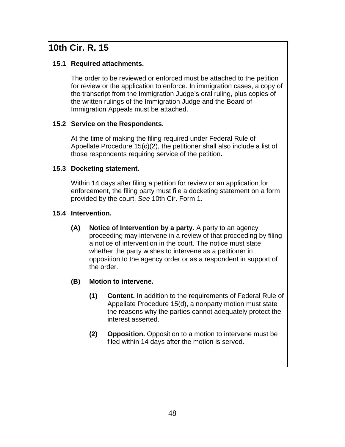## **10th Cir. R. 15**

#### **15.1 Required attachments.**

The order to be reviewed or enforced must be attached to the petition for review or the application to enforce. In immigration cases, a copy of the transcript from the Immigration Judge's oral ruling, plus copies of the written rulings of the Immigration Judge and the Board of Immigration Appeals must be attached.

#### **15.2 Service on the Respondents.**

At the time of making the filing required under Federal Rule of Appellate Procedure 15(c)(2), the petitioner shall also include a list of those respondents requiring service of the petition**.**

#### **15.3 Docketing statement.**

Within 14 days after filing a petition for review or an application for enforcement, the filing party must file a docketing statement on a form provided by the court. *See* 10th Cir. Form 1.

#### **15.4 Intervention.**

**(A) Notice of Intervention by a party.** A party to an agency proceeding may intervene in a review of that proceeding by filing a notice of intervention in the court. The notice must state whether the party wishes to intervene as a petitioner in opposition to the agency order or as a respondent in support of the order.

#### **(B) Motion to intervene.**

- **(1) Content.** In addition to the requirements of Federal Rule of Appellate Procedure 15(d), a nonparty motion must state the reasons why the parties cannot adequately protect the interest asserted.
- **(2) Opposition.** Opposition to a motion to intervene must be filed within 14 days after the motion is served.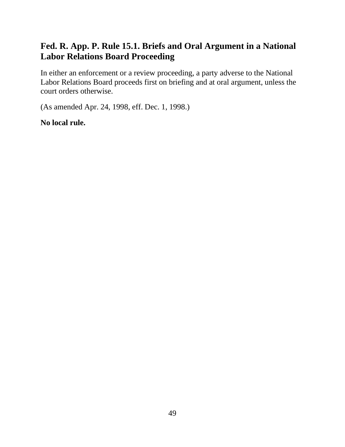## **Fed. R. App. P. Rule 15.1. Briefs and Oral Argument in a National Labor Relations Board Proceeding**

In either an enforcement or a review proceeding, a party adverse to the National Labor Relations Board proceeds first on briefing and at oral argument, unless the court orders otherwise.

(As amended Apr. 24, 1998, eff. Dec. 1, 1998.)

**No local rule.**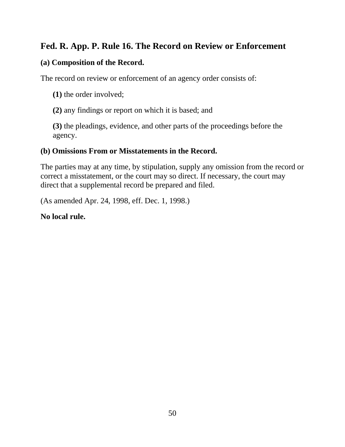## **Fed. R. App. P. Rule 16. The Record on Review or Enforcement**

### **(a) Composition of the Record.**

The record on review or enforcement of an agency order consists of:

**(1)** the order involved;

**(2)** any findings or report on which it is based; and

**(3)** the pleadings, evidence, and other parts of the proceedings before the agency.

### **(b) Omissions From or Misstatements in the Record.**

The parties may at any time, by stipulation, supply any omission from the record or correct a misstatement, or the court may so direct. If necessary, the court may direct that a supplemental record be prepared and filed.

(As amended Apr. 24, 1998, eff. Dec. 1, 1998.)

### **No local rule.**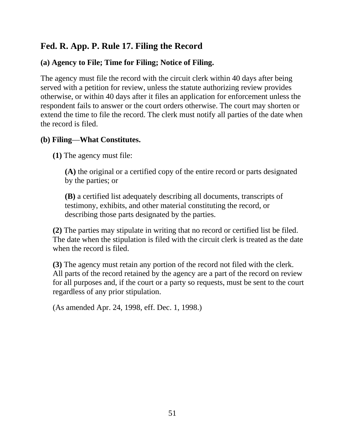## **Fed. R. App. P. Rule 17. Filing the Record**

## **(a) Agency to File; Time for Filing; Notice of Filing.**

The agency must file the record with the circuit clerk within 40 days after being served with a petition for review, unless the statute authorizing review provides otherwise, or within 40 days after it files an application for enforcement unless the respondent fails to answer or the court orders otherwise. The court may shorten or extend the time to file the record. The clerk must notify all parties of the date when the record is filed.

## **(b) Filing**—**What Constitutes.**

**(1)** The agency must file:

**(A)** the original or a certified copy of the entire record or parts designated by the parties; or

**(B)** a certified list adequately describing all documents, transcripts of testimony, exhibits, and other material constituting the record, or describing those parts designated by the parties.

**(2)** The parties may stipulate in writing that no record or certified list be filed. The date when the stipulation is filed with the circuit clerk is treated as the date when the record is filed.

**(3)** The agency must retain any portion of the record not filed with the clerk. All parts of the record retained by the agency are a part of the record on review for all purposes and, if the court or a party so requests, must be sent to the court regardless of any prior stipulation.

(As amended Apr. 24, 1998, eff. Dec. 1, 1998.)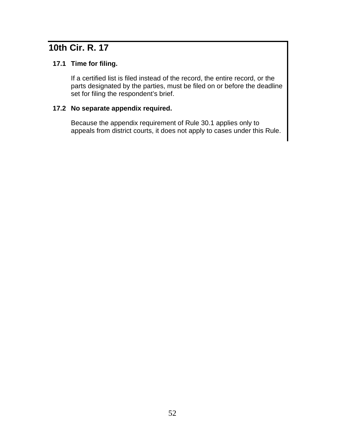## **10th Cir. R. 17**

#### **17.1 Time for filing.**

If a certified list is filed instead of the record, the entire record, or the parts designated by the parties, must be filed on or before the deadline set for filing the respondent's brief.

#### **17.2 No separate appendix required.**

Because the appendix requirement of Rule 30.1 applies only to appeals from district courts, it does not apply to cases under this Rule.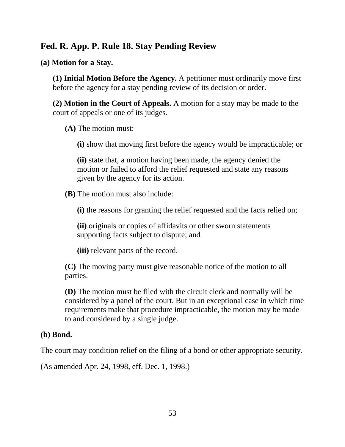## **Fed. R. App. P. Rule 18. Stay Pending Review**

**(a) Motion for a Stay.**

**(1) Initial Motion Before the Agency.** A petitioner must ordinarily move first before the agency for a stay pending review of its decision or order.

**(2) Motion in the Court of Appeals.** A motion for a stay may be made to the court of appeals or one of its judges.

**(A)** The motion must:

**(i)** show that moving first before the agency would be impracticable; or

**(ii)** state that, a motion having been made, the agency denied the motion or failed to afford the relief requested and state any reasons given by the agency for its action.

**(B)** The motion must also include:

**(i)** the reasons for granting the relief requested and the facts relied on;

**(ii)** originals or copies of affidavits or other sworn statements supporting facts subject to dispute; and

**(iii)** relevant parts of the record.

**(C)** The moving party must give reasonable notice of the motion to all parties.

**(D)** The motion must be filed with the circuit clerk and normally will be considered by a panel of the court. But in an exceptional case in which time requirements make that procedure impracticable, the motion may be made to and considered by a single judge.

### **(b) Bond.**

The court may condition relief on the filing of a bond or other appropriate security.

(As amended Apr. 24, 1998, eff. Dec. 1, 1998.)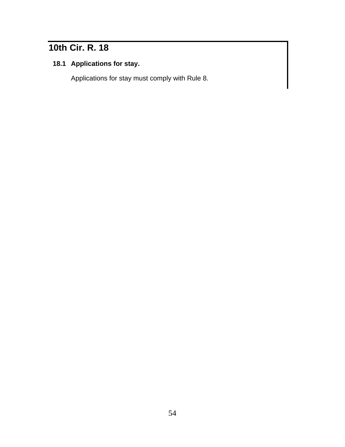# **10th Cir. R. 18**

## **18.1 Applications for stay.**

Applications for stay must comply with Rule 8.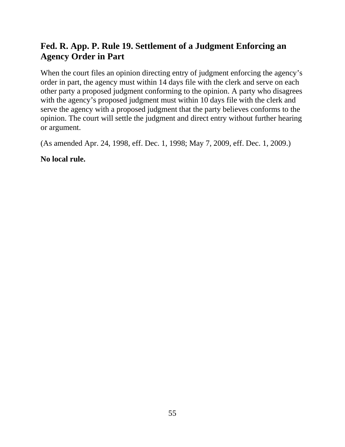## **Fed. R. App. P. Rule 19. Settlement of a Judgment Enforcing an Agency Order in Part**

When the court files an opinion directing entry of judgment enforcing the agency's order in part, the agency must within 14 days file with the clerk and serve on each other party a proposed judgment conforming to the opinion. A party who disagrees with the agency's proposed judgment must within 10 days file with the clerk and serve the agency with a proposed judgment that the party believes conforms to the opinion. The court will settle the judgment and direct entry without further hearing or argument.

(As amended Apr. 24, 1998, eff. Dec. 1, 1998; May 7, 2009, eff. Dec. 1, 2009.)

### **No local rule.**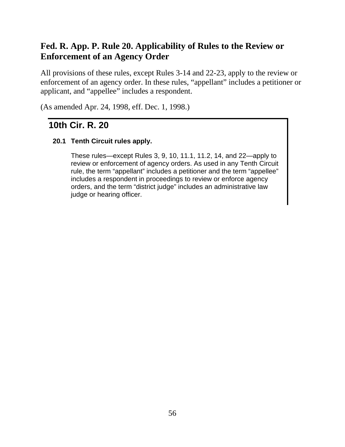## **Fed. R. App. P. Rule 20. Applicability of Rules to the Review or Enforcement of an Agency Order**

All provisions of these rules, except Rules 3-14 and 22-23, apply to the review or enforcement of an agency order. In these rules, "appellant" includes a petitioner or applicant, and "appellee" includes a respondent.

(As amended Apr. 24, 1998, eff. Dec. 1, 1998.)

## **10th Cir. R. 20**

### **20.1 Tenth Circuit rules apply.**

These rules—except Rules 3, 9, 10, 11.1, 11.2, 14, and 22—apply to review or enforcement of agency orders. As used in any Tenth Circuit rule, the term "appellant" includes a petitioner and the term "appellee" includes a respondent in proceedings to review or enforce agency orders, and the term "district judge" includes an administrative law judge or hearing officer.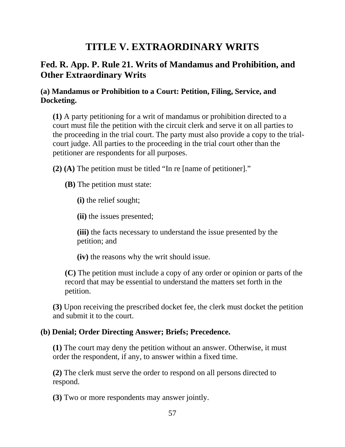# **TITLE V. EXTRAORDINARY WRITS**

## **Fed. R. App. P. Rule 21. Writs of Mandamus and Prohibition, and Other Extraordinary Writs**

### **(a) Mandamus or Prohibition to a Court: Petition, Filing, Service, and Docketing.**

**(1)** A party petitioning for a writ of mandamus or prohibition directed to a court must file the petition with the circuit clerk and serve it on all parties to the proceeding in the trial court. The party must also provide a copy to the trialcourt judge. All parties to the proceeding in the trial court other than the petitioner are respondents for all purposes.

**(2) (A)** The petition must be titled "In re [name of petitioner]."

- **(B)** The petition must state:
	- **(i)** the relief sought;

**(ii)** the issues presented;

**(iii)** the facts necessary to understand the issue presented by the petition; and

**(iv)** the reasons why the writ should issue.

**(C)** The petition must include a copy of any order or opinion or parts of the record that may be essential to understand the matters set forth in the petition.

**(3)** Upon receiving the prescribed docket fee, the clerk must docket the petition and submit it to the court.

### **(b) Denial; Order Directing Answer; Briefs; Precedence.**

**(1)** The court may deny the petition without an answer. Otherwise, it must order the respondent, if any, to answer within a fixed time.

**(2)** The clerk must serve the order to respond on all persons directed to respond.

**(3)** Two or more respondents may answer jointly.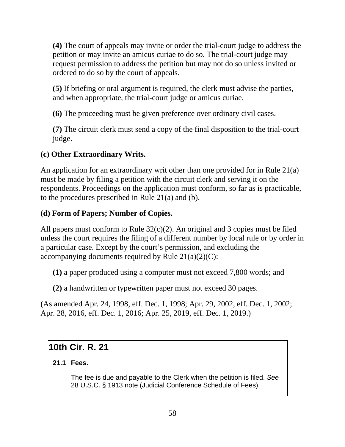**(4)** The court of appeals may invite or order the trial-court judge to address the petition or may invite an amicus curiae to do so. The trial-court judge may request permission to address the petition but may not do so unless invited or ordered to do so by the court of appeals.

**(5)** If briefing or oral argument is required, the clerk must advise the parties, and when appropriate, the trial-court judge or amicus curiae.

**(6)** The proceeding must be given preference over ordinary civil cases.

**(7)** The circuit clerk must send a copy of the final disposition to the trial-court judge.

## **(c) Other Extraordinary Writs.**

An application for an extraordinary writ other than one provided for in Rule 21(a) must be made by filing a petition with the circuit clerk and serving it on the respondents. Proceedings on the application must conform, so far as is practicable, to the procedures prescribed in Rule 21(a) and (b).

## **(d) Form of Papers; Number of Copies.**

All papers must conform to Rule  $32(c)(2)$ . An original and 3 copies must be filed unless the court requires the filing of a different number by local rule or by order in a particular case. Except by the court's permission, and excluding the accompanying documents required by Rule  $21(a)(2)(C)$ :

**(1)** a paper produced using a computer must not exceed 7,800 words; and

**(2)** a handwritten or typewritten paper must not exceed 30 pages.

(As amended Apr. 24, 1998, eff. Dec. 1, 1998; Apr. 29, 2002, eff. Dec. 1, 2002; Apr. 28, 2016, eff. Dec. 1, 2016; Apr. 25, 2019, eff. Dec. 1, 2019.)

## **10th Cir. R. 21**

### **21.1 Fees.**

The fee is due and payable to the Clerk when the petition is filed. *See* 28 U.S.C. § 1913 note (Judicial Conference Schedule of Fees).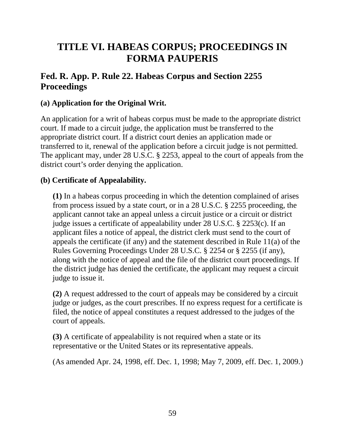# **TITLE VI. HABEAS CORPUS; PROCEEDINGS IN FORMA PAUPERIS**

## **Fed. R. App. P. Rule 22. Habeas Corpus and Section 2255 Proceedings**

### **(a) Application for the Original Writ.**

An application for a writ of habeas corpus must be made to the appropriate district court. If made to a circuit judge, the application must be transferred to the appropriate district court. If a district court denies an application made or transferred to it, renewal of the application before a circuit judge is not permitted. The applicant may, under 28 U.S.C. § 2253, appeal to the court of appeals from the district court's order denying the application.

### **(b) Certificate of Appealability.**

**(1)** In a habeas corpus proceeding in which the detention complained of arises from process issued by a state court, or in a 28 U.S.C. § 2255 proceeding, the applicant cannot take an appeal unless a circuit justice or a circuit or district judge issues a certificate of appealability under 28 U.S.C. § 2253(c). If an applicant files a notice of appeal, the district clerk must send to the court of appeals the certificate (if any) and the statement described in Rule 11(a) of the Rules Governing Proceedings Under 28 U.S.C. § 2254 or § 2255 (if any), along with the notice of appeal and the file of the district court proceedings. If the district judge has denied the certificate, the applicant may request a circuit judge to issue it.

**(2)** A request addressed to the court of appeals may be considered by a circuit judge or judges, as the court prescribes. If no express request for a certificate is filed, the notice of appeal constitutes a request addressed to the judges of the court of appeals.

**(3)** A certificate of appealability is not required when a state or its representative or the United States or its representative appeals.

(As amended Apr. 24, 1998, eff. Dec. 1, 1998; May 7, 2009, eff. Dec. 1, 2009.)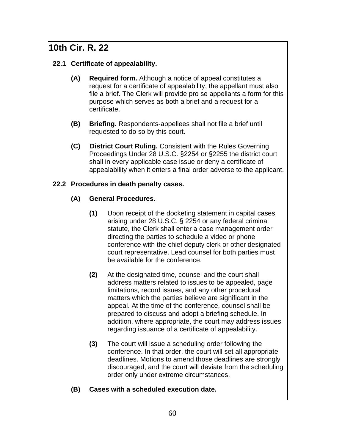## **10th Cir. R. 22**

#### **22.1 Certificate of appealability.**

- **(A) Required form.** Although a notice of appeal constitutes a request for a certificate of appealability, the appellant must also file a brief. The Clerk will provide pro se appellants a form for this purpose which serves as both a brief and a request for a certificate.
- **(B) Briefing.** Respondents-appellees shall not file a brief until requested to do so by this court.
- **(C) District Court Ruling.** Consistent with the Rules Governing Proceedings Under 28 U.S.C. §2254 or §2255 the district court shall in every applicable case issue or deny a certificate of appealability when it enters a final order adverse to the applicant.

#### **22.2 Procedures in death penalty cases.**

#### **(A) General Procedures.**

- **(1)** Upon receipt of the docketing statement in capital cases arising under 28 U.S.C. § 2254 or any federal criminal statute, the Clerk shall enter a case management order directing the parties to schedule a video or phone conference with the chief deputy clerk or other designated court representative. Lead counsel for both parties must be available for the conference.
- **(2)** At the designated time, counsel and the court shall address matters related to issues to be appealed, page limitations, record issues, and any other procedural matters which the parties believe are significant in the appeal. At the time of the conference, counsel shall be prepared to discuss and adopt a briefing schedule. In addition, where appropriate, the court may address issues regarding issuance of a certificate of appealability.
- **(3)** The court will issue a scheduling order following the conference. In that order, the court will set all appropriate deadlines. Motions to amend those deadlines are strongly discouraged, and the court will deviate from the scheduling order only under extreme circumstances.
- **(B) Cases with a scheduled execution date.**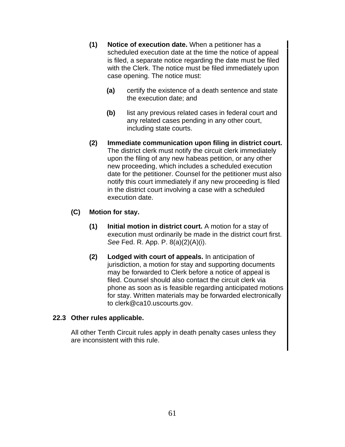- **(1) Notice of execution date.** When a petitioner has a scheduled execution date at the time the notice of appeal is filed, a separate notice regarding the date must be filed with the Clerk. The notice must be filed immediately upon case opening. The notice must:
	- **(a)** certify the existence of a death sentence and state the execution date; and
	- **(b)** list any previous related cases in federal court and any related cases pending in any other court, including state courts.
- **(2) Immediate communication upon filing in district court.** The district clerk must notify the circuit clerk immediately upon the filing of any new habeas petition, or any other new proceeding, which includes a scheduled execution date for the petitioner. Counsel for the petitioner must also notify this court immediately if any new proceeding is filed in the district court involving a case with a scheduled execution date.

### **(C) Motion for stay.**

- **(1) Initial motion in district court.** A motion for a stay of execution must ordinarily be made in the district court first. *See* Fed. R. App. P. 8(a)(2)(A)(i).
- **(2) Lodged with court of appeals.** In anticipation of jurisdiction, a motion for stay and supporting documents may be forwarded to Clerk before a notice of appeal is filed. Counsel should also contact the circuit clerk via phone as soon as is feasible regarding anticipated motions for stay. Written materials may be forwarded electronically to clerk@ca10.uscourts.gov.

#### **22.3 Other rules applicable.**

All other Tenth Circuit rules apply in death penalty cases unless they are inconsistent with this rule.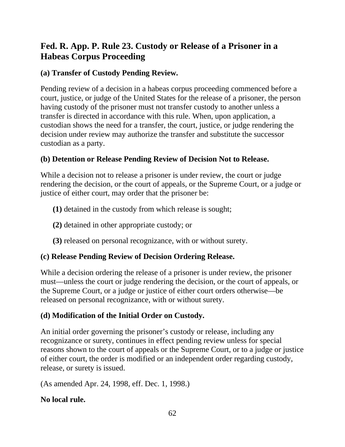## **Fed. R. App. P. Rule 23. Custody or Release of a Prisoner in a Habeas Corpus Proceeding**

### **(a) Transfer of Custody Pending Review.**

Pending review of a decision in a habeas corpus proceeding commenced before a court, justice, or judge of the United States for the release of a prisoner, the person having custody of the prisoner must not transfer custody to another unless a transfer is directed in accordance with this rule. When, upon application, a custodian shows the need for a transfer, the court, justice, or judge rendering the decision under review may authorize the transfer and substitute the successor custodian as a party.

### **(b) Detention or Release Pending Review of Decision Not to Release.**

While a decision not to release a prisoner is under review, the court or judge rendering the decision, or the court of appeals, or the Supreme Court, or a judge or justice of either court, may order that the prisoner be:

- **(1)** detained in the custody from which release is sought;
- **(2)** detained in other appropriate custody; or
- **(3)** released on personal recognizance, with or without surety.

### **(c) Release Pending Review of Decision Ordering Release.**

While a decision ordering the release of a prisoner is under review, the prisoner must—unless the court or judge rendering the decision, or the court of appeals, or the Supreme Court, or a judge or justice of either court orders otherwise—be released on personal recognizance, with or without surety.

### **(d) Modification of the Initial Order on Custody.**

An initial order governing the prisoner's custody or release, including any recognizance or surety, continues in effect pending review unless for special reasons shown to the court of appeals or the Supreme Court, or to a judge or justice of either court, the order is modified or an independent order regarding custody, release, or surety is issued.

(As amended Apr. 24, 1998, eff. Dec. 1, 1998.)

### **No local rule.**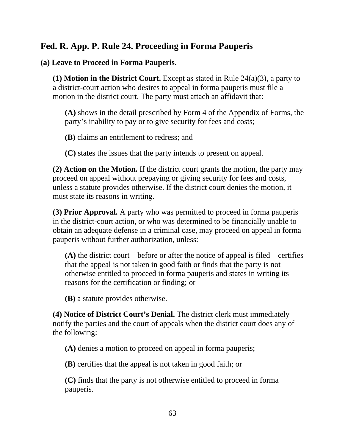## **Fed. R. App. P. Rule 24. Proceeding in Forma Pauperis**

#### **(a) Leave to Proceed in Forma Pauperis.**

**(1) Motion in the District Court.** Except as stated in Rule 24(a)(3), a party to a district-court action who desires to appeal in forma pauperis must file a motion in the district court. The party must attach an affidavit that:

**(A)** shows in the detail prescribed by Form 4 of the Appendix of Forms, the party's inability to pay or to give security for fees and costs;

**(B)** claims an entitlement to redress; and

**(C)** states the issues that the party intends to present on appeal.

**(2) Action on the Motion.** If the district court grants the motion, the party may proceed on appeal without prepaying or giving security for fees and costs, unless a statute provides otherwise. If the district court denies the motion, it must state its reasons in writing.

**(3) Prior Approval.** A party who was permitted to proceed in forma pauperis in the district-court action, or who was determined to be financially unable to obtain an adequate defense in a criminal case, may proceed on appeal in forma pauperis without further authorization, unless:

**(A)** the district court—before or after the notice of appeal is filed—certifies that the appeal is not taken in good faith or finds that the party is not otherwise entitled to proceed in forma pauperis and states in writing its reasons for the certification or finding; or

**(B)** a statute provides otherwise.

**(4) Notice of District Court's Denial.** The district clerk must immediately notify the parties and the court of appeals when the district court does any of the following:

**(A)** denies a motion to proceed on appeal in forma pauperis;

**(B)** certifies that the appeal is not taken in good faith; or

**(C)** finds that the party is not otherwise entitled to proceed in forma pauperis.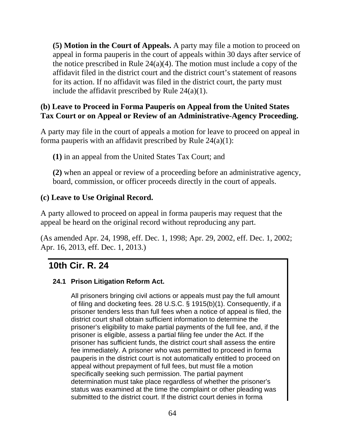**(5) Motion in the Court of Appeals.** A party may file a motion to proceed on appeal in forma pauperis in the court of appeals within 30 days after service of the notice prescribed in Rule  $24(a)(4)$ . The motion must include a copy of the affidavit filed in the district court and the district court's statement of reasons for its action. If no affidavit was filed in the district court, the party must include the affidavit prescribed by Rule 24(a)(1).

### **(b) Leave to Proceed in Forma Pauperis on Appeal from the United States Tax Court or on Appeal or Review of an Administrative-Agency Proceeding.**

A party may file in the court of appeals a motion for leave to proceed on appeal in forma pauperis with an affidavit prescribed by Rule  $24(a)(1)$ :

**(1)** in an appeal from the United States Tax Court; and

**(2)** when an appeal or review of a proceeding before an administrative agency, board, commission, or officer proceeds directly in the court of appeals.

### **(c) Leave to Use Original Record.**

A party allowed to proceed on appeal in forma pauperis may request that the appeal be heard on the original record without reproducing any part.

(As amended Apr. 24, 1998, eff. Dec. 1, 1998; Apr. 29, 2002, eff. Dec. 1, 2002; Apr. 16, 2013, eff. Dec. 1, 2013.)

## **10th Cir. R. 24**

#### **24.1 Prison Litigation Reform Act.**

All prisoners bringing civil actions or appeals must pay the full amount of filing and docketing fees. 28 U.S.C. § 1915(b)(1). Consequently, if a prisoner tenders less than full fees when a notice of appeal is filed, the district court shall obtain sufficient information to determine the prisoner's eligibility to make partial payments of the full fee, and, if the prisoner is eligible, assess a partial filing fee under the Act. If the prisoner has sufficient funds, the district court shall assess the entire fee immediately. A prisoner who was permitted to proceed in forma pauperis in the district court is not automatically entitled to proceed on appeal without prepayment of full fees, but must file a motion specifically seeking such permission. The partial payment determination must take place regardless of whether the prisoner's status was examined at the time the complaint or other pleading was submitted to the district court. If the district court denies in forma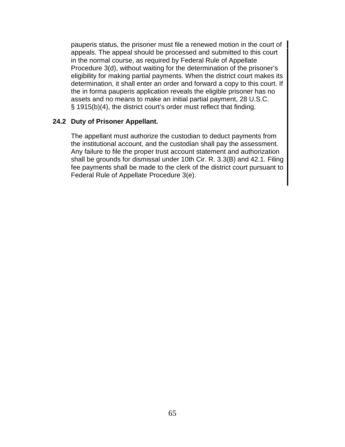pauperis status, the prisoner must file a renewed motion in the court of appeals. The appeal should be processed and submitted to this court in the normal course, as required by Federal Rule of Appellate Procedure 3(d), without waiting for the determination of the prisoner's eligibility for making partial payments. When the district court makes its determination, it shall enter an order and forward a copy to this court. If the in forma pauperis application reveals the eligible prisoner has no assets and no means to make an initial partial payment, 28 U.S.C. § 1915(b)(4), the district court's order must reflect that finding.

#### **24.2 Duty of Prisoner Appellant.**

The appellant must authorize the custodian to deduct payments from the institutional account, and the custodian shall pay the assessment. Any failure to file the proper trust account statement and authorization shall be grounds for dismissal under 10th Cir. R. 3.3(B) and 42.1. Filing fee payments shall be made to the clerk of the district court pursuant to Federal Rule of Appellate Procedure 3(e).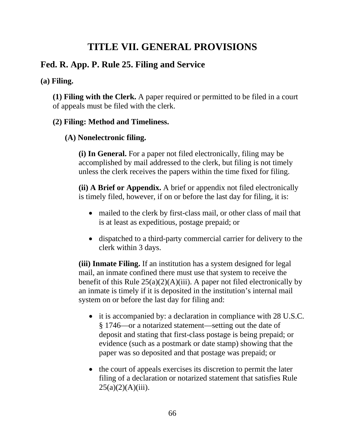# **TITLE VII. GENERAL PROVISIONS**

## **Fed. R. App. P. Rule 25. Filing and Service**

#### **(a) Filing.**

**(1) Filing with the Clerk.** A paper required or permitted to be filed in a court of appeals must be filed with the clerk.

#### **(2) Filing: Method and Timeliness.**

#### **(A) Nonelectronic filing.**

**(i) In General.** For a paper not filed electronically, filing may be accomplished by mail addressed to the clerk, but filing is not timely unless the clerk receives the papers within the time fixed for filing.

**(ii) A Brief or Appendix.** A brief or appendix not filed electronically is timely filed, however, if on or before the last day for filing, it is:

- mailed to the clerk by first-class mail, or other class of mail that is at least as expeditious, postage prepaid; or
- dispatched to a third-party commercial carrier for delivery to the clerk within 3 days.

**(iii) Inmate Filing.** If an institution has a system designed for legal mail, an inmate confined there must use that system to receive the benefit of this Rule  $25(a)(2)(A)(iii)$ . A paper not filed electronically by an inmate is timely if it is deposited in the institution's internal mail system on or before the last day for filing and:

- it is accompanied by: a declaration in compliance with 28 U.S.C. § 1746—or a notarized statement—setting out the date of deposit and stating that first-class postage is being prepaid; or evidence (such as a postmark or date stamp) showing that the paper was so deposited and that postage was prepaid; or
- the court of appeals exercises its discretion to permit the later filing of a declaration or notarized statement that satisfies Rule  $25(a)(2)(A)(iii)$ .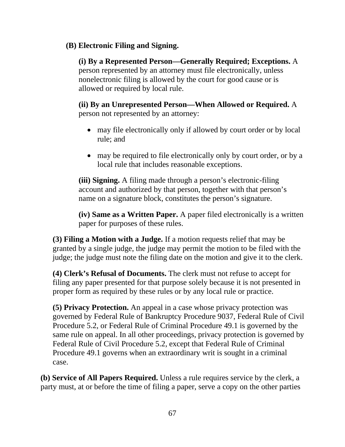### **(B) Electronic Filing and Signing.**

**(i) By a Represented Person—Generally Required; Exceptions.** A person represented by an attorney must file electronically, unless nonelectronic filing is allowed by the court for good cause or is allowed or required by local rule.

**(ii) By an Unrepresented Person—When Allowed or Required.** A person not represented by an attorney:

- may file electronically only if allowed by court order or by local rule; and
- may be required to file electronically only by court order, or by a local rule that includes reasonable exceptions.

**(iii) Signing.** A filing made through a person's electronic-filing account and authorized by that person, together with that person's name on a signature block, constitutes the person's signature.

**(iv) Same as a Written Paper.** A paper filed electronically is a written paper for purposes of these rules.

**(3) Filing a Motion with a Judge.** If a motion requests relief that may be granted by a single judge, the judge may permit the motion to be filed with the judge; the judge must note the filing date on the motion and give it to the clerk.

**(4) Clerk's Refusal of Documents.** The clerk must not refuse to accept for filing any paper presented for that purpose solely because it is not presented in proper form as required by these rules or by any local rule or practice.

**(5) Privacy Protection.** An appeal in a case whose privacy protection was governed by Federal Rule of Bankruptcy Procedure 9037, Federal Rule of Civil Procedure 5.2, or Federal Rule of Criminal Procedure 49.1 is governed by the same rule on appeal. In all other proceedings, privacy protection is governed by Federal Rule of Civil Procedure 5.2, except that Federal Rule of Criminal Procedure 49.1 governs when an extraordinary writ is sought in a criminal case.

**(b) Service of All Papers Required.** Unless a rule requires service by the clerk, a party must, at or before the time of filing a paper, serve a copy on the other parties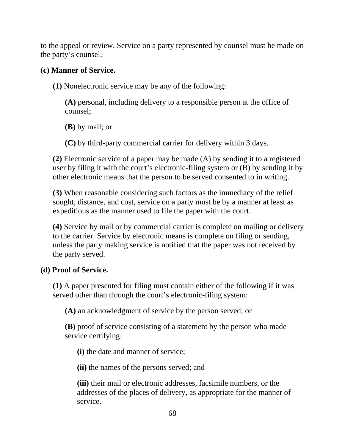to the appeal or review. Service on a party represented by counsel must be made on the party's counsel.

#### **(c) Manner of Service.**

**(1)** Nonelectronic service may be any of the following:

**(A)** personal, including delivery to a responsible person at the office of counsel;

**(B)** by mail; or

**(C)** by third-party commercial carrier for delivery within 3 days.

**(2)** Electronic service of a paper may be made (A) by sending it to a registered user by filing it with the court's electronic-filing system or (B) by sending it by other electronic means that the person to be served consented to in writing.

**(3)** When reasonable considering such factors as the immediacy of the relief sought, distance, and cost, service on a party must be by a manner at least as expeditious as the manner used to file the paper with the court.

**(4)** Service by mail or by commercial carrier is complete on mailing or delivery to the carrier. Service by electronic means is complete on filing or sending, unless the party making service is notified that the paper was not received by the party served.

### **(d) Proof of Service.**

**(1)** A paper presented for filing must contain either of the following if it was served other than through the court's electronic-filing system:

**(A)** an acknowledgment of service by the person served; or

**(B)** proof of service consisting of a statement by the person who made service certifying:

**(i)** the date and manner of service;

**(ii)** the names of the persons served; and

**(iii)** their mail or electronic addresses, facsimile numbers, or the addresses of the places of delivery, as appropriate for the manner of service.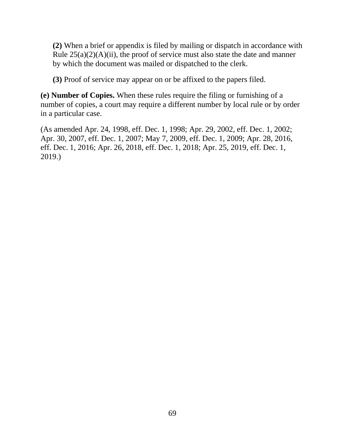**(2)** When a brief or appendix is filed by mailing or dispatch in accordance with Rule  $25(a)(2)(A)(ii)$ , the proof of service must also state the date and manner by which the document was mailed or dispatched to the clerk.

**(3)** Proof of service may appear on or be affixed to the papers filed.

**(e) Number of Copies.** When these rules require the filing or furnishing of a number of copies, a court may require a different number by local rule or by order in a particular case.

(As amended Apr. 24, 1998, eff. Dec. 1, 1998; Apr. 29, 2002, eff. Dec. 1, 2002; Apr. 30, 2007, eff. Dec. 1, 2007; May 7, 2009, eff. Dec. 1, 2009; Apr. 28, 2016, eff. Dec. 1, 2016; Apr. 26, 2018, eff. Dec. 1, 2018; Apr. 25, 2019, eff. Dec. 1, 2019.)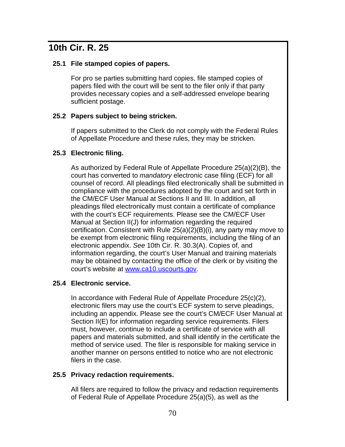## **10th Cir. R. 25**

#### **25.1 File stamped copies of papers.**

For pro se parties submitting hard copies, file stamped copies of papers filed with the court will be sent to the filer only if that party provides necessary copies and a self-addressed envelope bearing sufficient postage.

#### **25.2 Papers subject to being stricken.**

If papers submitted to the Clerk do not comply with the Federal Rules of Appellate Procedure and these rules, they may be stricken.

#### **25.3 Electronic filing.**

As authorized by Federal Rule of Appellate Procedure 25(a)(2)(B), the court has converted to *mandatory* electronic case filing (ECF) for all counsel of record. All pleadings filed electronically shall be submitted in compliance with the procedures adopted by the court and set forth in the CM/ECF User Manual at Sections II and III. In addition, all pleadings filed electronically must contain a certificate of compliance with the court's ECF requirements. Please see the CM/ECF User Manual at Section II(J) for information regarding the required certification. Consistent with Rule 25(a)(2)(B)(i), any party may move to be exempt from electronic filing requirements, including the filing of an electronic appendix. *See* 10th Cir. R. 30.3(A). Copies of, and information regarding, the court's User Manual and training materials may be obtained by contacting the office of the clerk or by visiting the court's website at [www.ca10.uscourts.gov.](http://www.ca10.uscourts.gov/)

#### **25.4 Electronic service.**

In accordance with Federal Rule of Appellate Procedure 25(c)(2), electronic filers may use the court's ECF system to serve pleadings, including an appendix. Please see the court's CM/ECF User Manual at Section II(E) for information regarding service requirements. Filers must, however, continue to include a certificate of service with all papers and materials submitted, and shall identify in the certificate the method of service used. The filer is responsible for making service in another manner on persons entitled to notice who are not electronic filers in the case.

#### **25.5 Privacy redaction requirements.**

All filers are required to follow the privacy and redaction requirements of Federal Rule of Appellate Procedure 25(a)(5), as well as the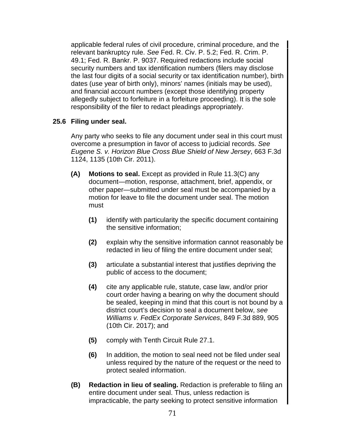applicable federal rules of civil procedure, criminal procedure, and the relevant bankruptcy rule. *See* Fed. R. Civ. P. 5.2; Fed. R. Crim. P. 49.1; Fed. R. Bankr. P. 9037. Required redactions include social security numbers and tax identification numbers (filers may disclose the last four digits of a social security or tax identification number), birth dates (use year of birth only), minors' names (initials may be used), and financial account numbers (except those identifying property allegedly subject to forfeiture in a forfeiture proceeding). It is the sole responsibility of the filer to redact pleadings appropriately.

#### **25.6 Filing under seal.**

Any party who seeks to file any document under seal in this court must overcome a presumption in favor of access to judicial records. *See Eugene S. v. Horizon Blue Cross Blue Shield of New Jersey*, 663 F.3d 1124, 1135 (10th Cir. 2011).

- **(A) Motions to seal.** Except as provided in Rule 11.3(C) any document—motion, response, attachment, brief, appendix, or other paper—submitted under seal must be accompanied by a motion for leave to file the document under seal. The motion must
	- **(1)** identify with particularity the specific document containing the sensitive information;
	- **(2)** explain why the sensitive information cannot reasonably be redacted in lieu of filing the entire document under seal;
	- **(3)** articulate a substantial interest that justifies depriving the public of access to the document;
	- **(4)** cite any applicable rule, statute, case law, and/or prior court order having a bearing on why the document should be sealed, keeping in mind that this court is not bound by a district court's decision to seal a document below, *see Williams v. FedEx Corporate Services*, 849 F.3d 889, 905 (10th Cir. 2017); and
	- **(5)** comply with Tenth Circuit Rule 27.1.
	- **(6)** In addition, the motion to seal need not be filed under seal unless required by the nature of the request or the need to protect sealed information.
- **(B) Redaction in lieu of sealing.** Redaction is preferable to filing an entire document under seal. Thus, unless redaction is impracticable, the party seeking to protect sensitive information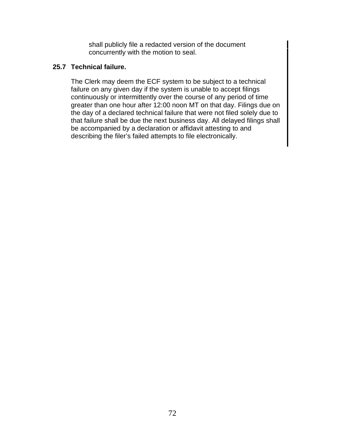shall publicly file a redacted version of the document concurrently with the motion to seal.

#### **25.7 Technical failure.**

The Clerk may deem the ECF system to be subject to a technical failure on any given day if the system is unable to accept filings continuously or intermittently over the course of any period of time greater than one hour after 12:00 noon MT on that day. Filings due on the day of a declared technical failure that were not filed solely due to that failure shall be due the next business day. All delayed filings shall be accompanied by a declaration or affidavit attesting to and describing the filer's failed attempts to file electronically.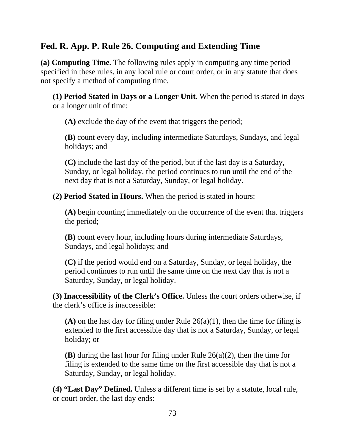## **Fed. R. App. P. Rule 26. Computing and Extending Time**

**(a) Computing Time.** The following rules apply in computing any time period specified in these rules, in any local rule or court order, or in any statute that does not specify a method of computing time.

**(1) Period Stated in Days or a Longer Unit.** When the period is stated in days or a longer unit of time:

**(A)** exclude the day of the event that triggers the period;

**(B)** count every day, including intermediate Saturdays, Sundays, and legal holidays; and

**(C)** include the last day of the period, but if the last day is a Saturday, Sunday, or legal holiday, the period continues to run until the end of the next day that is not a Saturday, Sunday, or legal holiday.

**(2) Period Stated in Hours.** When the period is stated in hours:

**(A)** begin counting immediately on the occurrence of the event that triggers the period;

**(B)** count every hour, including hours during intermediate Saturdays, Sundays, and legal holidays; and

**(C)** if the period would end on a Saturday, Sunday, or legal holiday, the period continues to run until the same time on the next day that is not a Saturday, Sunday, or legal holiday.

**(3) Inaccessibility of the Clerk's Office.** Unless the court orders otherwise, if the clerk's office is inaccessible:

**(A)** on the last day for filing under Rule 26(a)(1), then the time for filing is extended to the first accessible day that is not a Saturday, Sunday, or legal holiday; or

**(B)** during the last hour for filing under Rule 26(a)(2), then the time for filing is extended to the same time on the first accessible day that is not a Saturday, Sunday, or legal holiday.

**(4) "Last Day" Defined.** Unless a different time is set by a statute, local rule, or court order, the last day ends: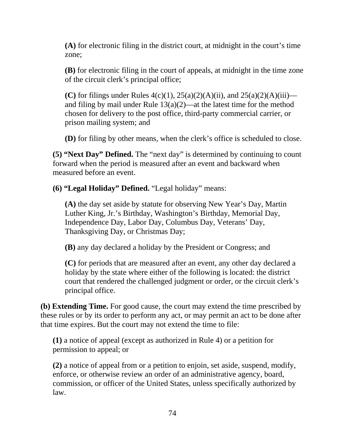**(A)** for electronic filing in the district court, at midnight in the court's time zone;

**(B)** for electronic filing in the court of appeals, at midnight in the time zone of the circuit clerk's principal office;

**(C)** for filings under Rules  $4(c)(1)$ ,  $25(a)(2)(A)(ii)$ , and  $25(a)(2)(A)(iii)$  and filing by mail under Rule  $13(a)(2)$ —at the latest time for the method chosen for delivery to the post office, third-party commercial carrier, or prison mailing system; and

**(D)** for filing by other means, when the clerk's office is scheduled to close.

**(5) "Next Day" Defined.** The "next day" is determined by continuing to count forward when the period is measured after an event and backward when measured before an event.

**(6) "Legal Holiday" Defined.** "Legal holiday" means:

**(A)** the day set aside by statute for observing New Year's Day, Martin Luther King, Jr.'s Birthday, Washington's Birthday, Memorial Day, Independence Day, Labor Day, Columbus Day, Veterans' Day, Thanksgiving Day, or Christmas Day;

**(B)** any day declared a holiday by the President or Congress; and

**(C)** for periods that are measured after an event, any other day declared a holiday by the state where either of the following is located: the district court that rendered the challenged judgment or order, or the circuit clerk's principal office.

**(b) Extending Time.** For good cause, the court may extend the time prescribed by these rules or by its order to perform any act, or may permit an act to be done after that time expires. But the court may not extend the time to file:

**(1)** a notice of appeal (except as authorized in Rule 4) or a petition for permission to appeal; or

**(2)** a notice of appeal from or a petition to enjoin, set aside, suspend, modify, enforce, or otherwise review an order of an administrative agency, board, commission, or officer of the United States, unless specifically authorized by law.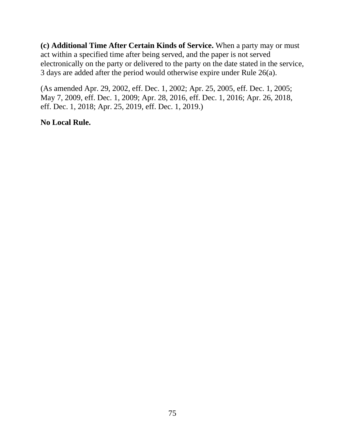**(c) Additional Time After Certain Kinds of Service.** When a party may or must act within a specified time after being served, and the paper is not served electronically on the party or delivered to the party on the date stated in the service, 3 days are added after the period would otherwise expire under Rule 26(a).

(As amended Apr. 29, 2002, eff. Dec. 1, 2002; Apr. 25, 2005, eff. Dec. 1, 2005; May 7, 2009, eff. Dec. 1, 2009; Apr. 28, 2016, eff. Dec. 1, 2016; Apr. 26, 2018, eff. Dec. 1, 2018; Apr. 25, 2019, eff. Dec. 1, 2019.)

#### **No Local Rule.**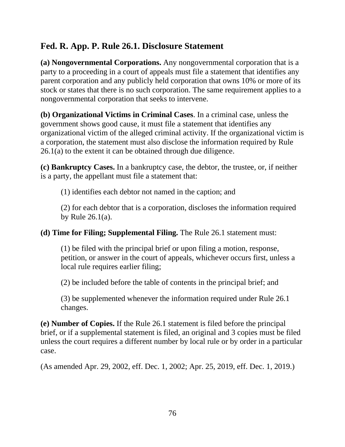## **Fed. R. App. P. Rule 26.1. Disclosure Statement**

**(a) Nongovernmental Corporations.** Any nongovernmental corporation that is a party to a proceeding in a court of appeals must file a statement that identifies any parent corporation and any publicly held corporation that owns 10% or more of its stock or states that there is no such corporation. The same requirement applies to a nongovernmental corporation that seeks to intervene.

**(b) Organizational Victims in Criminal Cases**. In a criminal case, unless the government shows good cause, it must file a statement that identifies any organizational victim of the alleged criminal activity. If the organizational victim is a corporation, the statement must also disclose the information required by Rule 26.1(a) to the extent it can be obtained through due diligence.

**(c) Bankruptcy Cases.** In a bankruptcy case, the debtor, the trustee, or, if neither is a party, the appellant must file a statement that:

(1) identifies each debtor not named in the caption; and

(2) for each debtor that is a corporation, discloses the information required by Rule 26.1(a).

**(d) Time for Filing; Supplemental Filing.** The Rule 26.1 statement must:

(1) be filed with the principal brief or upon filing a motion, response, petition, or answer in the court of appeals, whichever occurs first, unless a local rule requires earlier filing;

(2) be included before the table of contents in the principal brief; and

(3) be supplemented whenever the information required under Rule 26.1 changes.

**(e) Number of Copies.** If the Rule 26.1 statement is filed before the principal brief, or if a supplemental statement is filed, an original and 3 copies must be filed unless the court requires a different number by local rule or by order in a particular case.

(As amended Apr. 29, 2002, eff. Dec. 1, 2002; Apr. 25, 2019, eff. Dec. 1, 2019.)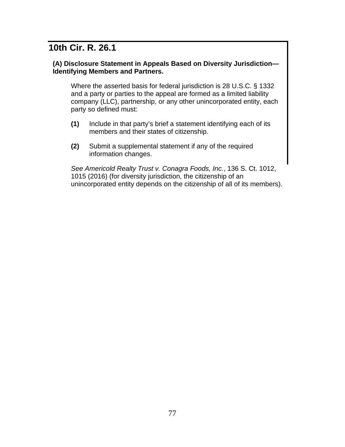## **10th Cir. R. 26.1**

#### **(A) Disclosure Statement in Appeals Based on Diversity Jurisdiction— Identifying Members and Partners.**

Where the asserted basis for federal jurisdiction is 28 U.S.C. § 1332 and a party or parties to the appeal are formed as a limited liability company (LLC), partnership, or any other unincorporated entity, each party so defined must:

- **(1)** Include in that party's brief a statement identifying each of its members and their states of citizenship.
- **(2)** Submit a supplemental statement if any of the required information changes.

*See Americold Realty Trust v. Conagra Foods, Inc.*, 136 S. Ct. 1012, 1015 (2016) (for diversity jurisdiction, the citizenship of an unincorporated entity depends on the citizenship of all of its members).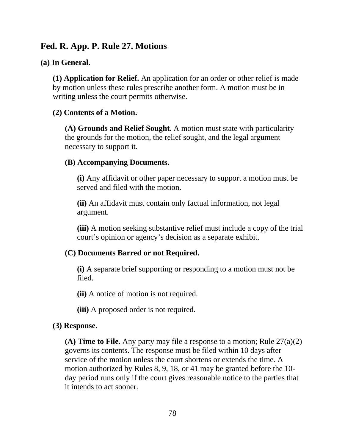## **Fed. R. App. P. Rule 27. Motions**

### **(a) In General.**

**(1) Application for Relief.** An application for an order or other relief is made by motion unless these rules prescribe another form. A motion must be in writing unless the court permits otherwise.

### **(2) Contents of a Motion.**

**(A) Grounds and Relief Sought.** A motion must state with particularity the grounds for the motion, the relief sought, and the legal argument necessary to support it.

### **(B) Accompanying Documents.**

**(i)** Any affidavit or other paper necessary to support a motion must be served and filed with the motion.

**(ii)** An affidavit must contain only factual information, not legal argument.

**(iii)** A motion seeking substantive relief must include a copy of the trial court's opinion or agency's decision as a separate exhibit.

### **(C) Documents Barred or not Required.**

**(i)** A separate brief supporting or responding to a motion must not be filed.

**(ii)** A notice of motion is not required.

**(iii)** A proposed order is not required.

### **(3) Response.**

**(A) Time to File.** Any party may file a response to a motion; Rule 27(a)(2) governs its contents. The response must be filed within 10 days after service of the motion unless the court shortens or extends the time. A motion authorized by Rules 8, 9, 18, or 41 may be granted before the 10 day period runs only if the court gives reasonable notice to the parties that it intends to act sooner.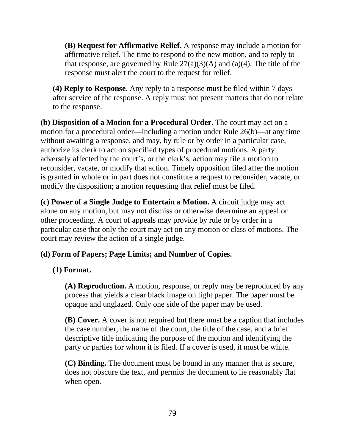**(B) Request for Affirmative Relief.** A response may include a motion for affirmative relief. The time to respond to the new motion, and to reply to that response, are governed by Rule  $27(a)(3)(A)$  and  $(a)(4)$ . The title of the response must alert the court to the request for relief.

**(4) Reply to Response.** Any reply to a response must be filed within 7 days after service of the response. A reply must not present matters that do not relate to the response.

**(b) Disposition of a Motion for a Procedural Order.** The court may act on a motion for a procedural order—including a motion under Rule 26(b)—at any time without awaiting a response, and may, by rule or by order in a particular case, authorize its clerk to act on specified types of procedural motions. A party adversely affected by the court's, or the clerk's, action may file a motion to reconsider, vacate, or modify that action. Timely opposition filed after the motion is granted in whole or in part does not constitute a request to reconsider, vacate, or modify the disposition; a motion requesting that relief must be filed.

**(c) Power of a Single Judge to Entertain a Motion.** A circuit judge may act alone on any motion, but may not dismiss or otherwise determine an appeal or other proceeding. A court of appeals may provide by rule or by order in a particular case that only the court may act on any motion or class of motions. The court may review the action of a single judge.

### **(d) Form of Papers; Page Limits; and Number of Copies.**

### **(1) Format.**

**(A) Reproduction.** A motion, response, or reply may be reproduced by any process that yields a clear black image on light paper. The paper must be opaque and unglazed. Only one side of the paper may be used.

**(B) Cover.** A cover is not required but there must be a caption that includes the case number, the name of the court, the title of the case, and a brief descriptive title indicating the purpose of the motion and identifying the party or parties for whom it is filed. If a cover is used, it must be white.

**(C) Binding.** The document must be bound in any manner that is secure, does not obscure the text, and permits the document to lie reasonably flat when open.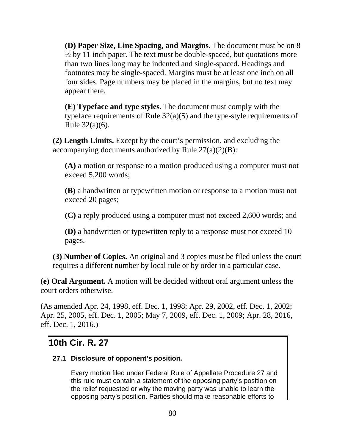**(D) Paper Size, Line Spacing, and Margins.** The document must be on 8  $\frac{1}{2}$  by 11 inch paper. The text must be double-spaced, but quotations more than two lines long may be indented and single-spaced. Headings and footnotes may be single-spaced. Margins must be at least one inch on all four sides. Page numbers may be placed in the margins, but no text may appear there.

**(E) Typeface and type styles.** The document must comply with the typeface requirements of Rule 32(a)(5) and the type-style requirements of Rule 32(a)(6).

**(2) Length Limits.** Except by the court's permission, and excluding the accompanying documents authorized by Rule  $27(a)(2)(B)$ :

**(A)** a motion or response to a motion produced using a computer must not exceed 5,200 words;

**(B)** a handwritten or typewritten motion or response to a motion must not exceed 20 pages;

**(C)** a reply produced using a computer must not exceed 2,600 words; and

**(D)** a handwritten or typewritten reply to a response must not exceed 10 pages.

**(3) Number of Copies.** An original and 3 copies must be filed unless the court requires a different number by local rule or by order in a particular case.

**(e) Oral Argument.** A motion will be decided without oral argument unless the court orders otherwise.

(As amended Apr. 24, 1998, eff. Dec. 1, 1998; Apr. 29, 2002, eff. Dec. 1, 2002; Apr. 25, 2005, eff. Dec. 1, 2005; May 7, 2009, eff. Dec. 1, 2009; Apr. 28, 2016, eff. Dec. 1, 2016.)

## **10th Cir. R. 27**

#### **27.1 Disclosure of opponent's position.**

Every motion filed under Federal Rule of Appellate Procedure 27 and this rule must contain a statement of the opposing party's position on the relief requested or why the moving party was unable to learn the opposing party's position. Parties should make reasonable efforts to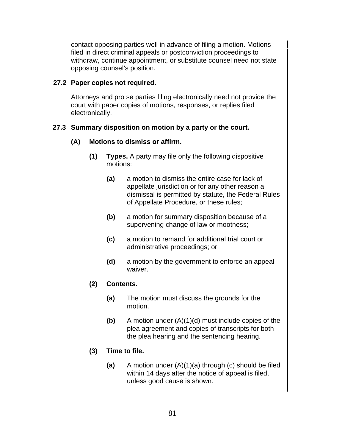contact opposing parties well in advance of filing a motion. Motions filed in direct criminal appeals or postconviction proceedings to withdraw, continue appointment, or substitute counsel need not state opposing counsel's position.

#### **27.2 Paper copies not required.**

Attorneys and pro se parties filing electronically need not provide the court with paper copies of motions, responses, or replies filed electronically.

#### **27.3 Summary disposition on motion by a party or the court.**

#### **(A) Motions to dismiss or affirm.**

- **(1) Types.** A party may file only the following dispositive motions:
	- **(a)** a motion to dismiss the entire case for lack of appellate jurisdiction or for any other reason a dismissal is permitted by statute, the Federal Rules of Appellate Procedure, or these rules;
	- **(b)** a motion for summary disposition because of a supervening change of law or mootness;
	- **(c)** a motion to remand for additional trial court or administrative proceedings; or
	- **(d)** a motion by the government to enforce an appeal waiver.

#### **(2) Contents.**

- **(a)** The motion must discuss the grounds for the motion.
- **(b)** A motion under (A)(1)(d) must include copies of the plea agreement and copies of transcripts for both the plea hearing and the sentencing hearing.
- **(3) Time to file.**
	- **(a)** A motion under (A)(1)(a) through (c) should be filed within 14 days after the notice of appeal is filed, unless good cause is shown.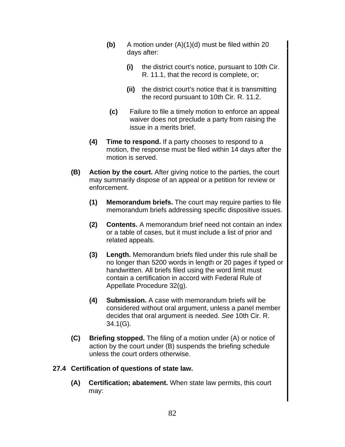- **(b)** A motion under (A)(1)(d) must be filed within 20 days after:
	- **(i)** the district court's notice, pursuant to 10th Cir. R. 11.1, that the record is complete, or;
	- **(ii)** the district court's notice that it is transmitting the record pursuant to 10th Cir. R. 11.2.
- **(c)** Failure to file a timely motion to enforce an appeal waiver does not preclude a party from raising the issue in a merits brief.
- **(4) Time to respond.** If a party chooses to respond to a motion, the response must be filed within 14 days after the motion is served.
- **(B) Action by the court.** After giving notice to the parties, the court may summarily dispose of an appeal or a petition for review or enforcement.
	- **(1) Memorandum briefs.** The court may require parties to file memorandum briefs addressing specific dispositive issues.
	- **(2) Contents.** A memorandum brief need not contain an index or a table of cases, but it must include a list of prior and related appeals.
	- **(3) Length.** Memorandum briefs filed under this rule shall be no longer than 5200 words in length or 20 pages if typed or handwritten. All briefs filed using the word limit must contain a certification in accord with Federal Rule of Appellate Procedure 32(g).
	- **(4) Submission.** A case with memorandum briefs will be considered without oral argument, unless a panel member decides that oral argument is needed. *See* 10th Cir. R. 34.1(G).
- **(C) Briefing stopped.** The filing of a motion under (A) or notice of action by the court under (B) suspends the briefing schedule unless the court orders otherwise.

#### **27.4 Certification of questions of state law.**

**(A) Certification; abatement.** When state law permits, this court may: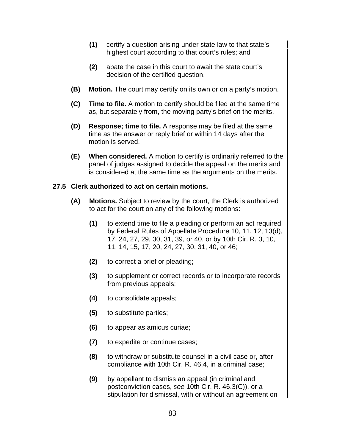- **(1)** certify a question arising under state law to that state's highest court according to that court's rules; and
- **(2)** abate the case in this court to await the state court's decision of the certified question.
- **(B) Motion.** The court may certify on its own or on a party's motion.
- **(C) Time to file.** A motion to certify should be filed at the same time as, but separately from, the moving party's brief on the merits.
- **(D) Response; time to file.** A response may be filed at the same time as the answer or reply brief or within 14 days after the motion is served.
- **(E) When considered.** A motion to certify is ordinarily referred to the panel of judges assigned to decide the appeal on the merits and is considered at the same time as the arguments on the merits.

#### **27.5 Clerk authorized to act on certain motions.**

- **(A) Motions.** Subject to review by the court, the Clerk is authorized to act for the court on any of the following motions:
	- **(1)** to extend time to file a pleading or perform an act required by Federal Rules of Appellate Procedure 10, 11, 12, 13(d), 17, 24, 27, 29, 30, 31, 39, or 40, or by 10th Cir. R. 3, 10, 11, 14, 15, 17, 20, 24, 27, 30, 31, 40, or 46;
	- **(2)** to correct a brief or pleading;
	- **(3)** to supplement or correct records or to incorporate records from previous appeals;
	- **(4)** to consolidate appeals;
	- **(5)** to substitute parties;
	- **(6)** to appear as amicus curiae;
	- **(7)** to expedite or continue cases;
	- **(8)** to withdraw or substitute counsel in a civil case or, after compliance with 10th Cir. R. 46.4, in a criminal case;
	- **(9)** by appellant to dismiss an appeal (in criminal and postconviction cases, *see* 10th Cir. R. 46.3(C)), or a stipulation for dismissal, with or without an agreement on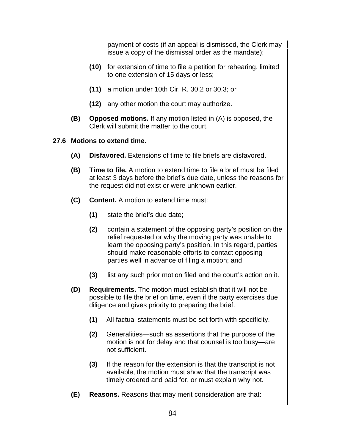payment of costs (if an appeal is dismissed, the Clerk may issue a copy of the dismissal order as the mandate);

- **(10)** for extension of time to file a petition for rehearing, limited to one extension of 15 days or less;
- **(11)** a motion under 10th Cir. R. 30.2 or 30.3; or
- **(12)** any other motion the court may authorize.
- **(B) Opposed motions.** If any motion listed in (A) is opposed, the Clerk will submit the matter to the court.

#### **27.6 Motions to extend time.**

- **(A) Disfavored.** Extensions of time to file briefs are disfavored.
- **(B) Time to file.** A motion to extend time to file a brief must be filed at least 3 days before the brief's due date, unless the reasons for the request did not exist or were unknown earlier.
- **(C) Content.** A motion to extend time must:
	- **(1)** state the brief's due date;
	- **(2)** contain a statement of the opposing party's position on the relief requested or why the moving party was unable to learn the opposing party's position. In this regard, parties should make reasonable efforts to contact opposing parties well in advance of filing a motion; and
	- **(3)** list any such prior motion filed and the court's action on it.
- **(D) Requirements.** The motion must establish that it will not be possible to file the brief on time, even if the party exercises due diligence and gives priority to preparing the brief.
	- **(1)** All factual statements must be set forth with specificity.
	- **(2)** Generalities—such as assertions that the purpose of the motion is not for delay and that counsel is too busy—are not sufficient.
	- **(3)** If the reason for the extension is that the transcript is not available, the motion must show that the transcript was timely ordered and paid for, or must explain why not.
- **(E) Reasons.** Reasons that may merit consideration are that: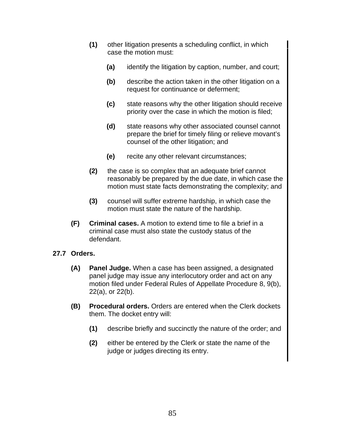- **(1)** other litigation presents a scheduling conflict, in which case the motion must:
	- **(a)** identify the litigation by caption, number, and court;
	- **(b)** describe the action taken in the other litigation on a request for continuance or deferment;
	- **(c)** state reasons why the other litigation should receive priority over the case in which the motion is filed;
	- **(d)** state reasons why other associated counsel cannot prepare the brief for timely filing or relieve movant's counsel of the other litigation; and
	- **(e)** recite any other relevant circumstances;
- **(2)** the case is so complex that an adequate brief cannot reasonably be prepared by the due date, in which case the motion must state facts demonstrating the complexity; and
- **(3)** counsel will suffer extreme hardship, in which case the motion must state the nature of the hardship.
- **(F) Criminal cases.** A motion to extend time to file a brief in a criminal case must also state the custody status of the defendant.

#### **27.7 Orders.**

- **(A) Panel Judge.** When a case has been assigned, a designated panel judge may issue any interlocutory order and act on any motion filed under Federal Rules of Appellate Procedure 8, 9(b), 22(a), or 22(b).
- **(B) Procedural orders.** Orders are entered when the Clerk dockets them. The docket entry will:
	- **(1)** describe briefly and succinctly the nature of the order; and
	- **(2)** either be entered by the Clerk or state the name of the judge or judges directing its entry.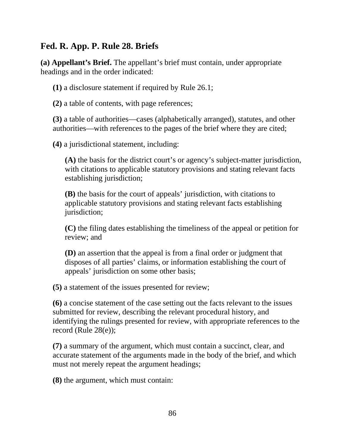## **Fed. R. App. P. Rule 28. Briefs**

**(a) Appellant's Brief.** The appellant's brief must contain, under appropriate headings and in the order indicated:

**(1)** a disclosure statement if required by Rule 26.1;

**(2)** a table of contents, with page references;

**(3)** a table of authorities—cases (alphabetically arranged), statutes, and other authorities—with references to the pages of the brief where they are cited;

**(4)** a jurisdictional statement, including:

**(A)** the basis for the district court's or agency's subject-matter jurisdiction, with citations to applicable statutory provisions and stating relevant facts establishing jurisdiction;

**(B)** the basis for the court of appeals' jurisdiction, with citations to applicable statutory provisions and stating relevant facts establishing jurisdiction;

**(C)** the filing dates establishing the timeliness of the appeal or petition for review; and

**(D)** an assertion that the appeal is from a final order or judgment that disposes of all parties' claims, or information establishing the court of appeals' jurisdiction on some other basis;

**(5)** a statement of the issues presented for review;

**(6)** a concise statement of the case setting out the facts relevant to the issues submitted for review, describing the relevant procedural history, and identifying the rulings presented for review, with appropriate references to the record (Rule 28(e));

**(7)** a summary of the argument, which must contain a succinct, clear, and accurate statement of the arguments made in the body of the brief, and which must not merely repeat the argument headings;

**(8)** the argument, which must contain: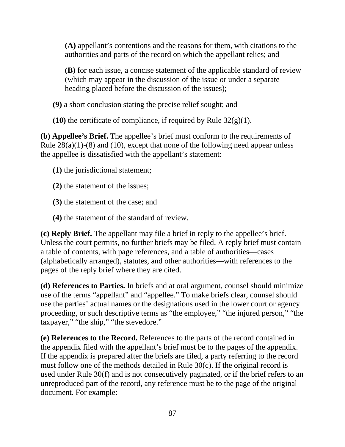**(A)** appellant's contentions and the reasons for them, with citations to the authorities and parts of the record on which the appellant relies; and

**(B)** for each issue, a concise statement of the applicable standard of review (which may appear in the discussion of the issue or under a separate heading placed before the discussion of the issues);

**(9)** a short conclusion stating the precise relief sought; and

**(10)** the certificate of compliance, if required by Rule  $32(g)(1)$ .

**(b) Appellee's Brief.** The appellee's brief must conform to the requirements of Rule  $28(a)(1)-(8)$  and (10), except that none of the following need appear unless the appellee is dissatisfied with the appellant's statement:

- **(1)** the jurisdictional statement;
- **(2)** the statement of the issues;
- **(3)** the statement of the case; and
- **(4)** the statement of the standard of review.

**(c) Reply Brief.** The appellant may file a brief in reply to the appellee's brief. Unless the court permits, no further briefs may be filed. A reply brief must contain a table of contents, with page references, and a table of authorities—cases (alphabetically arranged), statutes, and other authorities—with references to the pages of the reply brief where they are cited.

**(d) References to Parties.** In briefs and at oral argument, counsel should minimize use of the terms "appellant" and "appellee." To make briefs clear, counsel should use the parties' actual names or the designations used in the lower court or agency proceeding, or such descriptive terms as "the employee," "the injured person," "the taxpayer," "the ship," "the stevedore."

**(e) References to the Record.** References to the parts of the record contained in the appendix filed with the appellant's brief must be to the pages of the appendix. If the appendix is prepared after the briefs are filed, a party referring to the record must follow one of the methods detailed in Rule 30(c). If the original record is used under Rule 30(f) and is not consecutively paginated, or if the brief refers to an unreproduced part of the record, any reference must be to the page of the original document. For example: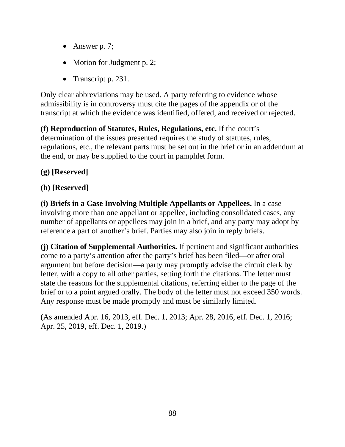- Answer p. 7;
- Motion for Judgment p. 2;
- Transcript p. 231.

Only clear abbreviations may be used. A party referring to evidence whose admissibility is in controversy must cite the pages of the appendix or of the transcript at which the evidence was identified, offered, and received or rejected.

**(f) Reproduction of Statutes, Rules, Regulations, etc.** If the court's determination of the issues presented requires the study of statutes, rules, regulations, etc., the relevant parts must be set out in the brief or in an addendum at the end, or may be supplied to the court in pamphlet form.

## **(g) [Reserved]**

### **(h) [Reserved]**

**(i) Briefs in a Case Involving Multiple Appellants or Appellees.** In a case involving more than one appellant or appellee, including consolidated cases, any number of appellants or appellees may join in a brief, and any party may adopt by reference a part of another's brief. Parties may also join in reply briefs.

**(j) Citation of Supplemental Authorities.** If pertinent and significant authorities come to a party's attention after the party's brief has been filed—or after oral argument but before decision—a party may promptly advise the circuit clerk by letter, with a copy to all other parties, setting forth the citations. The letter must state the reasons for the supplemental citations, referring either to the page of the brief or to a point argued orally. The body of the letter must not exceed 350 words. Any response must be made promptly and must be similarly limited.

(As amended Apr. 16, 2013, eff. Dec. 1, 2013; Apr. 28, 2016, eff. Dec. 1, 2016; Apr. 25, 2019, eff. Dec. 1, 2019.)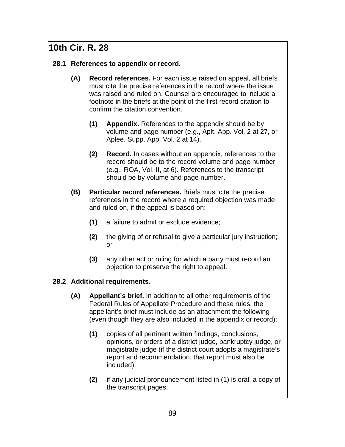## **10th Cir. R. 28**

#### **28.1 References to appendix or record.**

- **(A) Record references.** For each issue raised on appeal, all briefs must cite the precise references in the record where the issue was raised and ruled on. Counsel are encouraged to include a footnote in the briefs at the point of the first record citation to confirm the citation convention.
	- **(1) Appendix.** References to the appendix should be by volume and page number (e.g., Aplt. App. Vol. 2 at 27, or Aplee. Supp. App. Vol. 2 at 14).
	- **(2) Record.** In cases without an appendix, references to the record should be to the record volume and page number (e.g., ROA, Vol. II, at 6). References to the transcript should be by volume and page number.
- **(B) Particular record references.** Briefs must cite the precise references in the record where a required objection was made and ruled on, if the appeal is based on:
	- **(1)** a failure to admit or exclude evidence;
	- **(2)** the giving of or refusal to give a particular jury instruction; or
	- **(3)** any other act or ruling for which a party must record an objection to preserve the right to appeal.

#### **28.2 Additional requirements.**

- **(A) Appellant's brief.** In addition to all other requirements of the Federal Rules of Appellate Procedure and these rules, the appellant's brief must include as an attachment the following (even though they are also included in the appendix or record):
	- **(1)** copies of all pertinent written findings, conclusions, opinions, or orders of a district judge, bankruptcy judge, or magistrate judge (if the district court adopts a magistrate's report and recommendation, that report must also be included);
	- **(2)** if any judicial pronouncement listed in (1) is oral, a copy of the transcript pages;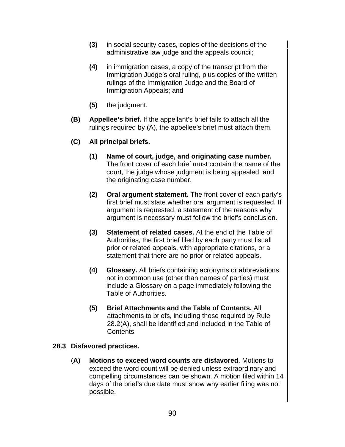- **(3)** in social security cases, copies of the decisions of the administrative law judge and the appeals council;
- **(4)** in immigration cases, a copy of the transcript from the Immigration Judge's oral ruling, plus copies of the written rulings of the Immigration Judge and the Board of Immigration Appeals; and
- **(5)** the judgment.
- **(B) Appellee's brief.** If the appellant's brief fails to attach all the rulings required by (A), the appellee's brief must attach them.
- **(C) All principal briefs.**
	- **(1) Name of court, judge, and originating case number.**  The front cover of each brief must contain the name of the court, the judge whose judgment is being appealed, and the originating case number.
	- **(2) Oral argument statement.** The front cover of each party's first brief must state whether oral argument is requested. If argument is requested, a statement of the reasons why argument is necessary must follow the brief's conclusion.
	- **(3) Statement of related cases.** At the end of the Table of Authorities, the first brief filed by each party must list all prior or related appeals, with appropriate citations, or a statement that there are no prior or related appeals.
	- **(4) Glossary.** All briefs containing acronyms or abbreviations not in common use (other than names of parties) must include a Glossary on a page immediately following the Table of Authorities.
	- **(5) Brief Attachments and the Table of Contents.** All attachments to briefs, including those required by Rule 28.2(A), shall be identified and included in the Table of Contents.

#### **28.3 Disfavored practices.**

(**A) Motions to exceed word counts are disfavored**. Motions to exceed the word count will be denied unless extraordinary and compelling circumstances can be shown. A motion filed within 14 days of the brief's due date must show why earlier filing was not possible.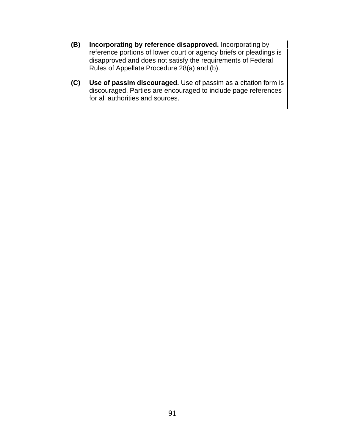- **(B) Incorporating by reference disapproved.** Incorporating by reference portions of lower court or agency briefs or pleadings is disapproved and does not satisfy the requirements of Federal Rules of Appellate Procedure 28(a) and (b).
- **(C) Use of passim discouraged.** Use of passim as a citation form is discouraged. Parties are encouraged to include page references for all authorities and sources.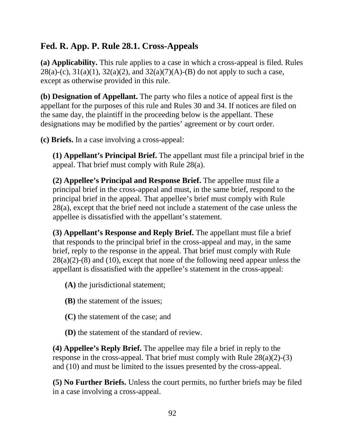## **Fed. R. App. P. Rule 28.1. Cross-Appeals**

**(a) Applicability.** This rule applies to a case in which a cross-appeal is filed. Rules 28(a)-(c),  $31(a)(1)$ ,  $32(a)(2)$ , and  $32(a)(7)(A)$ -(B) do not apply to such a case, except as otherwise provided in this rule.

**(b) Designation of Appellant.** The party who files a notice of appeal first is the appellant for the purposes of this rule and Rules 30 and 34. If notices are filed on the same day, the plaintiff in the proceeding below is the appellant. These designations may be modified by the parties' agreement or by court order.

**(c) Briefs.** In a case involving a cross-appeal:

**(1) Appellant's Principal Brief.** The appellant must file a principal brief in the appeal. That brief must comply with Rule 28(a).

**(2) Appellee's Principal and Response Brief.** The appellee must file a principal brief in the cross-appeal and must, in the same brief, respond to the principal brief in the appeal. That appellee's brief must comply with Rule 28(a), except that the brief need not include a statement of the case unless the appellee is dissatisfied with the appellant's statement.

**(3) Appellant's Response and Reply Brief.** The appellant must file a brief that responds to the principal brief in the cross-appeal and may, in the same brief, reply to the response in the appeal. That brief must comply with Rule  $28(a)(2)-(8)$  and (10), except that none of the following need appear unless the appellant is dissatisfied with the appellee's statement in the cross-appeal:

**(A)** the jurisdictional statement;

**(B)** the statement of the issues;

**(C)** the statement of the case; and

**(D)** the statement of the standard of review.

**(4) Appellee's Reply Brief.** The appellee may file a brief in reply to the response in the cross-appeal. That brief must comply with Rule  $28(a)(2)-(3)$ and (10) and must be limited to the issues presented by the cross-appeal.

**(5) No Further Briefs.** Unless the court permits, no further briefs may be filed in a case involving a cross-appeal.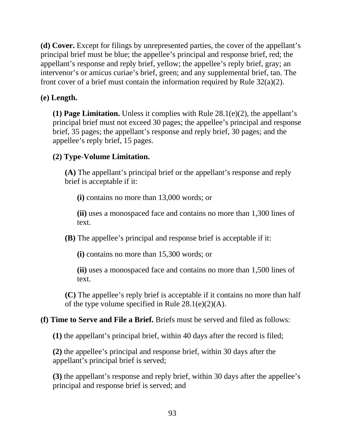**(d) Cover.** Except for filings by unrepresented parties, the cover of the appellant's principal brief must be blue; the appellee's principal and response brief, red; the appellant's response and reply brief, yellow; the appellee's reply brief, gray; an intervenor's or amicus curiae's brief, green; and any supplemental brief, tan. The front cover of a brief must contain the information required by Rule  $32(a)(2)$ .

### **(e) Length.**

**(1) Page Limitation.** Unless it complies with Rule 28.1(e)(2), the appellant's principal brief must not exceed 30 pages; the appellee's principal and response brief, 35 pages; the appellant's response and reply brief, 30 pages; and the appellee's reply brief, 15 pages.

### **(2) Type**-**Volume Limitation.**

**(A)** The appellant's principal brief or the appellant's response and reply brief is acceptable if it:

**(i)** contains no more than 13,000 words; or

**(ii)** uses a monospaced face and contains no more than 1,300 lines of text.

**(B)** The appellee's principal and response brief is acceptable if it:

**(i)** contains no more than 15,300 words; or

**(ii)** uses a monospaced face and contains no more than 1,500 lines of text.

**(C)** The appellee's reply brief is acceptable if it contains no more than half of the type volume specified in Rule  $28.1(e)(2)(A)$ .

### **(f) Time to Serve and File a Brief.** Briefs must be served and filed as follows:

**(1)** the appellant's principal brief, within 40 days after the record is filed;

**(2)** the appellee's principal and response brief, within 30 days after the appellant's principal brief is served;

**(3)** the appellant's response and reply brief, within 30 days after the appellee's principal and response brief is served; and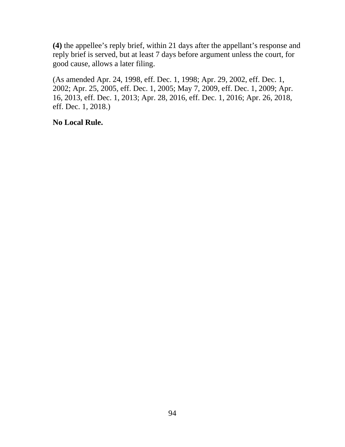**(4)** the appellee's reply brief, within 21 days after the appellant's response and reply brief is served, but at least 7 days before argument unless the court, for good cause, allows a later filing.

(As amended Apr. 24, 1998, eff. Dec. 1, 1998; Apr. 29, 2002, eff. Dec. 1, 2002; Apr. 25, 2005, eff. Dec. 1, 2005; May 7, 2009, eff. Dec. 1, 2009; Apr. 16, 2013, eff. Dec. 1, 2013; Apr. 28, 2016, eff. Dec. 1, 2016; Apr. 26, 2018, eff. Dec. 1, 2018.)

**No Local Rule.**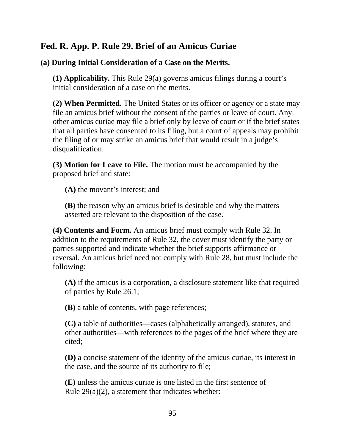## **Fed. R. App. P. Rule 29. Brief of an Amicus Curiae**

#### **(a) During Initial Consideration of a Case on the Merits.**

**(1) Applicability.** This Rule 29(a) governs amicus filings during a court's initial consideration of a case on the merits.

**(2) When Permitted.** The United States or its officer or agency or a state may file an amicus brief without the consent of the parties or leave of court. Any other amicus curiae may file a brief only by leave of court or if the brief states that all parties have consented to its filing, but a court of appeals may prohibit the filing of or may strike an amicus brief that would result in a judge's disqualification.

**(3) Motion for Leave to File.** The motion must be accompanied by the proposed brief and state:

**(A)** the movant's interest; and

**(B)** the reason why an amicus brief is desirable and why the matters asserted are relevant to the disposition of the case.

**(4) Contents and Form.** An amicus brief must comply with Rule 32. In addition to the requirements of Rule 32, the cover must identify the party or parties supported and indicate whether the brief supports affirmance or reversal. An amicus brief need not comply with Rule 28, but must include the following:

**(A)** if the amicus is a corporation, a disclosure statement like that required of parties by Rule 26.1;

**(B)** a table of contents, with page references;

**(C)** a table of authorities—cases (alphabetically arranged), statutes, and other authorities—with references to the pages of the brief where they are cited;

**(D)** a concise statement of the identity of the amicus curiae, its interest in the case, and the source of its authority to file;

**(E)** unless the amicus curiae is one listed in the first sentence of Rule  $29(a)(2)$ , a statement that indicates whether: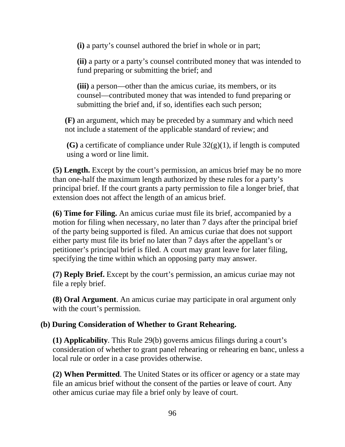**(i)** a party's counsel authored the brief in whole or in part;

**(ii)** a party or a party's counsel contributed money that was intended to fund preparing or submitting the brief; and

**(iii)** a person—other than the amicus curiae, its members, or its counsel—contributed money that was intended to fund preparing or submitting the brief and, if so, identifies each such person;

**(F)** an argument, which may be preceded by a summary and which need not include a statement of the applicable standard of review; and

**(G)** a certificate of compliance under Rule 32(g)(1), if length is computed using a word or line limit.

**(5) Length.** Except by the court's permission, an amicus brief may be no more than one-half the maximum length authorized by these rules for a party's principal brief. If the court grants a party permission to file a longer brief, that extension does not affect the length of an amicus brief.

**(6) Time for Filing.** An amicus curiae must file its brief, accompanied by a motion for filing when necessary, no later than 7 days after the principal brief of the party being supported is filed. An amicus curiae that does not support either party must file its brief no later than 7 days after the appellant's or petitioner's principal brief is filed. A court may grant leave for later filing, specifying the time within which an opposing party may answer.

**(7) Reply Brief.** Except by the court's permission, an amicus curiae may not file a reply brief.

**(8) Oral Argument**. An amicus curiae may participate in oral argument only with the court's permission.

### **(b) During Consideration of Whether to Grant Rehearing.**

**(1) Applicability**. This Rule 29(b) governs amicus filings during a court's consideration of whether to grant panel rehearing or rehearing en banc, unless a local rule or order in a case provides otherwise.

**(2) When Permitted**. The United States or its officer or agency or a state may file an amicus brief without the consent of the parties or leave of court. Any other amicus curiae may file a brief only by leave of court.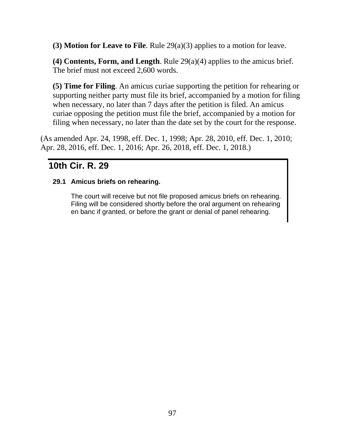**(3) Motion for Leave to File**. Rule 29(a)(3) applies to a motion for leave.

**(4) Contents, Form, and Length**. Rule 29(a)(4) applies to the amicus brief. The brief must not exceed 2,600 words.

**(5) Time for Filing**. An amicus curiae supporting the petition for rehearing or supporting neither party must file its brief, accompanied by a motion for filing when necessary, no later than 7 days after the petition is filed. An amicus curiae opposing the petition must file the brief, accompanied by a motion for filing when necessary, no later than the date set by the court for the response.

(As amended Apr. 24, 1998, eff. Dec. 1, 1998; Apr. 28, 2010, eff. Dec. 1, 2010; Apr. 28, 2016, eff. Dec. 1, 2016; Apr. 26, 2018, eff. Dec. 1, 2018.)

## **10th Cir. R. 29**

### **29.1 Amicus briefs on rehearing.**

The court will receive but not file proposed amicus briefs on rehearing. Filing will be considered shortly before the oral argument on rehearing en banc if granted, or before the grant or denial of panel rehearing.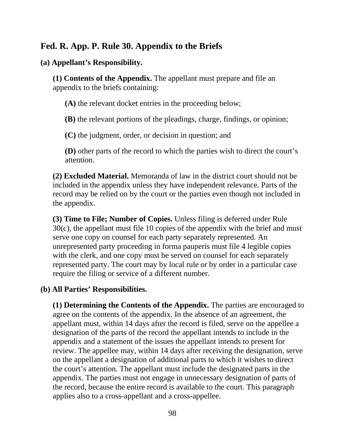## **Fed. R. App. P. Rule 30. Appendix to the Briefs**

## **(a) Appellant's Responsibility.**

**(1) Contents of the Appendix.** The appellant must prepare and file an appendix to the briefs containing:

**(A)** the relevant docket entries in the proceeding below;

**(B)** the relevant portions of the pleadings, charge, findings, or opinion;

**(C)** the judgment, order, or decision in question; and

**(D)** other parts of the record to which the parties wish to direct the court's attention.

**(2) Excluded Material.** Memoranda of law in the district court should not be included in the appendix unless they have independent relevance. Parts of the record may be relied on by the court or the parties even though not included in the appendix.

**(3) Time to File; Number of Copies.** Unless filing is deferred under Rule 30(c), the appellant must file 10 copies of the appendix with the brief and must serve one copy on counsel for each party separately represented. An unrepresented party proceeding in forma pauperis must file 4 legible copies with the clerk, and one copy must be served on counsel for each separately represented party. The court may by local rule or by order in a particular case require the filing or service of a different number.

## **(b) All Parties' Responsibilities.**

**(1) Determining the Contents of the Appendix.** The parties are encouraged to agree on the contents of the appendix. In the absence of an agreement, the appellant must, within 14 days after the record is filed, serve on the appellee a designation of the parts of the record the appellant intends to include in the appendix and a statement of the issues the appellant intends to present for review. The appellee may, within 14 days after receiving the designation, serve on the appellant a designation of additional parts to which it wishes to direct the court's attention. The appellant must include the designated parts in the appendix. The parties must not engage in unnecessary designation of parts of the record, because the entire record is available to the court. This paragraph applies also to a cross-appellant and a cross-appellee.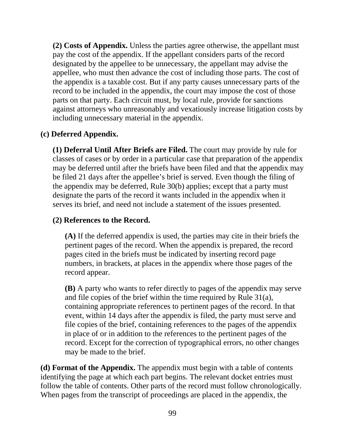**(2) Costs of Appendix.** Unless the parties agree otherwise, the appellant must pay the cost of the appendix. If the appellant considers parts of the record designated by the appellee to be unnecessary, the appellant may advise the appellee, who must then advance the cost of including those parts. The cost of the appendix is a taxable cost. But if any party causes unnecessary parts of the record to be included in the appendix, the court may impose the cost of those parts on that party. Each circuit must, by local rule, provide for sanctions against attorneys who unreasonably and vexatiously increase litigation costs by including unnecessary material in the appendix.

## **(c) Deferred Appendix.**

**(1) Deferral Until After Briefs are Filed.** The court may provide by rule for classes of cases or by order in a particular case that preparation of the appendix may be deferred until after the briefs have been filed and that the appendix may be filed 21 days after the appellee's brief is served. Even though the filing of the appendix may be deferred, Rule 30(b) applies; except that a party must designate the parts of the record it wants included in the appendix when it serves its brief, and need not include a statement of the issues presented.

## **(2) References to the Record.**

**(A)** If the deferred appendix is used, the parties may cite in their briefs the pertinent pages of the record. When the appendix is prepared, the record pages cited in the briefs must be indicated by inserting record page numbers, in brackets, at places in the appendix where those pages of the record appear.

**(B)** A party who wants to refer directly to pages of the appendix may serve and file copies of the brief within the time required by Rule 31(a), containing appropriate references to pertinent pages of the record. In that event, within 14 days after the appendix is filed, the party must serve and file copies of the brief, containing references to the pages of the appendix in place of or in addition to the references to the pertinent pages of the record. Except for the correction of typographical errors, no other changes may be made to the brief.

**(d) Format of the Appendix.** The appendix must begin with a table of contents identifying the page at which each part begins. The relevant docket entries must follow the table of contents. Other parts of the record must follow chronologically. When pages from the transcript of proceedings are placed in the appendix, the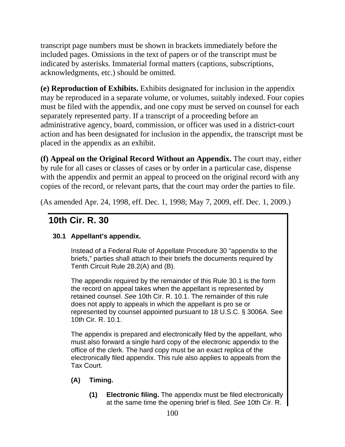transcript page numbers must be shown in brackets immediately before the included pages. Omissions in the text of papers or of the transcript must be indicated by asterisks. Immaterial formal matters (captions, subscriptions, acknowledgments, etc.) should be omitted.

**(e) Reproduction of Exhibits.** Exhibits designated for inclusion in the appendix may be reproduced in a separate volume, or volumes, suitably indexed. Four copies must be filed with the appendix, and one copy must be served on counsel for each separately represented party. If a transcript of a proceeding before an administrative agency, board, commission, or officer was used in a district-court action and has been designated for inclusion in the appendix, the transcript must be placed in the appendix as an exhibit.

**(f) Appeal on the Original Record Without an Appendix.** The court may, either by rule for all cases or classes of cases or by order in a particular case, dispense with the appendix and permit an appeal to proceed on the original record with any copies of the record, or relevant parts, that the court may order the parties to file.

(As amended Apr. 24, 1998, eff. Dec. 1, 1998; May 7, 2009, eff. Dec. 1, 2009.)

# **10th Cir. R. 30**

## **30.1 Appellant's appendix.**

Instead of a Federal Rule of Appellate Procedure 30 "appendix to the briefs," parties shall attach to their briefs the documents required by Tenth Circuit Rule 28.2(A) and (B).

The appendix required by the remainder of this Rule 30.1 is the form the record on appeal takes when the appellant is represented by retained counsel. *See* 10th Cir. R. 10.1. The remainder of this rule does not apply to appeals in which the appellant is pro se or represented by counsel appointed pursuant to 18 U.S.C. § 3006A. See 10th Cir. R. 10.1.

The appendix is prepared and electronically filed by the appellant, who must also forward a single hard copy of the electronic appendix to the office of the clerk. The hard copy must be an exact replica of the electronically filed appendix. This rule also applies to appeals from the Tax Court.

## **(A) Timing.**

**(1) Electronic filing.** The appendix must be filed electronically at the same time the opening brief is filed. *See* 10th Cir. R.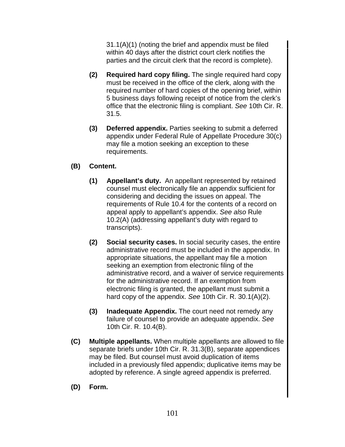31.1(A)(1) (noting the brief and appendix must be filed within 40 days after the district court clerk notifies the parties and the circuit clerk that the record is complete).

- **(2) Required hard copy filing.** The single required hard copy must be received in the office of the clerk, along with the required number of hard copies of the opening brief, within 5 business days following receipt of notice from the clerk's office that the electronic filing is compliant. *See* 10th Cir. R. 31.5.
- **(3) Deferred appendix.** Parties seeking to submit a deferred appendix under Federal Rule of Appellate Procedure 30(c) may file a motion seeking an exception to these requirements.

#### **(B) Content.**

- **(1) Appellant's duty.** An appellant represented by retained counsel must electronically file an appendix sufficient for considering and deciding the issues on appeal. The requirements of Rule 10.4 for the contents of a record on appeal apply to appellant's appendix. *See also* Rule 10.2(A) (addressing appellant's duty with regard to transcripts).
- **(2) Social security cases.** In social security cases, the entire administrative record must be included in the appendix. In appropriate situations, the appellant may file a motion seeking an exemption from electronic filing of the administrative record, and a waiver of service requirements for the administrative record. If an exemption from electronic filing is granted, the appellant must submit a hard copy of the appendix. *See* 10th Cir. R. 30.1(A)(2).
- **(3) Inadequate Appendix.** The court need not remedy any failure of counsel to provide an adequate appendix. *See* 10th Cir. R. 10.4(B).
- **(C) Multiple appellants.** When multiple appellants are allowed to file separate briefs under 10th Cir. R. 31.3(B), separate appendices may be filed. But counsel must avoid duplication of items included in a previously filed appendix; duplicative items may be adopted by reference. A single agreed appendix is preferred.
- **(D) Form.**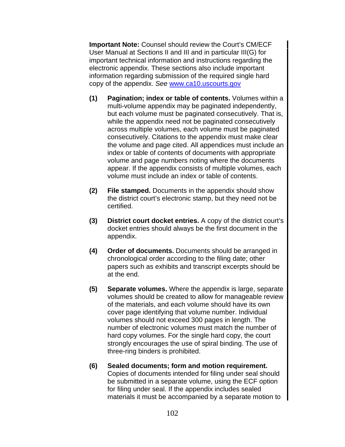**Important Note:** Counsel should review the Court's CM/ECF User Manual at Sections II and III and in particular III(G) for important technical information and instructions regarding the electronic appendix. These sections also include important information regarding submission of the required single hard copy of the appendix. *See* [www.ca10.uscourts.gov](http://www.ca10.uscourts.gov/)

- **(1) Pagination; index or table of contents.** Volumes within a multi-volume appendix may be paginated independently, but each volume must be paginated consecutively. That is, while the appendix need not be paginated consecutively across multiple volumes, each volume must be paginated consecutively. Citations to the appendix must make clear the volume and page cited. All appendices must include an index or table of contents of documents with appropriate volume and page numbers noting where the documents appear. If the appendix consists of multiple volumes, each volume must include an index or table of contents.
- **(2) File stamped.** Documents in the appendix should show the district court's electronic stamp, but they need not be certified.
- **(3) District court docket entries.** A copy of the district court's docket entries should always be the first document in the appendix.
- **(4) Order of documents.** Documents should be arranged in chronological order according to the filing date; other papers such as exhibits and transcript excerpts should be at the end.
- **(5) Separate volumes.** Where the appendix is large, separate volumes should be created to allow for manageable review of the materials, and each volume should have its own cover page identifying that volume number. Individual volumes should not exceed 300 pages in length. The number of electronic volumes must match the number of hard copy volumes. For the single hard copy, the court strongly encourages the use of spiral binding. The use of three-ring binders is prohibited.
- **(6) Sealed documents; form and motion requirement.** Copies of documents intended for filing under seal should be submitted in a separate volume, using the ECF option for filing under seal. If the appendix includes sealed materials it must be accompanied by a separate motion to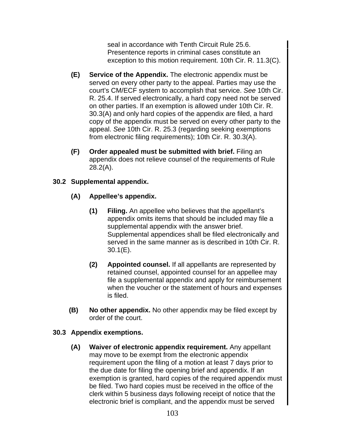seal in accordance with Tenth Circuit Rule 25.6. Presentence reports in criminal cases constitute an exception to this motion requirement. 10th Cir. R. 11.3(C).

- **(E) Service of the Appendix.** The electronic appendix must be served on every other party to the appeal. Parties may use the court's CM/ECF system to accomplish that service. *See* 10th Cir. R. 25.4. If served electronically, a hard copy need not be served on other parties. If an exemption is allowed under 10th Cir. R. 30.3(A) and only hard copies of the appendix are filed, a hard copy of the appendix must be served on every other party to the appeal. *See* 10th Cir. R. 25.3 (regarding seeking exemptions from electronic filing requirements); 10th Cir. R. 30.3(A).
- **(F) Order appealed must be submitted with brief.** Filing an appendix does not relieve counsel of the requirements of Rule 28.2(A).

#### **30.2 Supplemental appendix.**

- **(A) Appellee's appendix.**
	- **(1) Filing.** An appellee who believes that the appellant's appendix omits items that should be included may file a supplemental appendix with the answer brief. Supplemental appendices shall be filed electronically and served in the same manner as is described in 10th Cir. R. 30.1(E).
	- **(2) Appointed counsel.** If all appellants are represented by retained counsel, appointed counsel for an appellee may file a supplemental appendix and apply for reimbursement when the voucher or the statement of hours and expenses is filed.
- **(B) No other appendix.** No other appendix may be filed except by order of the court.

#### **30.3 Appendix exemptions.**

**(A) Waiver of electronic appendix requirement.** Any appellant may move to be exempt from the electronic appendix requirement upon the filing of a motion at least 7 days prior to the due date for filing the opening brief and appendix. If an exemption is granted, hard copies of the required appendix must be filed. Two hard copies must be received in the office of the clerk within 5 business days following receipt of notice that the electronic brief is compliant, and the appendix must be served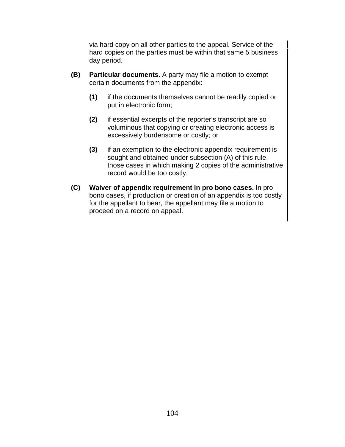via hard copy on all other parties to the appeal. Service of the hard copies on the parties must be within that same 5 business day period.

- **(B) Particular documents.** A party may file a motion to exempt certain documents from the appendix:
	- **(1)** if the documents themselves cannot be readily copied or put in electronic form;
	- **(2)** if essential excerpts of the reporter's transcript are so voluminous that copying or creating electronic access is excessively burdensome or costly; or
	- **(3)** if an exemption to the electronic appendix requirement is sought and obtained under subsection (A) of this rule, those cases in which making 2 copies of the administrative record would be too costly.
- **(C) Waiver of appendix requirement in pro bono cases.** In pro bono cases, if production or creation of an appendix is too costly for the appellant to bear, the appellant may file a motion to proceed on a record on appeal.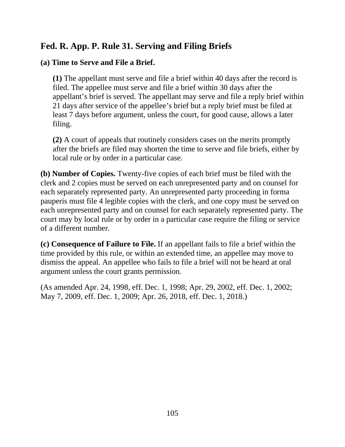# **Fed. R. App. P. Rule 31. Serving and Filing Briefs**

## **(a) Time to Serve and File a Brief.**

**(1)** The appellant must serve and file a brief within 40 days after the record is filed. The appellee must serve and file a brief within 30 days after the appellant's brief is served. The appellant may serve and file a reply brief within 21 days after service of the appellee's brief but a reply brief must be filed at least 7 days before argument, unless the court, for good cause, allows a later filing.

**(2)** A court of appeals that routinely considers cases on the merits promptly after the briefs are filed may shorten the time to serve and file briefs, either by local rule or by order in a particular case.

**(b) Number of Copies.** Twenty-five copies of each brief must be filed with the clerk and 2 copies must be served on each unrepresented party and on counsel for each separately represented party. An unrepresented party proceeding in forma pauperis must file 4 legible copies with the clerk, and one copy must be served on each unrepresented party and on counsel for each separately represented party. The court may by local rule or by order in a particular case require the filing or service of a different number.

**(c) Consequence of Failure to File.** If an appellant fails to file a brief within the time provided by this rule, or within an extended time, an appellee may move to dismiss the appeal. An appellee who fails to file a brief will not be heard at oral argument unless the court grants permission.

(As amended Apr. 24, 1998, eff. Dec. 1, 1998; Apr. 29, 2002, eff. Dec. 1, 2002; May 7, 2009, eff. Dec. 1, 2009; Apr. 26, 2018, eff. Dec. 1, 2018.)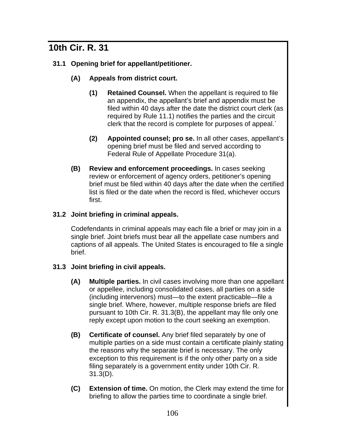# **10th Cir. R. 31**

- **31.1 Opening brief for appellant/petitioner.**
	- **(A) Appeals from district court.**
		- **(1) Retained Counsel.** When the appellant is required to file an appendix, the appellant's brief and appendix must be filed within 40 days after the date the district court clerk (as required by Rule 11.1) notifies the parties and the circuit clerk that the record is complete for purposes of appeal.`
		- **(2) Appointed counsel; pro se.** In all other cases, appellant's opening brief must be filed and served according to Federal Rule of Appellate Procedure 31(a).
	- **(B) Review and enforcement proceedings.** In cases seeking review or enforcement of agency orders, petitioner's opening brief must be filed within 40 days after the date when the certified list is filed or the date when the record is filed, whichever occurs first.

#### **31.2 Joint briefing in criminal appeals.**

Codefendants in criminal appeals may each file a brief or may join in a single brief. Joint briefs must bear all the appellate case numbers and captions of all appeals. The United States is encouraged to file a single brief.

#### **31.3 Joint briefing in civil appeals.**

- **(A) Multiple parties.** In civil cases involving more than one appellant or appellee, including consolidated cases, all parties on a side (including intervenors) must—to the extent practicable—file a single brief. Where, however, multiple response briefs are filed pursuant to 10th Cir. R. 31.3(B), the appellant may file only one reply except upon motion to the court seeking an exemption.
- **(B) Certificate of counsel.** Any brief filed separately by one of multiple parties on a side must contain a certificate plainly stating the reasons why the separate brief is necessary. The only exception to this requirement is if the only other party on a side filing separately is a government entity under 10th Cir. R. 31.3(D).
- **(C) Extension of time.** On motion, the Clerk may extend the time for briefing to allow the parties time to coordinate a single brief.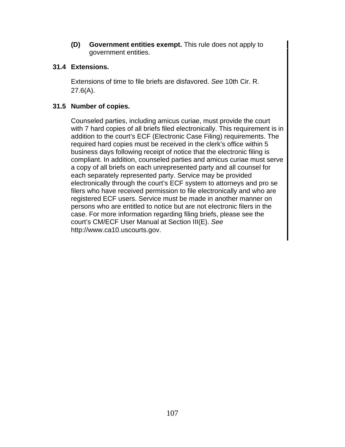**(D) Government entities exempt.** This rule does not apply to government entities.

#### **31.4 Extensions.**

Extensions of time to file briefs are disfavored. *See* 10th Cir. R. 27.6(A).

#### **31.5 Number of copies.**

Counseled parties, including amicus curiae, must provide the court with 7 hard copies of all briefs filed electronically. This requirement is in addition to the court's ECF (Electronic Case Filing) requirements. The required hard copies must be received in the clerk's office within 5 business days following receipt of notice that the electronic filing is compliant. In addition, counseled parties and amicus curiae must serve a copy of all briefs on each unrepresented party and all counsel for each separately represented party. Service may be provided electronically through the court's ECF system to attorneys and pro se filers who have received permission to file electronically and who are registered ECF users. Service must be made in another manner on persons who are entitled to notice but are not electronic filers in the case. For more information regarding filing briefs, please see the court's CM/ECF User Manual at Section III(E). *See* http://www.ca10.uscourts.gov.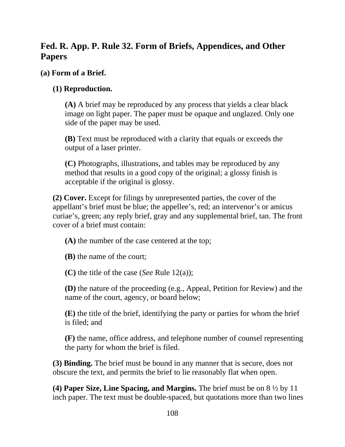# **Fed. R. App. P. Rule 32. Form of Briefs, Appendices, and Other Papers**

### **(a) Form of a Brief.**

## **(1) Reproduction.**

**(A)** A brief may be reproduced by any process that yields a clear black image on light paper. The paper must be opaque and unglazed. Only one side of the paper may be used.

**(B)** Text must be reproduced with a clarity that equals or exceeds the output of a laser printer.

**(C)** Photographs, illustrations, and tables may be reproduced by any method that results in a good copy of the original; a glossy finish is acceptable if the original is glossy.

**(2) Cover.** Except for filings by unrepresented parties, the cover of the appellant's brief must be blue; the appellee's, red; an intervenor's or amicus curiae's, green; any reply brief, gray and any supplemental brief, tan. The front cover of a brief must contain:

**(A)** the number of the case centered at the top;

**(B)** the name of the court;

**(C)** the title of the case (*See* Rule 12(a));

**(D)** the nature of the proceeding (e.g., Appeal, Petition for Review) and the name of the court, agency, or board below;

**(E)** the title of the brief, identifying the party or parties for whom the brief is filed; and

**(F)** the name, office address, and telephone number of counsel representing the party for whom the brief is filed.

**(3) Binding.** The brief must be bound in any manner that is secure, does not obscure the text, and permits the brief to lie reasonably flat when open.

**(4) Paper Size, Line Spacing, and Margins.** The brief must be on 8 ½ by 11 inch paper. The text must be double-spaced, but quotations more than two lines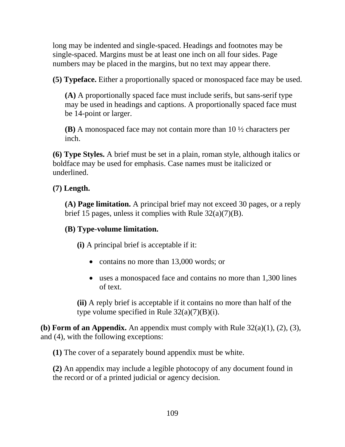long may be indented and single-spaced. Headings and footnotes may be single-spaced. Margins must be at least one inch on all four sides. Page numbers may be placed in the margins, but no text may appear there.

**(5) Typeface.** Either a proportionally spaced or monospaced face may be used.

**(A)** A proportionally spaced face must include serifs, but sans-serif type may be used in headings and captions. A proportionally spaced face must be 14-point or larger.

**(B)** A monospaced face may not contain more than 10 ½ characters per inch.

**(6) Type Styles.** A brief must be set in a plain, roman style, although italics or boldface may be used for emphasis. Case names must be italicized or underlined.

## **(7) Length.**

**(A) Page limitation.** A principal brief may not exceed 30 pages, or a reply brief 15 pages, unless it complies with Rule 32(a)(7)(B).

## **(B) Type**-**volume limitation.**

**(i)** A principal brief is acceptable if it:

- contains no more than 13,000 words; or
- uses a monospaced face and contains no more than 1,300 lines of text.

**(ii)** A reply brief is acceptable if it contains no more than half of the type volume specified in Rule  $32(a)(7)(B)(i)$ .

**(b) Form of an Appendix.** An appendix must comply with Rule 32(a)(1), (2), (3), and (4), with the following exceptions:

**(1)** The cover of a separately bound appendix must be white.

**(2)** An appendix may include a legible photocopy of any document found in the record or of a printed judicial or agency decision.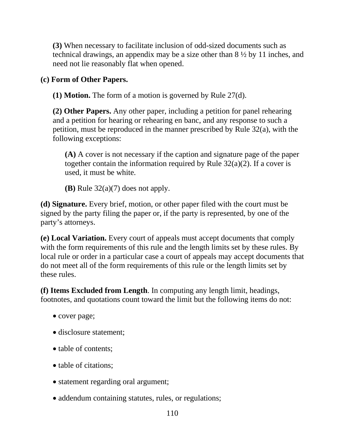**(3)** When necessary to facilitate inclusion of odd-sized documents such as technical drawings, an appendix may be a size other than 8 ½ by 11 inches, and need not lie reasonably flat when opened.

## **(c) Form of Other Papers.**

**(1) Motion.** The form of a motion is governed by Rule 27(d).

**(2) Other Papers.** Any other paper, including a petition for panel rehearing and a petition for hearing or rehearing en banc, and any response to such a petition, must be reproduced in the manner prescribed by Rule 32(a), with the following exceptions:

**(A)** A cover is not necessary if the caption and signature page of the paper together contain the information required by Rule  $32(a)(2)$ . If a cover is used, it must be white.

**(B)** Rule 32(a)(7) does not apply.

**(d) Signature.** Every brief, motion, or other paper filed with the court must be signed by the party filing the paper or, if the party is represented, by one of the party's attorneys.

**(e) Local Variation.** Every court of appeals must accept documents that comply with the form requirements of this rule and the length limits set by these rules. By local rule or order in a particular case a court of appeals may accept documents that do not meet all of the form requirements of this rule or the length limits set by these rules.

**(f) Items Excluded from Length**. In computing any length limit, headings, footnotes, and quotations count toward the limit but the following items do not:

- cover page;
- disclosure statement;
- table of contents;
- table of citations;
- statement regarding oral argument;
- addendum containing statutes, rules, or regulations;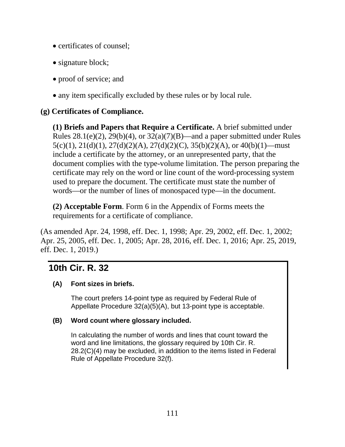- certificates of counsel;
- signature block;
- proof of service; and
- any item specifically excluded by these rules or by local rule.

## **(g) Certificates of Compliance.**

**(1) Briefs and Papers that Require a Certificate.** A brief submitted under Rules  $28.1(e)(2)$ ,  $29(b)(4)$ , or  $32(a)(7)(B)$ —and a paper submitted under Rules 5(c)(1), 21(d)(1), 27(d)(2)(A), 27(d)(2)(C), 35(b)(2)(A), or 40(b)(1)—must include a certificate by the attorney, or an unrepresented party, that the document complies with the type-volume limitation. The person preparing the certificate may rely on the word or line count of the word-processing system used to prepare the document. The certificate must state the number of words—or the number of lines of monospaced type—in the document.

**(2) Acceptable Form**. Form 6 in the Appendix of Forms meets the requirements for a certificate of compliance.

(As amended Apr. 24, 1998, eff. Dec. 1, 1998; Apr. 29, 2002, eff. Dec. 1, 2002; Apr. 25, 2005, eff. Dec. 1, 2005; Apr. 28, 2016, eff. Dec. 1, 2016; Apr. 25, 2019, eff. Dec. 1, 2019.)

## **10th Cir. R. 32**

### **(A) Font sizes in briefs.**

The court prefers 14-point type as required by Federal Rule of Appellate Procedure 32(a)(5)(A), but 13-point type is acceptable.

### **(B) Word count where glossary included.**

In calculating the number of words and lines that count toward the word and line limitations, the glossary required by 10th Cir. R. 28.2(C)(4) may be excluded, in addition to the items listed in Federal Rule of Appellate Procedure 32(f).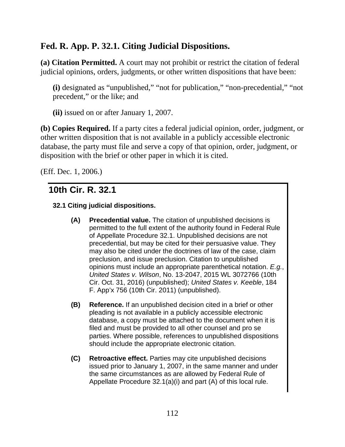# **Fed. R. App. P. 32.1. Citing Judicial Dispositions.**

**(a) Citation Permitted.** A court may not prohibit or restrict the citation of federal judicial opinions, orders, judgments, or other written dispositions that have been:

**(i)** designated as "unpublished," "not for publication," "non-precedential," "not precedent," or the like; and

**(ii)** issued on or after January 1, 2007.

**(b) Copies Required.** If a party cites a federal judicial opinion, order, judgment, or other written disposition that is not available in a publicly accessible electronic database, the party must file and serve a copy of that opinion, order, judgment, or disposition with the brief or other paper in which it is cited.

(Eff. Dec. 1, 2006.)

## **10th Cir. R. 32.1**

**32.1 Citing judicial dispositions.**

- **(A) Precedential value.** The citation of unpublished decisions is permitted to the full extent of the authority found in Federal Rule of Appellate Procedure 32.1. Unpublished decisions are not precedential, but may be cited for their persuasive value. They may also be cited under the doctrines of law of the case, claim preclusion, and issue preclusion. Citation to unpublished opinions must include an appropriate parenthetical notation. *E.g.*, *United States v. Wilson*, No. 13-2047, 2015 WL 3072766 (10th Cir. Oct. 31, 2016) (unpublished); *United States v. Keeble*, 184 F. App'x 756 (10th Cir. 2011) (unpublished).
- **(B) Reference.** If an unpublished decision cited in a brief or other pleading is not available in a publicly accessible electronic database, a copy must be attached to the document when it is filed and must be provided to all other counsel and pro se parties. Where possible, references to unpublished dispositions should include the appropriate electronic citation.
- **(C) Retroactive effect.** Parties may cite unpublished decisions issued prior to January 1, 2007, in the same manner and under the same circumstances as are allowed by Federal Rule of Appellate Procedure 32.1(a)(i) and part (A) of this local rule.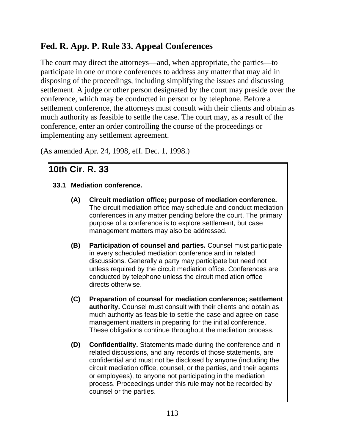# **Fed. R. App. P. Rule 33. Appeal Conferences**

The court may direct the attorneys—and, when appropriate, the parties—to participate in one or more conferences to address any matter that may aid in disposing of the proceedings, including simplifying the issues and discussing settlement. A judge or other person designated by the court may preside over the conference, which may be conducted in person or by telephone. Before a settlement conference, the attorneys must consult with their clients and obtain as much authority as feasible to settle the case. The court may, as a result of the conference, enter an order controlling the course of the proceedings or implementing any settlement agreement.

(As amended Apr. 24, 1998, eff. Dec. 1, 1998.)

# **10th Cir. R. 33**

- **33.1 Mediation conference.**
	- **(A) Circuit mediation office; purpose of mediation conference.** The circuit mediation office may schedule and conduct mediation conferences in any matter pending before the court. The primary purpose of a conference is to explore settlement, but case management matters may also be addressed.
	- **(B) Participation of counsel and parties.** Counsel must participate in every scheduled mediation conference and in related discussions. Generally a party may participate but need not unless required by the circuit mediation office. Conferences are conducted by telephone unless the circuit mediation office directs otherwise.
	- **(C) Preparation of counsel for mediation conference; settlement authority.** Counsel must consult with their clients and obtain as much authority as feasible to settle the case and agree on case management matters in preparing for the initial conference. These obligations continue throughout the mediation process.
	- **(D) Confidentiality.** Statements made during the conference and in related discussions, and any records of those statements, are confidential and must not be disclosed by anyone (including the circuit mediation office, counsel, or the parties, and their agents or employees), to anyone not participating in the mediation process. Proceedings under this rule may not be recorded by counsel or the parties.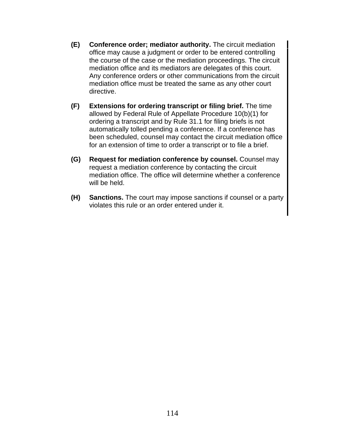- **(E) Conference order; mediator authority.** The circuit mediation office may cause a judgment or order to be entered controlling the course of the case or the mediation proceedings. The circuit mediation office and its mediators are delegates of this court. Any conference orders or other communications from the circuit mediation office must be treated the same as any other court directive.
- **(F) Extensions for ordering transcript or filing brief.** The time allowed by Federal Rule of Appellate Procedure 10(b)(1) for ordering a transcript and by Rule 31.1 for filing briefs is not automatically tolled pending a conference. If a conference has been scheduled, counsel may contact the circuit mediation office for an extension of time to order a transcript or to file a brief.
- **(G) Request for mediation conference by counsel.** Counsel may request a mediation conference by contacting the circuit mediation office. The office will determine whether a conference will be held.
- **(H) Sanctions.** The court may impose sanctions if counsel or a party violates this rule or an order entered under it.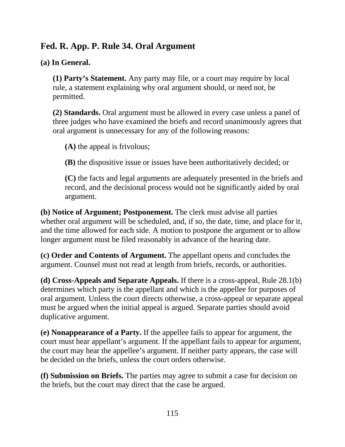# **Fed. R. App. P. Rule 34. Oral Argument**

**(a) In General.**

**(1) Party's Statement.** Any party may file, or a court may require by local rule, a statement explaining why oral argument should, or need not, be permitted.

**(2) Standards.** Oral argument must be allowed in every case unless a panel of three judges who have examined the briefs and record unanimously agrees that oral argument is unnecessary for any of the following reasons:

**(A)** the appeal is frivolous;

**(B)** the dispositive issue or issues have been authoritatively decided; or

**(C)** the facts and legal arguments are adequately presented in the briefs and record, and the decisional process would not be significantly aided by oral argument.

**(b) Notice of Argument; Postponement.** The clerk must advise all parties whether oral argument will be scheduled, and, if so, the date, time, and place for it, and the time allowed for each side. A motion to postpone the argument or to allow longer argument must be filed reasonably in advance of the hearing date.

**(c) Order and Contents of Argument.** The appellant opens and concludes the argument. Counsel must not read at length from briefs, records, or authorities.

**(d) Cross-Appeals and Separate Appeals.** If there is a cross-appeal, Rule 28.1(b) determines which party is the appellant and which is the appellee for purposes of oral argument. Unless the court directs otherwise, a cross-appeal or separate appeal must be argued when the initial appeal is argued. Separate parties should avoid duplicative argument.

**(e) Nonappearance of a Party.** If the appellee fails to appear for argument, the court must hear appellant's argument. If the appellant fails to appear for argument, the court may hear the appellee's argument. If neither party appears, the case will be decided on the briefs, unless the court orders otherwise.

**(f) Submission on Briefs.** The parties may agree to submit a case for decision on the briefs, but the court may direct that the case be argued.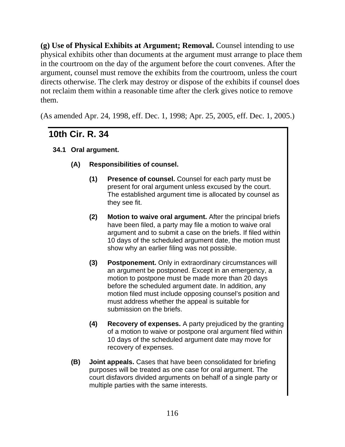**(g) Use of Physical Exhibits at Argument; Removal.** Counsel intending to use physical exhibits other than documents at the argument must arrange to place them in the courtroom on the day of the argument before the court convenes. After the argument, counsel must remove the exhibits from the courtroom, unless the court directs otherwise. The clerk may destroy or dispose of the exhibits if counsel does not reclaim them within a reasonable time after the clerk gives notice to remove them.

(As amended Apr. 24, 1998, eff. Dec. 1, 1998; Apr. 25, 2005, eff. Dec. 1, 2005.)

# **10th Cir. R. 34**

- **34.1 Oral argument.**
	- **(A) Responsibilities of counsel.**
		- **(1) Presence of counsel.** Counsel for each party must be present for oral argument unless excused by the court. The established argument time is allocated by counsel as they see fit.
		- **(2) Motion to waive oral argument.** After the principal briefs have been filed, a party may file a motion to waive oral argument and to submit a case on the briefs. If filed within 10 days of the scheduled argument date, the motion must show why an earlier filing was not possible.
		- **(3) Postponement.** Only in extraordinary circumstances will an argument be postponed. Except in an emergency, a motion to postpone must be made more than 20 days before the scheduled argument date. In addition, any motion filed must include opposing counsel's position and must address whether the appeal is suitable for submission on the briefs.
		- **(4) Recovery of expenses.** A party prejudiced by the granting of a motion to waive or postpone oral argument filed within 10 days of the scheduled argument date may move for recovery of expenses.
	- **(B) Joint appeals.** Cases that have been consolidated for briefing purposes will be treated as one case for oral argument. The court disfavors divided arguments on behalf of a single party or multiple parties with the same interests.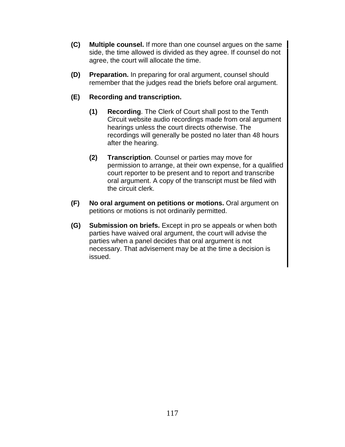- **(C) Multiple counsel.** If more than one counsel argues on the same side, the time allowed is divided as they agree. If counsel do not agree, the court will allocate the time.
- **(D) Preparation.** In preparing for oral argument, counsel should remember that the judges read the briefs before oral argument.

#### **(E) Recording and transcription.**

- **(1) Recording**. The Clerk of Court shall post to the Tenth Circuit website audio recordings made from oral argument hearings unless the court directs otherwise. The recordings will generally be posted no later than 48 hours after the hearing.
- **(2) Transcription**. Counsel or parties may move for permission to arrange, at their own expense, for a qualified court reporter to be present and to report and transcribe oral argument. A copy of the transcript must be filed with the circuit clerk.
- **(F) No oral argument on petitions or motions.** Oral argument on petitions or motions is not ordinarily permitted.
- **(G) Submission on briefs.** Except in pro se appeals or when both parties have waived oral argument, the court will advise the parties when a panel decides that oral argument is not necessary. That advisement may be at the time a decision is issued.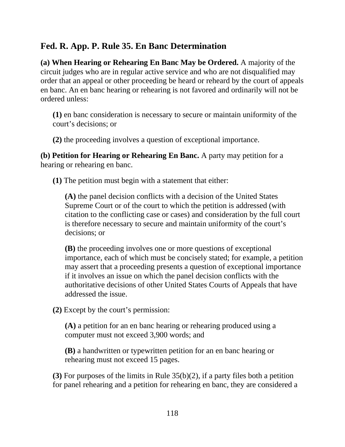# **Fed. R. App. P. Rule 35. En Banc Determination**

**(a) When Hearing or Rehearing En Banc May be Ordered.** A majority of the circuit judges who are in regular active service and who are not disqualified may order that an appeal or other proceeding be heard or reheard by the court of appeals en banc. An en banc hearing or rehearing is not favored and ordinarily will not be ordered unless:

**(1)** en banc consideration is necessary to secure or maintain uniformity of the court's decisions; or

**(2)** the proceeding involves a question of exceptional importance.

**(b) Petition for Hearing or Rehearing En Banc.** A party may petition for a hearing or rehearing en banc.

**(1)** The petition must begin with a statement that either:

**(A)** the panel decision conflicts with a decision of the United States Supreme Court or of the court to which the petition is addressed (with citation to the conflicting case or cases) and consideration by the full court is therefore necessary to secure and maintain uniformity of the court's decisions; or

**(B)** the proceeding involves one or more questions of exceptional importance, each of which must be concisely stated; for example, a petition may assert that a proceeding presents a question of exceptional importance if it involves an issue on which the panel decision conflicts with the authoritative decisions of other United States Courts of Appeals that have addressed the issue.

**(2)** Except by the court's permission:

**(A)** a petition for an en banc hearing or rehearing produced using a computer must not exceed 3,900 words; and

**(B)** a handwritten or typewritten petition for an en banc hearing or rehearing must not exceed 15 pages.

**(3)** For purposes of the limits in Rule 35(b)(2), if a party files both a petition for panel rehearing and a petition for rehearing en banc, they are considered a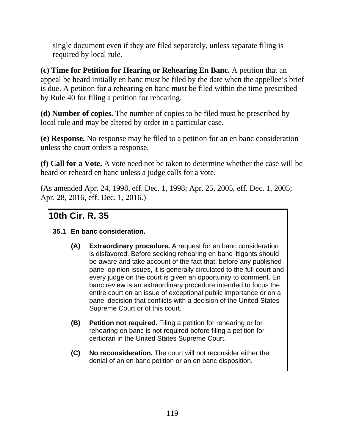single document even if they are filed separately, unless separate filing is required by local rule.

**(c) Time for Petition for Hearing or Rehearing En Banc.** A petition that an appeal be heard initially en banc must be filed by the date when the appellee's brief is due. A petition for a rehearing en banc must be filed within the time prescribed by Rule 40 for filing a petition for rehearing.

**(d) Number of copies.** The number of copies to be filed must be prescribed by local rule and may be altered by order in a particular case.

**(e) Response.** No response may be filed to a petition for an en banc consideration unless the court orders a response.

**(f) Call for a Vote.** A vote need not be taken to determine whether the case will be heard or reheard en banc unless a judge calls for a vote.

(As amended Apr. 24, 1998, eff. Dec. 1, 1998; Apr. 25, 2005, eff. Dec. 1, 2005; Apr. 28, 2016, eff. Dec. 1, 2016.)

# **10th Cir. R. 35**

## **35.1 En banc consideration.**

- **(A) Extraordinary procedure.** A request for en banc consideration is disfavored. Before seeking rehearing en banc litigants should be aware and take account of the fact that, before any published panel opinion issues, it is generally circulated to the full court and every judge on the court is given an opportunity to comment. En banc review is an extraordinary procedure intended to focus the entire court on an issue of exceptional public importance or on a panel decision that conflicts with a decision of the United States Supreme Court or of this court.
- **(B) Petition not required.** Filing a petition for rehearing or for rehearing en banc is not required before filing a petition for certiorari in the United States Supreme Court.
- **(C) No reconsideration.** The court will not reconsider either the denial of an en banc petition or an en banc disposition.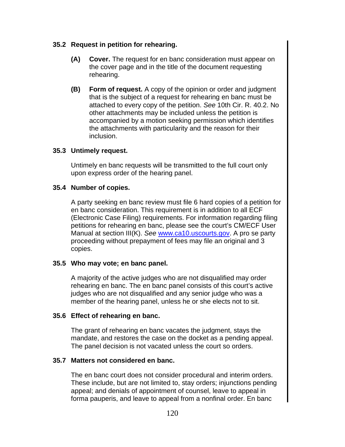#### **35.2 Request in petition for rehearing.**

- **(A) Cover.** The request for en banc consideration must appear on the cover page and in the title of the document requesting rehearing.
- **(B) Form of request.** A copy of the opinion or order and judgment that is the subject of a request for rehearing en banc must be attached to every copy of the petition. *See* 10th Cir. R. 40.2. No other attachments may be included unless the petition is accompanied by a motion seeking permission which identifies the attachments with particularity and the reason for their inclusion.

#### **35.3 Untimely request.**

Untimely en banc requests will be transmitted to the full court only upon express order of the hearing panel.

#### **35.4 Number of copies.**

A party seeking en banc review must file 6 hard copies of a petition for en banc consideration. This requirement is in addition to all ECF (Electronic Case Filing) requirements. For information regarding filing petitions for rehearing en banc, please see the court's CM/ECF User Manual at section III(K). *See* [www.ca10.uscourts.gov.](http://www.ca10.uscourts.gov/) A pro se party proceeding without prepayment of fees may file an original and 3 copies.

#### **35.5 Who may vote; en banc panel.**

A majority of the active judges who are not disqualified may order rehearing en banc. The en banc panel consists of this court's active judges who are not disqualified and any senior judge who was a member of the hearing panel, unless he or she elects not to sit.

#### **35.6 Effect of rehearing en banc.**

The grant of rehearing en banc vacates the judgment, stays the mandate, and restores the case on the docket as a pending appeal. The panel decision is not vacated unless the court so orders.

#### **35.7 Matters not considered en banc.**

The en banc court does not consider procedural and interim orders. These include, but are not limited to, stay orders; injunctions pending appeal; and denials of appointment of counsel, leave to appeal in forma pauperis, and leave to appeal from a nonfinal order. En banc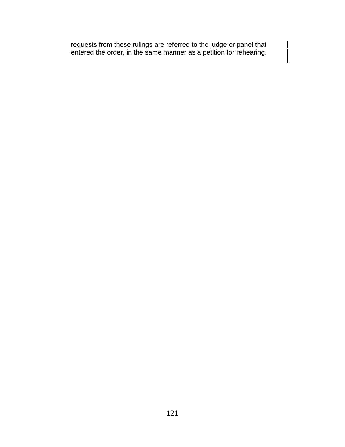requests from these rulings are referred to the judge or panel that entered the order, in the same manner as a petition for rehearing.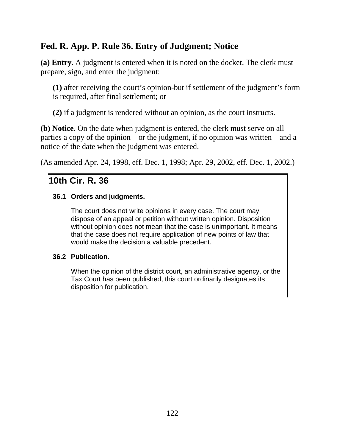## **Fed. R. App. P. Rule 36. Entry of Judgment; Notice**

**(a) Entry.** A judgment is entered when it is noted on the docket. The clerk must prepare, sign, and enter the judgment:

**(1)** after receiving the court's opinion-but if settlement of the judgment's form is required, after final settlement; or

**(2)** if a judgment is rendered without an opinion, as the court instructs.

**(b) Notice.** On the date when judgment is entered, the clerk must serve on all parties a copy of the opinion—or the judgment, if no opinion was written—and a notice of the date when the judgment was entered.

(As amended Apr. 24, 1998, eff. Dec. 1, 1998; Apr. 29, 2002, eff. Dec. 1, 2002.)

# **10th Cir. R. 36**

### **36.1 Orders and judgments.**

The court does not write opinions in every case. The court may dispose of an appeal or petition without written opinion. Disposition without opinion does not mean that the case is unimportant. It means that the case does not require application of new points of law that would make the decision a valuable precedent.

### **36.2 Publication.**

When the opinion of the district court, an administrative agency, or the Tax Court has been published, this court ordinarily designates its disposition for publication.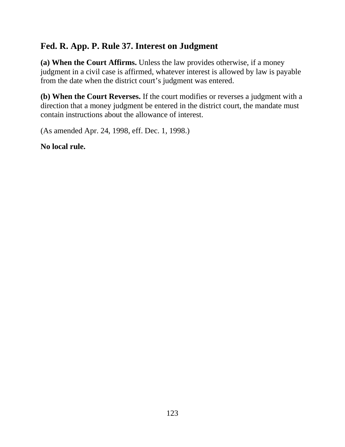# **Fed. R. App. P. Rule 37. Interest on Judgment**

**(a) When the Court Affirms.** Unless the law provides otherwise, if a money judgment in a civil case is affirmed, whatever interest is allowed by law is payable from the date when the district court's judgment was entered.

**(b) When the Court Reverses.** If the court modifies or reverses a judgment with a direction that a money judgment be entered in the district court, the mandate must contain instructions about the allowance of interest.

(As amended Apr. 24, 1998, eff. Dec. 1, 1998.)

**No local rule.**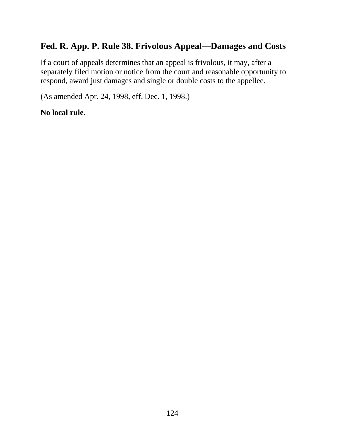## **Fed. R. App. P. Rule 38. Frivolous Appeal—Damages and Costs**

If a court of appeals determines that an appeal is frivolous, it may, after a separately filed motion or notice from the court and reasonable opportunity to respond, award just damages and single or double costs to the appellee.

(As amended Apr. 24, 1998, eff. Dec. 1, 1998.)

**No local rule.**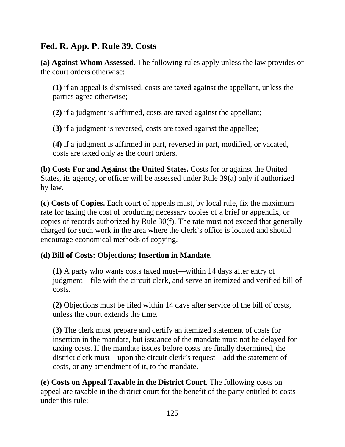# **Fed. R. App. P. Rule 39. Costs**

**(a) Against Whom Assessed.** The following rules apply unless the law provides or the court orders otherwise:

**(1)** if an appeal is dismissed, costs are taxed against the appellant, unless the parties agree otherwise;

**(2)** if a judgment is affirmed, costs are taxed against the appellant;

**(3)** if a judgment is reversed, costs are taxed against the appellee;

**(4)** if a judgment is affirmed in part, reversed in part, modified, or vacated, costs are taxed only as the court orders.

**(b) Costs For and Against the United States.** Costs for or against the United States, its agency, or officer will be assessed under Rule 39(a) only if authorized by law.

**(c) Costs of Copies.** Each court of appeals must, by local rule, fix the maximum rate for taxing the cost of producing necessary copies of a brief or appendix, or copies of records authorized by Rule 30(f). The rate must not exceed that generally charged for such work in the area where the clerk's office is located and should encourage economical methods of copying.

## **(d) Bill of Costs: Objections; Insertion in Mandate.**

**(1)** A party who wants costs taxed must—within 14 days after entry of judgment—file with the circuit clerk, and serve an itemized and verified bill of costs.

**(2)** Objections must be filed within 14 days after service of the bill of costs, unless the court extends the time.

**(3)** The clerk must prepare and certify an itemized statement of costs for insertion in the mandate, but issuance of the mandate must not be delayed for taxing costs. If the mandate issues before costs are finally determined, the district clerk must—upon the circuit clerk's request—add the statement of costs, or any amendment of it, to the mandate.

**(e) Costs on Appeal Taxable in the District Court.** The following costs on appeal are taxable in the district court for the benefit of the party entitled to costs under this rule: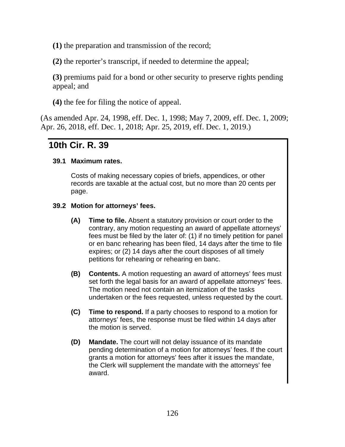**(1)** the preparation and transmission of the record;

**(2)** the reporter's transcript, if needed to determine the appeal;

**(3)** premiums paid for a bond or other security to preserve rights pending appeal; and

**(4)** the fee for filing the notice of appeal.

(As amended Apr. 24, 1998, eff. Dec. 1, 1998; May 7, 2009, eff. Dec. 1, 2009; Apr. 26, 2018, eff. Dec. 1, 2018; Apr. 25, 2019, eff. Dec. 1, 2019.)

## **10th Cir. R. 39**

#### **39.1 Maximum rates.**

Costs of making necessary copies of briefs, appendices, or other records are taxable at the actual cost, but no more than 20 cents per page.

#### **39.2 Motion for attorneys' fees.**

- **(A) Time to file.** Absent a statutory provision or court order to the contrary, any motion requesting an award of appellate attorneys' fees must be filed by the later of: (1) if no timely petition for panel or en banc rehearing has been filed, 14 days after the time to file expires; or (2) 14 days after the court disposes of all timely petitions for rehearing or rehearing en banc.
- **(B) Contents.** A motion requesting an award of attorneys' fees must set forth the legal basis for an award of appellate attorneys' fees. The motion need not contain an itemization of the tasks undertaken or the fees requested, unless requested by the court.
- **(C) Time to respond.** If a party chooses to respond to a motion for attorneys' fees, the response must be filed within 14 days after the motion is served.
- **(D) Mandate.** The court will not delay issuance of its mandate pending determination of a motion for attorneys' fees. If the court grants a motion for attorneys' fees after it issues the mandate, the Clerk will supplement the mandate with the attorneys' fee award.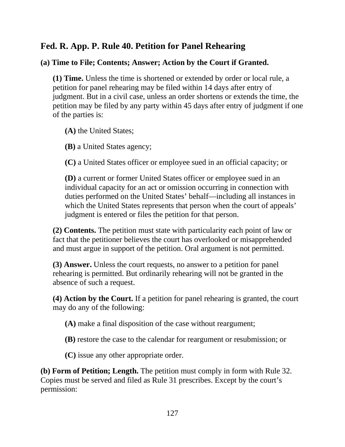## **Fed. R. App. P. Rule 40. Petition for Panel Rehearing**

## **(a) Time to File; Contents; Answer; Action by the Court if Granted.**

**(1) Time.** Unless the time is shortened or extended by order or local rule, a petition for panel rehearing may be filed within 14 days after entry of judgment. But in a civil case, unless an order shortens or extends the time, the petition may be filed by any party within 45 days after entry of judgment if one of the parties is:

**(A)** the United States;

**(B)** a United States agency;

**(C)** a United States officer or employee sued in an official capacity; or

**(D)** a current or former United States officer or employee sued in an individual capacity for an act or omission occurring in connection with duties performed on the United States' behalf—including all instances in which the United States represents that person when the court of appeals' judgment is entered or files the petition for that person.

**(2) Contents.** The petition must state with particularity each point of law or fact that the petitioner believes the court has overlooked or misapprehended and must argue in support of the petition. Oral argument is not permitted.

**(3) Answer.** Unless the court requests, no answer to a petition for panel rehearing is permitted. But ordinarily rehearing will not be granted in the absence of such a request.

**(4) Action by the Court.** If a petition for panel rehearing is granted, the court may do any of the following:

**(A)** make a final disposition of the case without reargument;

**(B)** restore the case to the calendar for reargument or resubmission; or

**(C)** issue any other appropriate order.

**(b) Form of Petition; Length.** The petition must comply in form with Rule 32. Copies must be served and filed as Rule 31 prescribes. Except by the court's permission: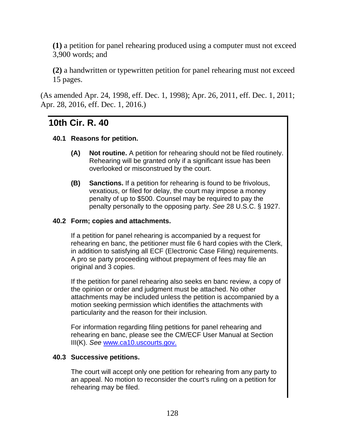**(1)** a petition for panel rehearing produced using a computer must not exceed 3,900 words; and

**(2)** a handwritten or typewritten petition for panel rehearing must not exceed 15 pages.

(As amended Apr. 24, 1998, eff. Dec. 1, 1998); Apr. 26, 2011, eff. Dec. 1, 2011; Apr. 28, 2016, eff. Dec. 1, 2016.)

## **10th Cir. R. 40**

#### **40.1 Reasons for petition.**

- **(A) Not routine.** A petition for rehearing should not be filed routinely. Rehearing will be granted only if a significant issue has been overlooked or misconstrued by the court.
- **(B) Sanctions.** If a petition for rehearing is found to be frivolous, vexatious, or filed for delay, the court may impose a money penalty of up to \$500. Counsel may be required to pay the penalty personally to the opposing party. *See* 28 U.S.C. § 1927.

#### **40.2 Form; copies and attachments.**

If a petition for panel rehearing is accompanied by a request for rehearing en banc, the petitioner must file 6 hard copies with the Clerk, in addition to satisfying all ECF (Electronic Case Filing) requirements. A pro se party proceeding without prepayment of fees may file an original and 3 copies.

If the petition for panel rehearing also seeks en banc review, a copy of the opinion or order and judgment must be attached. No other attachments may be included unless the petition is accompanied by a motion seeking permission which identifies the attachments with particularity and the reason for their inclusion.

For information regarding filing petitions for panel rehearing and rehearing en banc, please see the CM/ECF User Manual at Section III(K). *See* [www.ca10.uscourts.gov.](http://www.ca10.uscourts.gov/)

#### **40.3 Successive petitions.**

The court will accept only one petition for rehearing from any party to an appeal. No motion to reconsider the court's ruling on a petition for rehearing may be filed.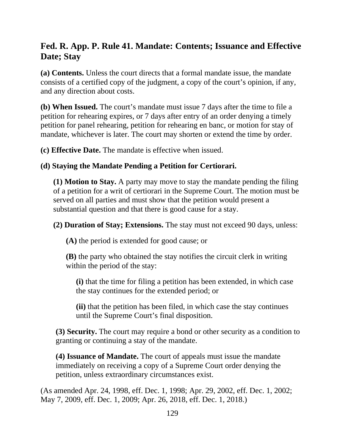# **Fed. R. App. P. Rule 41. Mandate: Contents; Issuance and Effective Date; Stay**

**(a) Contents.** Unless the court directs that a formal mandate issue, the mandate consists of a certified copy of the judgment, a copy of the court's opinion, if any, and any direction about costs.

**(b) When Issued.** The court's mandate must issue 7 days after the time to file a petition for rehearing expires, or 7 days after entry of an order denying a timely petition for panel rehearing, petition for rehearing en banc, or motion for stay of mandate, whichever is later. The court may shorten or extend the time by order.

**(c) Effective Date.** The mandate is effective when issued.

## **(d) Staying the Mandate Pending a Petition for Certiorari.**

**(1) Motion to Stay.** A party may move to stay the mandate pending the filing of a petition for a writ of certiorari in the Supreme Court. The motion must be served on all parties and must show that the petition would present a substantial question and that there is good cause for a stay.

**(2) Duration of Stay; Extensions.** The stay must not exceed 90 days, unless:

**(A)** the period is extended for good cause; or

**(B)** the party who obtained the stay notifies the circuit clerk in writing within the period of the stay:

**(i)** that the time for filing a petition has been extended, in which case the stay continues for the extended period; or

**(ii)** that the petition has been filed, in which case the stay continues until the Supreme Court's final disposition.

**(3) Security.** The court may require a bond or other security as a condition to granting or continuing a stay of the mandate.

**(4) Issuance of Mandate.** The court of appeals must issue the mandate immediately on receiving a copy of a Supreme Court order denying the petition, unless extraordinary circumstances exist.

(As amended Apr. 24, 1998, eff. Dec. 1, 1998; Apr. 29, 2002, eff. Dec. 1, 2002; May 7, 2009, eff. Dec. 1, 2009; Apr. 26, 2018, eff. Dec. 1, 2018.)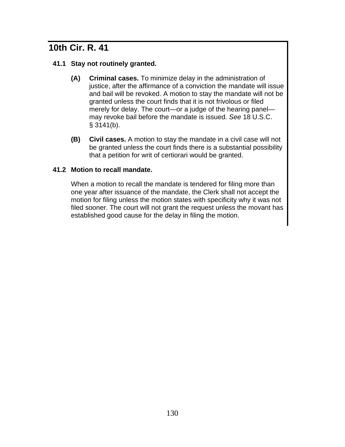# **10th Cir. R. 41**

#### **41.1 Stay not routinely granted.**

- **(A) Criminal cases.** To minimize delay in the administration of justice, after the affirmance of a conviction the mandate will issue and bail will be revoked. A motion to stay the mandate will not be granted unless the court finds that it is not frivolous or filed merely for delay. The court—or a judge of the hearing panel may revoke bail before the mandate is issued. *See* 18 U.S.C. § 3141(b).
- **(B) Civil cases.** A motion to stay the mandate in a civil case will not be granted unless the court finds there is a substantial possibility that a petition for writ of certiorari would be granted.

#### **41.2 Motion to recall mandate.**

When a motion to recall the mandate is tendered for filing more than one year after issuance of the mandate, the Clerk shall not accept the motion for filing unless the motion states with specificity why it was not filed sooner. The court will not grant the request unless the movant has established good cause for the delay in filing the motion.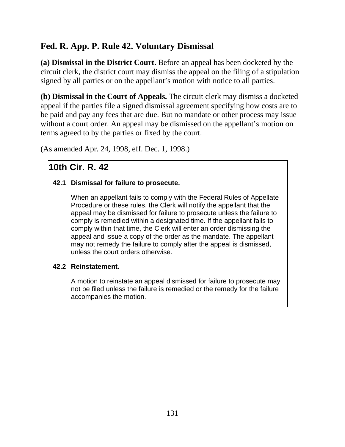# **Fed. R. App. P. Rule 42. Voluntary Dismissal**

**(a) Dismissal in the District Court.** Before an appeal has been docketed by the circuit clerk, the district court may dismiss the appeal on the filing of a stipulation signed by all parties or on the appellant's motion with notice to all parties.

**(b) Dismissal in the Court of Appeals.** The circuit clerk may dismiss a docketed appeal if the parties file a signed dismissal agreement specifying how costs are to be paid and pay any fees that are due. But no mandate or other process may issue without a court order. An appeal may be dismissed on the appellant's motion on terms agreed to by the parties or fixed by the court.

(As amended Apr. 24, 1998, eff. Dec. 1, 1998.)

# **10th Cir. R. 42**

### **42.1 Dismissal for failure to prosecute.**

When an appellant fails to comply with the Federal Rules of Appellate Procedure or these rules, the Clerk will notify the appellant that the appeal may be dismissed for failure to prosecute unless the failure to comply is remedied within a designated time. If the appellant fails to comply within that time, the Clerk will enter an order dismissing the appeal and issue a copy of the order as the mandate. The appellant may not remedy the failure to comply after the appeal is dismissed, unless the court orders otherwise.

#### **42.2 Reinstatement.**

A motion to reinstate an appeal dismissed for failure to prosecute may not be filed unless the failure is remedied or the remedy for the failure accompanies the motion.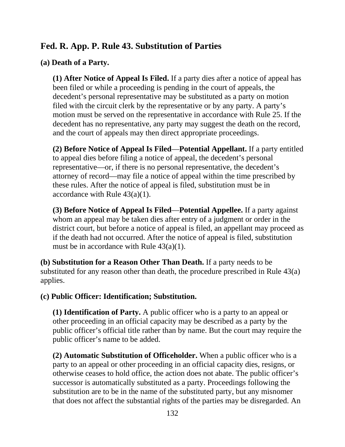# **Fed. R. App. P. Rule 43. Substitution of Parties**

**(a) Death of a Party.**

**(1) After Notice of Appeal Is Filed.** If a party dies after a notice of appeal has been filed or while a proceeding is pending in the court of appeals, the decedent's personal representative may be substituted as a party on motion filed with the circuit clerk by the representative or by any party. A party's motion must be served on the representative in accordance with Rule 25. If the decedent has no representative, any party may suggest the death on the record, and the court of appeals may then direct appropriate proceedings.

**(2) Before Notice of Appeal Is Filed**—**Potential Appellant.** If a party entitled to appeal dies before filing a notice of appeal, the decedent's personal representative—or, if there is no personal representative, the decedent's attorney of record—may file a notice of appeal within the time prescribed by these rules. After the notice of appeal is filed, substitution must be in accordance with Rule 43(a)(1).

**(3) Before Notice of Appeal Is Filed**—**Potential Appellee.** If a party against whom an appeal may be taken dies after entry of a judgment or order in the district court, but before a notice of appeal is filed, an appellant may proceed as if the death had not occurred. After the notice of appeal is filed, substitution must be in accordance with Rule 43(a)(1).

**(b) Substitution for a Reason Other Than Death.** If a party needs to be substituted for any reason other than death, the procedure prescribed in Rule 43(a) applies.

## **(c) Public Officer: Identification; Substitution.**

**(1) Identification of Party.** A public officer who is a party to an appeal or other proceeding in an official capacity may be described as a party by the public officer's official title rather than by name. But the court may require the public officer's name to be added.

**(2) Automatic Substitution of Officeholder.** When a public officer who is a party to an appeal or other proceeding in an official capacity dies, resigns, or otherwise ceases to hold office, the action does not abate. The public officer's successor is automatically substituted as a party. Proceedings following the substitution are to be in the name of the substituted party, but any misnomer that does not affect the substantial rights of the parties may be disregarded. An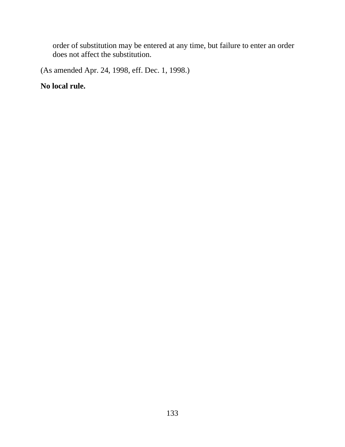order of substitution may be entered at any time, but failure to enter an order does not affect the substitution.

(As amended Apr. 24, 1998, eff. Dec. 1, 1998.)

**No local rule.**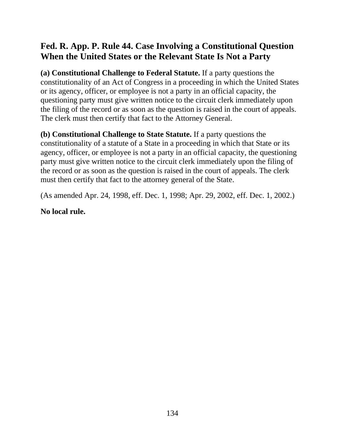# **Fed. R. App. P. Rule 44. Case Involving a Constitutional Question When the United States or the Relevant State Is Not a Party**

**(a) Constitutional Challenge to Federal Statute.** If a party questions the constitutionality of an Act of Congress in a proceeding in which the United States or its agency, officer, or employee is not a party in an official capacity, the questioning party must give written notice to the circuit clerk immediately upon the filing of the record or as soon as the question is raised in the court of appeals. The clerk must then certify that fact to the Attorney General.

**(b) Constitutional Challenge to State Statute.** If a party questions the constitutionality of a statute of a State in a proceeding in which that State or its agency, officer, or employee is not a party in an official capacity, the questioning party must give written notice to the circuit clerk immediately upon the filing of the record or as soon as the question is raised in the court of appeals. The clerk must then certify that fact to the attorney general of the State.

(As amended Apr. 24, 1998, eff. Dec. 1, 1998; Apr. 29, 2002, eff. Dec. 1, 2002.)

**No local rule.**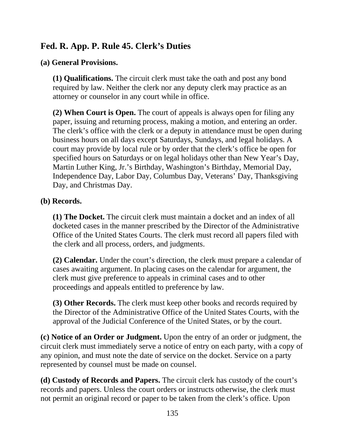# **Fed. R. App. P. Rule 45. Clerk's Duties**

# **(a) General Provisions.**

**(1) Qualifications.** The circuit clerk must take the oath and post any bond required by law. Neither the clerk nor any deputy clerk may practice as an attorney or counselor in any court while in office.

**(2) When Court is Open.** The court of appeals is always open for filing any paper, issuing and returning process, making a motion, and entering an order. The clerk's office with the clerk or a deputy in attendance must be open during business hours on all days except Saturdays, Sundays, and legal holidays. A court may provide by local rule or by order that the clerk's office be open for specified hours on Saturdays or on legal holidays other than New Year's Day, Martin Luther King, Jr.'s Birthday, Washington's Birthday, Memorial Day, Independence Day, Labor Day, Columbus Day, Veterans' Day, Thanksgiving Day, and Christmas Day.

# **(b) Records.**

**(1) The Docket.** The circuit clerk must maintain a docket and an index of all docketed cases in the manner prescribed by the Director of the Administrative Office of the United States Courts. The clerk must record all papers filed with the clerk and all process, orders, and judgments.

**(2) Calendar.** Under the court's direction, the clerk must prepare a calendar of cases awaiting argument. In placing cases on the calendar for argument, the clerk must give preference to appeals in criminal cases and to other proceedings and appeals entitled to preference by law.

**(3) Other Records.** The clerk must keep other books and records required by the Director of the Administrative Office of the United States Courts, with the approval of the Judicial Conference of the United States, or by the court.

**(c) Notice of an Order or Judgment.** Upon the entry of an order or judgment, the circuit clerk must immediately serve a notice of entry on each party, with a copy of any opinion, and must note the date of service on the docket. Service on a party represented by counsel must be made on counsel.

**(d) Custody of Records and Papers.** The circuit clerk has custody of the court's records and papers. Unless the court orders or instructs otherwise, the clerk must not permit an original record or paper to be taken from the clerk's office. Upon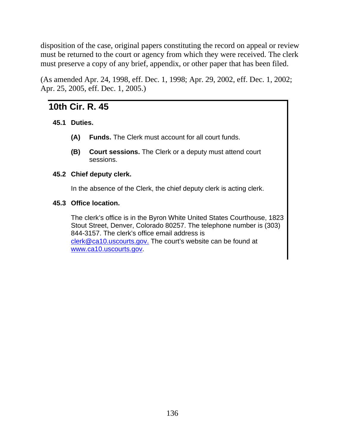disposition of the case, original papers constituting the record on appeal or review must be returned to the court or agency from which they were received. The clerk must preserve a copy of any brief, appendix, or other paper that has been filed.

(As amended Apr. 24, 1998, eff. Dec. 1, 1998; Apr. 29, 2002, eff. Dec. 1, 2002; Apr. 25, 2005, eff. Dec. 1, 2005.)

# **10th Cir. R. 45**

## **45.1 Duties.**

- **(A) Funds.** The Clerk must account for all court funds.
- **(B) Court sessions.** The Clerk or a deputy must attend court sessions.

## **45.2 Chief deputy clerk.**

In the absence of the Clerk, the chief deputy clerk is acting clerk.

## **45.3 Office location.**

The clerk's office is in the Byron White United States Courthouse, 1823 Stout Street, Denver, Colorado 80257. The telephone number is (303) 844-3157. The clerk's office email address is [clerk@ca10.uscourts.gov.](mailto:clerk@ca10.uscourts.gov.) The court's website can be found at [www.ca10.uscourts.gov.](http://www.ca10.uscourts.gov/)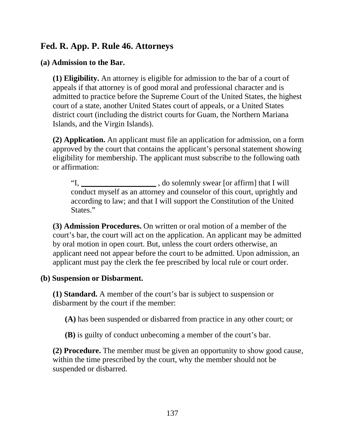# **Fed. R. App. P. Rule 46. Attorneys**

# **(a) Admission to the Bar.**

**(1) Eligibility.** An attorney is eligible for admission to the bar of a court of appeals if that attorney is of good moral and professional character and is admitted to practice before the Supreme Court of the United States, the highest court of a state, another United States court of appeals, or a United States district court (including the district courts for Guam, the Northern Mariana Islands, and the Virgin Islands).

**(2) Application.** An applicant must file an application for admission, on a form approved by the court that contains the applicant's personal statement showing eligibility for membership. The applicant must subscribe to the following oath or affirmation:

"I, \_\_\_\_\_\_\_\_\_\_\_\_\_\_\_\_\_\_\_ , do solemnly swear [or affirm] that I will conduct myself as an attorney and counselor of this court, uprightly and according to law; and that I will support the Constitution of the United States."

**(3) Admission Procedures.** On written or oral motion of a member of the court's bar, the court will act on the application. An applicant may be admitted by oral motion in open court. But, unless the court orders otherwise, an applicant need not appear before the court to be admitted. Upon admission, an applicant must pay the clerk the fee prescribed by local rule or court order.

## **(b) Suspension or Disbarment.**

**(1) Standard.** A member of the court's bar is subject to suspension or disbarment by the court if the member:

**(A)** has been suspended or disbarred from practice in any other court; or

**(B)** is guilty of conduct unbecoming a member of the court's bar.

**(2) Procedure.** The member must be given an opportunity to show good cause, within the time prescribed by the court, why the member should not be suspended or disbarred.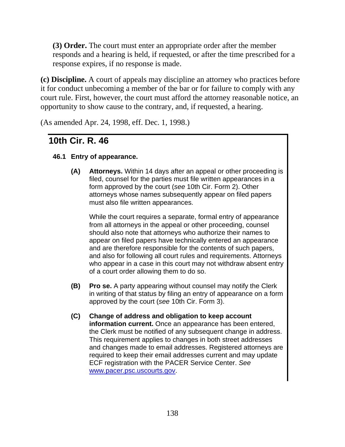**(3) Order.** The court must enter an appropriate order after the member responds and a hearing is held, if requested, or after the time prescribed for a response expires, if no response is made.

**(c) Discipline.** A court of appeals may discipline an attorney who practices before it for conduct unbecoming a member of the bar or for failure to comply with any court rule. First, however, the court must afford the attorney reasonable notice, an opportunity to show cause to the contrary, and, if requested, a hearing.

(As amended Apr. 24, 1998, eff. Dec. 1, 1998.)

# **10th Cir. R. 46**

# **46.1 Entry of appearance.**

**(A) Attorneys.** Within 14 days after an appeal or other proceeding is filed, counsel for the parties must file written appearances in a form approved by the court (*see* 10th Cir. Form 2). Other attorneys whose names subsequently appear on filed papers must also file written appearances.

While the court requires a separate, formal entry of appearance from all attorneys in the appeal or other proceeding, counsel should also note that attorneys who authorize their names to appear on filed papers have technically entered an appearance and are therefore responsible for the contents of such papers, and also for following all court rules and requirements. Attorneys who appear in a case in this court may not withdraw absent entry of a court order allowing them to do so.

- **(B) Pro se.** A party appearing without counsel may notify the Clerk in writing of that status by filing an entry of appearance on a form approved by the court (*see* 10th Cir. Form 3).
- **(C) Change of address and obligation to keep account information current.** Once an appearance has been entered, the Clerk must be notified of any subsequent change in address. This requirement applies to changes in both street addresses and changes made to email addresses. Registered attorneys are required to keep their email addresses current and may update ECF registration with the PACER Service Center. *See* www*.*[pacer.psc.uscourts.gov.](http://www.pacer.psc.uscourts.gov/)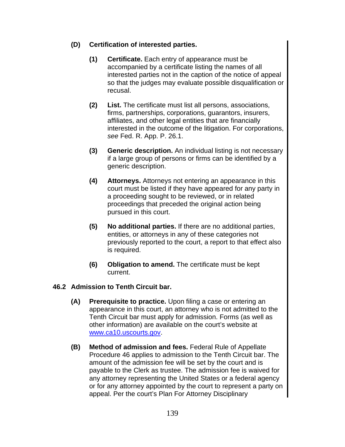## **(D) Certification of interested parties.**

- **(1) Certificate.** Each entry of appearance must be accompanied by a certificate listing the names of all interested parties not in the caption of the notice of appeal so that the judges may evaluate possible disqualification or recusal.
- **(2) List.** The certificate must list all persons, associations, firms, partnerships, corporations, guarantors, insurers, affiliates, and other legal entities that are financially interested in the outcome of the litigation. For corporations, *see* Fed. R. App. P. 26.1.
- **(3) Generic description.** An individual listing is not necessary if a large group of persons or firms can be identified by a generic description.
- **(4) Attorneys.** Attorneys not entering an appearance in this court must be listed if they have appeared for any party in a proceeding sought to be reviewed, or in related proceedings that preceded the original action being pursued in this court.
- **(5) No additional parties.** If there are no additional parties, entities, or attorneys in any of these categories not previously reported to the court, a report to that effect also is required.
- **(6) Obligation to amend.** The certificate must be kept current.

## **46.2 Admission to Tenth Circuit bar.**

- **(A) Prerequisite to practice.** Upon filing a case or entering an appearance in this court, an attorney who is not admitted to the Tenth Circuit bar must apply for admission. Forms (as well as other information) are available on the court's website at [www.ca10.uscourts.gov.](http://www.ca10.uscourts.gov/)
- **(B) Method of admission and fees.** Federal Rule of Appellate Procedure 46 applies to admission to the Tenth Circuit bar. The amount of the admission fee will be set by the court and is payable to the Clerk as trustee. The admission fee is waived for any attorney representing the United States or a federal agency or for any attorney appointed by the court to represent a party on appeal. Per the court's Plan For Attorney Disciplinary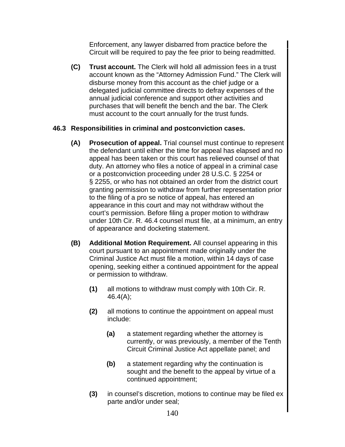Enforcement, any lawyer disbarred from practice before the Circuit will be required to pay the fee prior to being readmitted.

**(C) Trust account.** The Clerk will hold all admission fees in a trust account known as the "Attorney Admission Fund." The Clerk will disburse money from this account as the chief judge or a delegated judicial committee directs to defray expenses of the annual judicial conference and support other activities and purchases that will benefit the bench and the bar. The Clerk must account to the court annually for the trust funds.

#### **46.3 Responsibilities in criminal and postconviction cases.**

- **(A) Prosecution of appeal.** Trial counsel must continue to represent the defendant until either the time for appeal has elapsed and no appeal has been taken or this court has relieved counsel of that duty. An attorney who files a notice of appeal in a criminal case or a postconviction proceeding under 28 U.S.C. § 2254 or § 2255, or who has not obtained an order from the district court granting permission to withdraw from further representation prior to the filing of a pro se notice of appeal, has entered an appearance in this court and may not withdraw without the court's permission. Before filing a proper motion to withdraw under 10th Cir. R. 46.4 counsel must file, at a minimum, an entry of appearance and docketing statement.
- **(B) Additional Motion Requirement.** All counsel appearing in this court pursuant to an appointment made originally under the Criminal Justice Act must file a motion, within 14 days of case opening, seeking either a continued appointment for the appeal or permission to withdraw.
	- **(1)** all motions to withdraw must comply with 10th Cir. R. 46.4(A);
	- **(2)** all motions to continue the appointment on appeal must include:
		- **(a)** a statement regarding whether the attorney is currently, or was previously, a member of the Tenth Circuit Criminal Justice Act appellate panel; and
		- **(b)** a statement regarding why the continuation is sought and the benefit to the appeal by virtue of a continued appointment;
	- **(3)** in counsel's discretion, motions to continue may be filed ex parte and/or under seal;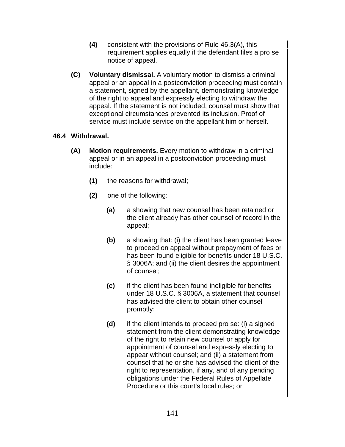- **(4)** consistent with the provisions of Rule 46.3(A), this requirement applies equally if the defendant files a pro se notice of appeal.
- **(C) Voluntary dismissal.** A voluntary motion to dismiss a criminal appeal or an appeal in a postconviction proceeding must contain a statement, signed by the appellant, demonstrating knowledge of the right to appeal and expressly electing to withdraw the appeal. If the statement is not included, counsel must show that exceptional circumstances prevented its inclusion. Proof of service must include service on the appellant him or herself.

#### **46.4 Withdrawal.**

- **(A) Motion requirements.** Every motion to withdraw in a criminal appeal or in an appeal in a postconviction proceeding must include:
	- **(1)** the reasons for withdrawal;
	- **(2)** one of the following:
		- **(a)** a showing that new counsel has been retained or the client already has other counsel of record in the appeal;
		- **(b)** a showing that: (i) the client has been granted leave to proceed on appeal without prepayment of fees or has been found eligible for benefits under 18 U.S.C. § 3006A; and (ii) the client desires the appointment of counsel;
		- **(c)** if the client has been found ineligible for benefits under 18 U.S.C. § 3006A, a statement that counsel has advised the client to obtain other counsel promptly;
		- **(d)** if the client intends to proceed pro se: (i) a signed statement from the client demonstrating knowledge of the right to retain new counsel or apply for appointment of counsel and expressly electing to appear without counsel; and (ii) a statement from counsel that he or she has advised the client of the right to representation, if any, and of any pending obligations under the Federal Rules of Appellate Procedure or this court's local rules; or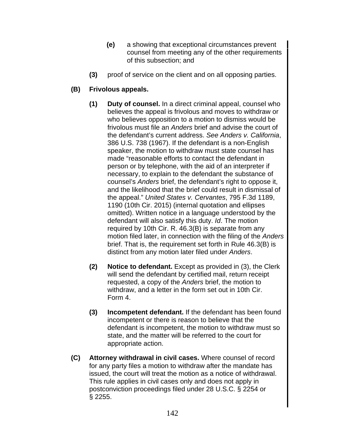- **(e)** a showing that exceptional circumstances prevent counsel from meeting any of the other requirements of this subsection; and
- **(3)** proof of service on the client and on all opposing parties.

## **(B) Frivolous appeals.**

- **(1) Duty of counsel.** In a direct criminal appeal, counsel who believes the appeal is frivolous and moves to withdraw or who believes opposition to a motion to dismiss would be frivolous must file an *Anders* brief and advise the court of the defendant's current address. *See Anders v. California*, 386 U.S. 738 (1967). If the defendant is a non-English speaker, the motion to withdraw must state counsel has made "reasonable efforts to contact the defendant in person or by telephone, with the aid of an interpreter if necessary, to explain to the defendant the substance of counsel's *Anders* brief, the defendant's right to oppose it, and the likelihood that the brief could result in dismissal of the appeal." *United States v. Cervantes*, 795 F.3d 1189, 1190 (10th Cir. 2015) (internal quotation and ellipses omitted). Written notice in a language understood by the defendant will also satisfy this duty. *Id*. The motion required by 10th Cir. R. 46.3(B) is separate from any motion filed later, in connection with the filing of the *Anders* brief. That is, the requirement set forth in Rule 46.3(B) is distinct from any motion later filed under *Anders*.
- **(2) Notice to defendant.** Except as provided in (3), the Clerk will send the defendant by certified mail, return receipt requested, a copy of the *Anders* brief, the motion to withdraw, and a letter in the form set out in 10th Cir. Form 4.
- **(3) Incompetent defendant.** If the defendant has been found incompetent or there is reason to believe that the defendant is incompetent, the motion to withdraw must so state, and the matter will be referred to the court for appropriate action.
- **(C) Attorney withdrawal in civil cases.** Where counsel of record for any party files a motion to withdraw after the mandate has issued, the court will treat the motion as a notice of withdrawal. This rule applies in civil cases only and does not apply in postconviction proceedings filed under 28 U.S.C. § 2254 or § 2255.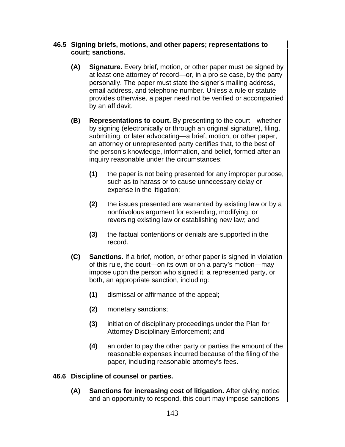#### **46.5 Signing briefs, motions, and other papers; representations to court; sanctions.**

- **(A) Signature.** Every brief, motion, or other paper must be signed by at least one attorney of record—or, in a pro se case, by the party personally. The paper must state the signer's mailing address, email address, and telephone number. Unless a rule or statute provides otherwise, a paper need not be verified or accompanied by an affidavit.
- **(B) Representations to court.** By presenting to the court—whether by signing (electronically or through an original signature), filing, submitting, or later advocating—a brief, motion, or other paper, an attorney or unrepresented party certifies that, to the best of the person's knowledge, information, and belief, formed after an inquiry reasonable under the circumstances:
	- **(1)** the paper is not being presented for any improper purpose, such as to harass or to cause unnecessary delay or expense in the litigation;
	- **(2)** the issues presented are warranted by existing law or by a nonfrivolous argument for extending, modifying, or reversing existing law or establishing new law; and
	- **(3)** the factual contentions or denials are supported in the record.
- **(C) Sanctions.** If a brief, motion, or other paper is signed in violation of this rule, the court—on its own or on a party's motion—may impose upon the person who signed it, a represented party, or both, an appropriate sanction, including:
	- **(1)** dismissal or affirmance of the appeal;
	- **(2)** monetary sanctions;
	- **(3)** initiation of disciplinary proceedings under the Plan for Attorney Disciplinary Enforcement; and
	- **(4)** an order to pay the other party or parties the amount of the reasonable expenses incurred because of the filing of the paper, including reasonable attorney's fees.

#### **46.6 Discipline of counsel or parties.**

**(A) Sanctions for increasing cost of litigation.** After giving notice and an opportunity to respond, this court may impose sanctions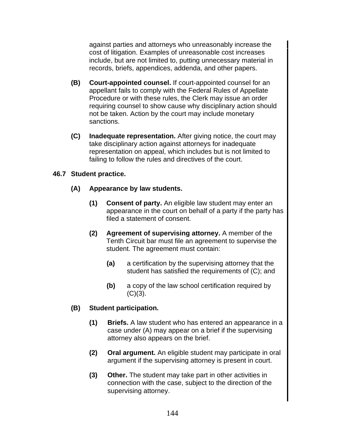against parties and attorneys who unreasonably increase the cost of litigation. Examples of unreasonable cost increases include, but are not limited to, putting unnecessary material in records, briefs, appendices, addenda, and other papers.

- **(B) Court-appointed counsel.** If court-appointed counsel for an appellant fails to comply with the Federal Rules of Appellate Procedure or with these rules, the Clerk may issue an order requiring counsel to show cause why disciplinary action should not be taken. Action by the court may include monetary sanctions.
- **(C) Inadequate representation.** After giving notice, the court may take disciplinary action against attorneys for inadequate representation on appeal, which includes but is not limited to failing to follow the rules and directives of the court.

### **46.7 Student practice.**

### **(A) Appearance by law students.**

- **(1) Consent of party.** An eligible law student may enter an appearance in the court on behalf of a party if the party has filed a statement of consent.
- **(2) Agreement of supervising attorney.** A member of the Tenth Circuit bar must file an agreement to supervise the student. The agreement must contain:
	- **(a)** a certification by the supervising attorney that the student has satisfied the requirements of (C); and
	- **(b)** a copy of the law school certification required by  $(C)(3)$ .

## **(B) Student participation.**

- **(1) Briefs.** A law student who has entered an appearance in a case under (A) may appear on a brief if the supervising attorney also appears on the brief.
- **(2) Oral argument.** An eligible student may participate in oral argument if the supervising attorney is present in court.
- **(3) Other.** The student may take part in other activities in connection with the case, subject to the direction of the supervising attorney.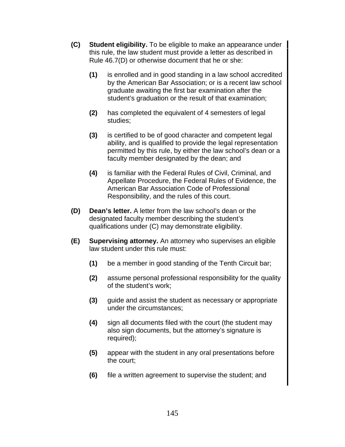- **(C) Student eligibility.** To be eligible to make an appearance under this rule, the law student must provide a letter as described in Rule 46.7(D) or otherwise document that he or she:
	- **(1)** is enrolled and in good standing in a law school accredited by the American Bar Association; or is a recent law school graduate awaiting the first bar examination after the student's graduation or the result of that examination;
	- **(2)** has completed the equivalent of 4 semesters of legal studies;
	- **(3)** is certified to be of good character and competent legal ability, and is qualified to provide the legal representation permitted by this rule, by either the law school's dean or a faculty member designated by the dean; and
	- **(4)** is familiar with the Federal Rules of Civil, Criminal, and Appellate Procedure, the Federal Rules of Evidence, the American Bar Association Code of Professional Responsibility, and the rules of this court.
- **(D) Dean's letter.** A letter from the law school's dean or the designated faculty member describing the student's qualifications under (C) may demonstrate eligibility.
- **(E) Supervising attorney.** An attorney who supervises an eligible law student under this rule must:
	- **(1)** be a member in good standing of the Tenth Circuit bar;
	- **(2)** assume personal professional responsibility for the quality of the student's work;
	- **(3)** guide and assist the student as necessary or appropriate under the circumstances;
	- **(4)** sign all documents filed with the court (the student may also sign documents, but the attorney's signature is required);
	- **(5)** appear with the student in any oral presentations before the court;
	- **(6)** file a written agreement to supervise the student; and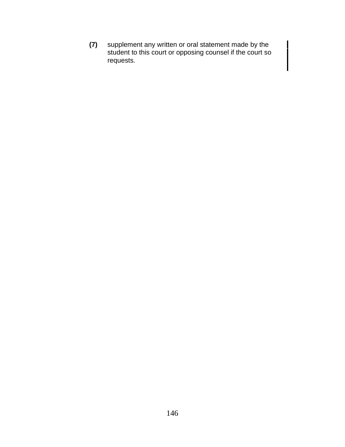**(7)** supplement any written or oral statement made by the student to this court or opposing counsel if the court so requests.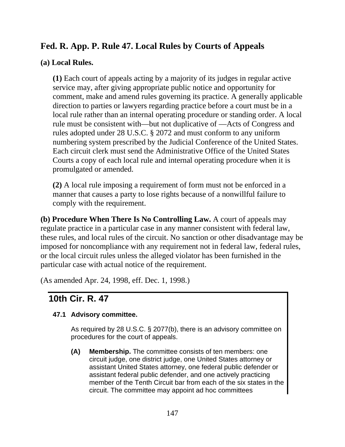# **Fed. R. App. P. Rule 47. Local Rules by Courts of Appeals**

# **(a) Local Rules.**

**(1)** Each court of appeals acting by a majority of its judges in regular active service may, after giving appropriate public notice and opportunity for comment, make and amend rules governing its practice. A generally applicable direction to parties or lawyers regarding practice before a court must be in a local rule rather than an internal operating procedure or standing order. A local rule must be consistent with—but not duplicative of —Acts of Congress and rules adopted under 28 U.S.C. § 2072 and must conform to any uniform numbering system prescribed by the Judicial Conference of the United States. Each circuit clerk must send the Administrative Office of the United States Courts a copy of each local rule and internal operating procedure when it is promulgated or amended.

**(2)** A local rule imposing a requirement of form must not be enforced in a manner that causes a party to lose rights because of a nonwillful failure to comply with the requirement.

**(b) Procedure When There Is No Controlling Law.** A court of appeals may regulate practice in a particular case in any manner consistent with federal law, these rules, and local rules of the circuit. No sanction or other disadvantage may be imposed for noncompliance with any requirement not in federal law, federal rules, or the local circuit rules unless the alleged violator has been furnished in the particular case with actual notice of the requirement.

(As amended Apr. 24, 1998, eff. Dec. 1, 1998.)

# **10th Cir. R. 47**

## **47.1 Advisory committee.**

As required by 28 U.S.C. § 2077(b), there is an advisory committee on procedures for the court of appeals.

**(A) Membership.** The committee consists of ten members: one circuit judge, one district judge, one United States attorney or assistant United States attorney, one federal public defender or assistant federal public defender, and one actively practicing member of the Tenth Circuit bar from each of the six states in the circuit. The committee may appoint ad hoc committees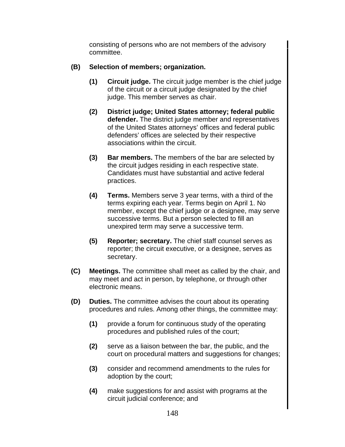consisting of persons who are not members of the advisory committee.

- **(B) Selection of members; organization.**
	- **(1) Circuit judge.** The circuit judge member is the chief judge of the circuit or a circuit judge designated by the chief judge. This member serves as chair.
	- **(2) District judge; United States attorney; federal public defender.** The district judge member and representatives of the United States attorneys' offices and federal public defenders' offices are selected by their respective associations within the circuit.
	- **(3) Bar members.** The members of the bar are selected by the circuit judges residing in each respective state. Candidates must have substantial and active federal practices.
	- **(4) Terms.** Members serve 3 year terms, with a third of the terms expiring each year. Terms begin on April 1. No member, except the chief judge or a designee, may serve successive terms. But a person selected to fill an unexpired term may serve a successive term.
	- **(5) Reporter; secretary.** The chief staff counsel serves as reporter; the circuit executive, or a designee, serves as secretary.
- **(C) Meetings.** The committee shall meet as called by the chair, and may meet and act in person, by telephone, or through other electronic means.
- **(D) Duties.** The committee advises the court about its operating procedures and rules. Among other things, the committee may:
	- **(1)** provide a forum for continuous study of the operating procedures and published rules of the court;
	- **(2)** serve as a liaison between the bar, the public, and the court on procedural matters and suggestions for changes;
	- **(3)** consider and recommend amendments to the rules for adoption by the court;
	- **(4)** make suggestions for and assist with programs at the circuit judicial conference; and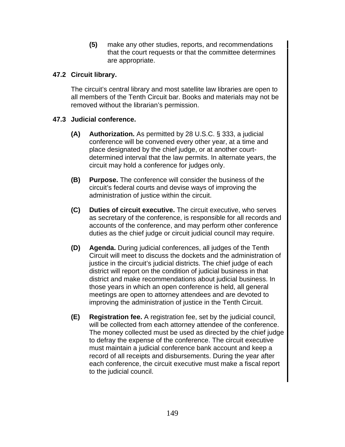**(5)** make any other studies, reports, and recommendations that the court requests or that the committee determines are appropriate.

## **47.2 Circuit library.**

The circuit's central library and most satellite law libraries are open to all members of the Tenth Circuit bar. Books and materials may not be removed without the librarian's permission.

### **47.3 Judicial conference.**

- **(A) Authorization.** As permitted by 28 U.S.C. § 333, a judicial conference will be convened every other year, at a time and place designated by the chief judge, or at another courtdetermined interval that the law permits. In alternate years, the circuit may hold a conference for judges only.
- **(B) Purpose.** The conference will consider the business of the circuit's federal courts and devise ways of improving the administration of justice within the circuit.
- **(C) Duties of circuit executive.** The circuit executive, who serves as secretary of the conference, is responsible for all records and accounts of the conference, and may perform other conference duties as the chief judge or circuit judicial council may require.
- **(D) Agenda.** During judicial conferences, all judges of the Tenth Circuit will meet to discuss the dockets and the administration of justice in the circuit's judicial districts. The chief judge of each district will report on the condition of judicial business in that district and make recommendations about judicial business. In those years in which an open conference is held, all general meetings are open to attorney attendees and are devoted to improving the administration of justice in the Tenth Circuit.
- **(E) Registration fee.** A registration fee, set by the judicial council, will be collected from each attorney attendee of the conference. The money collected must be used as directed by the chief judge to defray the expense of the conference. The circuit executive must maintain a judicial conference bank account and keep a record of all receipts and disbursements. During the year after each conference, the circuit executive must make a fiscal report to the judicial council.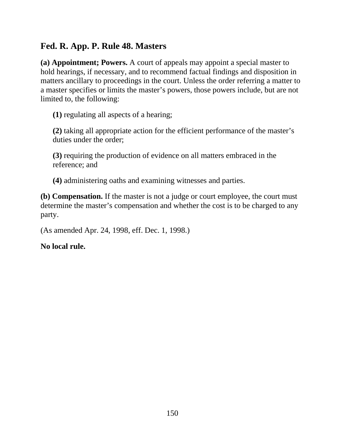# **Fed. R. App. P. Rule 48. Masters**

**(a) Appointment; Powers.** A court of appeals may appoint a special master to hold hearings, if necessary, and to recommend factual findings and disposition in matters ancillary to proceedings in the court. Unless the order referring a matter to a master specifies or limits the master's powers, those powers include, but are not limited to, the following:

**(1)** regulating all aspects of a hearing;

**(2)** taking all appropriate action for the efficient performance of the master's duties under the order;

**(3)** requiring the production of evidence on all matters embraced in the reference; and

**(4)** administering oaths and examining witnesses and parties.

**(b) Compensation.** If the master is not a judge or court employee, the court must determine the master's compensation and whether the cost is to be charged to any party.

(As amended Apr. 24, 1998, eff. Dec. 1, 1998.)

**No local rule.**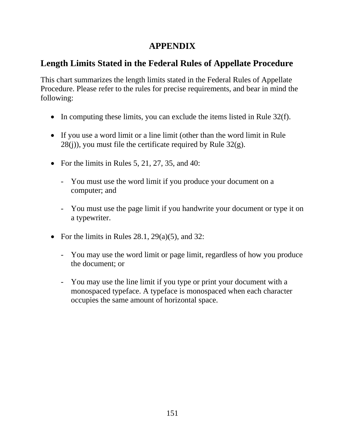# **APPENDIX**

# **Length Limits Stated in the Federal Rules of Appellate Procedure**

This chart summarizes the length limits stated in the Federal Rules of Appellate Procedure. Please refer to the rules for precise requirements, and bear in mind the following:

- In computing these limits, you can exclude the items listed in Rule  $32(f)$ .
- If you use a word limit or a line limit (other than the word limit in Rule  $28(i)$ ), you must file the certificate required by Rule  $32(g)$ .
- For the limits in Rules 5, 21, 27, 35, and 40:
	- You must use the word limit if you produce your document on a computer; and
	- You must use the page limit if you handwrite your document or type it on a typewriter.
- For the limits in Rules  $28.1$ ,  $29(a)(5)$ , and  $32$ :
	- You may use the word limit or page limit, regardless of how you produce the document; or
	- You may use the line limit if you type or print your document with a monospaced typeface. A typeface is monospaced when each character occupies the same amount of horizontal space.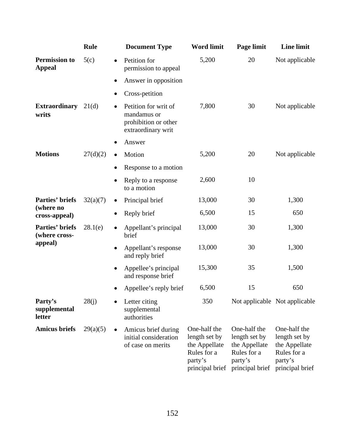|                                       | <b>Rule</b>     |           | <b>Document Type</b>                                                              | <b>Word limit</b>                                                                           | Page limit                                                                                  | <b>Line limit</b>                                                                           |
|---------------------------------------|-----------------|-----------|-----------------------------------------------------------------------------------|---------------------------------------------------------------------------------------------|---------------------------------------------------------------------------------------------|---------------------------------------------------------------------------------------------|
| <b>Permission to</b><br><b>Appeal</b> | 5(c)            | $\bullet$ | Petition for<br>permission to appeal                                              | 5,200                                                                                       | 20                                                                                          | Not applicable                                                                              |
|                                       |                 |           | Answer in opposition                                                              |                                                                                             |                                                                                             |                                                                                             |
|                                       |                 |           | Cross-petition                                                                    |                                                                                             |                                                                                             |                                                                                             |
| <b>Extraordinary</b><br>writs         | 21 <sub>d</sub> | $\bullet$ | Petition for writ of<br>mandamus or<br>prohibition or other<br>extraordinary writ | 7,800                                                                                       | 30                                                                                          | Not applicable                                                                              |
|                                       |                 |           | Answer                                                                            |                                                                                             |                                                                                             |                                                                                             |
| <b>Motions</b>                        | 27(d)(2)        | $\bullet$ | Motion                                                                            | 5,200                                                                                       | 20                                                                                          | Not applicable                                                                              |
|                                       |                 |           | Response to a motion                                                              |                                                                                             |                                                                                             |                                                                                             |
|                                       |                 |           | Reply to a response<br>to a motion                                                | 2,600                                                                                       | 10                                                                                          |                                                                                             |
| <b>Parties' briefs</b>                | 32(a)(7)        | $\bullet$ | Principal brief                                                                   | 13,000                                                                                      | 30                                                                                          | 1,300                                                                                       |
| (where no<br>cross-appeal)            |                 | $\bullet$ | Reply brief                                                                       | 6,500                                                                                       | 15                                                                                          | 650                                                                                         |
| Parties' briefs<br>(where cross-      | 28.1(e)         | $\bullet$ | Appellant's principal<br>brief                                                    | 13,000                                                                                      | 30                                                                                          | 1,300                                                                                       |
| appeal)                               |                 |           | Appellant's response<br>and reply brief                                           | 13,000                                                                                      | 30                                                                                          | 1,300                                                                                       |
|                                       |                 | $\bullet$ | Appellee's principal<br>and response brief                                        | 15,300                                                                                      | 35                                                                                          | 1,500                                                                                       |
|                                       |                 |           | Appellee's reply brief                                                            | 6,500                                                                                       | 15                                                                                          | 650                                                                                         |
| Party's<br>supplemental<br>letter     | 28(j)           |           | Letter citing<br>supplemental<br>authorities                                      | 350                                                                                         |                                                                                             | Not applicable Not applicable                                                               |
| <b>Amicus briefs</b>                  | 29(a)(5)        | $\bullet$ | Amicus brief during<br>initial consideration<br>of case on merits                 | One-half the<br>length set by<br>the Appellate<br>Rules for a<br>party's<br>principal brief | One-half the<br>length set by<br>the Appellate<br>Rules for a<br>party's<br>principal brief | One-half the<br>length set by<br>the Appellate<br>Rules for a<br>party's<br>principal brief |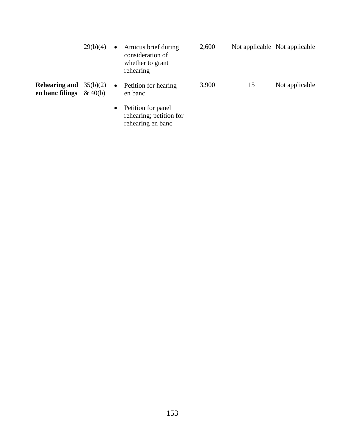|                                             | 29(b)(4) | $\bullet$ | Amicus brief during<br>consideration of<br>whether to grant<br>rehearing | 2,600 |    | Not applicable Not applicable |
|---------------------------------------------|----------|-----------|--------------------------------------------------------------------------|-------|----|-------------------------------|
| Rehearing and $35(b)(2)$<br>en banc filings | & 40(b)  | $\bullet$ | Petition for hearing<br>en banc                                          | 3,900 | 15 | Not applicable                |
|                                             |          | $\bullet$ | Petition for panel<br>rehearing; petition for<br>rehearing en banc       |       |    |                               |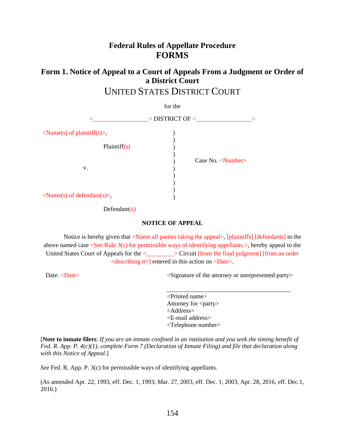# **Federal Rules of Appellate Procedure FORMS**

# **Form 1. Notice of Appeal to a Court of Appeals From a Judgment or Order of a District Court** UNITED STATES DISTRICT COURT

|                                     | for the                             |
|-------------------------------------|-------------------------------------|
|                                     | $>$ DISTRICT OF $<$                 |
| $\langle$ Name(s) of plaintiff(s)>, |                                     |
| Plaintiff $(s)$<br>V.               | Case No. $\langle$ Number $\rangle$ |
| $\langle$ Name(s) of defendant(s)>, |                                     |

Defendant(s)

#### **NOTICE OF APPEAL**

Notice is hereby given that <Name all parties taking the appeal>, [plaintiffs] [defendants] in the above named case <See Rule 3(c) for permissible ways of identifying appellants.>, hereby appeal to the United States Court of Appeals for the <\_\_\_\_\_\_\_> Circuit [from the final judgment] [from an order  $\leq$  describing it action on  $\leq$  Date  $\geq$ .

Date: <Date> <Signature of the attorney or unrepresented party>

\_\_\_\_\_\_\_\_\_\_\_\_\_\_\_\_\_\_\_\_\_\_\_\_\_\_\_\_\_\_\_\_\_\_\_\_\_\_\_\_

<Printed name> Attorney for <party> <Address> <E-mail address> <Telephone number>

[**Note to inmate filers**: *If you are an inmate confined in an institution and you seek the timing benefit of Fed. R. App. P. 4(c)(1), complete Form 7 (Declaration of Inmate Filing) and file that declaration along with this Notice of Appeal*.]

*See* Fed. R. App. P. 3(c) for permissible ways of identifying appellants.

(As amended Apr. 22, 1993, eff. Dec. 1, 1993; Mar. 27, 2003, eff. Dec. 1, 2003, Apr. 28, 2016, eff. Dec.1, 2016.)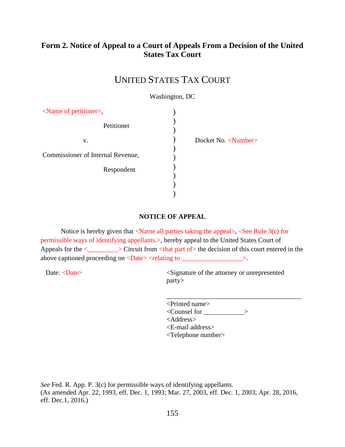# **Form 2. Notice of Appeal to a Court of Appeals From a Decision of the United States Tax Court**

# UNITED STATES TAX COURT

Washington, DC

| <name of="" petitioner="">,</name> |                              |
|------------------------------------|------------------------------|
| Petitioner                         |                              |
| V.                                 | Docket No. <number></number> |
| Commissioner of Internal Revenue,  |                              |
| Respondent                         |                              |
|                                    |                              |
|                                    |                              |

#### **NOTICE OF APPEAL**

Notice is hereby given that <Name all parties taking the appeal>, <See Rule 3(c) for permissible ways of identifying appellants.>, hereby appeal to the United States Court of Appeals for the  $\leq$   $\qquad \qquad$  > Circuit from  $\lt$ that part of  $\gt$  the decision of this court entered in the above captioned proceeding on  $\langle$ Date> $\langle$ relating to \_\_\_\_\_\_\_\_\_\_\_\_\_\_\_\_\_\_\_\_>.

Date: <Date> <Signature of the attorney or unrepresented party>

\_\_\_\_\_\_\_\_\_\_\_\_\_\_\_\_\_\_\_\_\_\_\_\_\_\_\_\_\_\_\_\_\_\_\_\_\_\_\_\_

*See* Fed. R. App. P. 3(c) for permissible ways of identifying appellants. (As amended Apr. 22, 1993, eff. Dec. 1, 1993; Mar. 27, 2003, eff. Dec. 1, 2003; Apr. 28, 2016, eff. Dec.1, 2016.)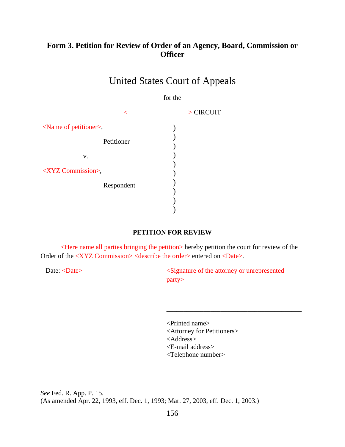# **Form 3. Petition for Review of Order of an Agency, Board, Commission or Officer**

# United States Court of Appeals

for the

|                                    | <b>CIRCUIT</b> |
|------------------------------------|----------------|
| <name of="" petitioner="">,</name> |                |
| Petitioner                         |                |
| V.                                 |                |
| <xyz commission="">,</xyz>         |                |
| Respondent                         |                |
|                                    |                |
|                                    |                |
|                                    |                |

#### **PETITION FOR REVIEW**

<Here name all parties bringing the petition> hereby petition the court for review of the Order of the <XYZ Commission> <describe the order> entered on <Date>.

Date: <Date> <Signature of the attorney or unrepresented party>

\_\_\_\_\_\_\_\_\_\_\_\_\_\_\_\_\_\_\_\_\_\_\_\_\_\_\_\_\_\_\_\_\_\_\_\_\_\_\_\_

<Printed name> <Attorney for Petitioners> <Address> <E-mail address> <Telephone number>

*See* Fed. R. App. P. 15. (As amended Apr. 22, 1993, eff. Dec. 1, 1993; Mar. 27, 2003, eff. Dec. 1, 2003.)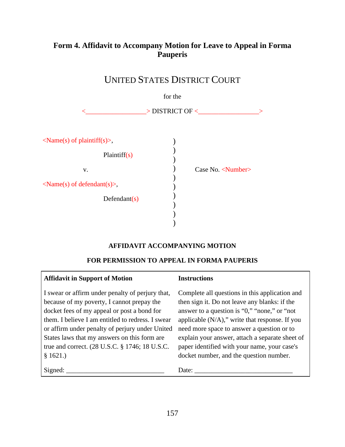# **Form 4. Affidavit to Accompany Motion for Leave to Appeal in Forma Pauperis**

|                                                                                                                     | <b>UNITED STATES DISTRICT COURT</b> |  |
|---------------------------------------------------------------------------------------------------------------------|-------------------------------------|--|
|                                                                                                                     | for the                             |  |
|                                                                                                                     | $>$ DISTRICT OF <                   |  |
| $\langle$ Name(s) of plaintiff(s)>,<br>Plaintiff $(s)$<br>V.<br>$\langle$ Name(s) of defendant(s)>,<br>Defendant(s) | Case No. <number></number>          |  |

### **AFFIDAVIT ACCOMPANYING MOTION**

### **FOR PERMISSION TO APPEAL IN FORMA PAUPERIS**

| <b>Affidavit in Support of Motion</b>                                                                                                                                                                                                                                                                                                                              | <b>Instructions</b>                                                                                                                                                                                                                                                                                                                                                                              |
|--------------------------------------------------------------------------------------------------------------------------------------------------------------------------------------------------------------------------------------------------------------------------------------------------------------------------------------------------------------------|--------------------------------------------------------------------------------------------------------------------------------------------------------------------------------------------------------------------------------------------------------------------------------------------------------------------------------------------------------------------------------------------------|
| I swear or affirm under penalty of perjury that,<br>because of my poverty, I cannot prepay the<br>docket fees of my appeal or post a bond for<br>them. I believe I am entitled to redress. I swear<br>or affirm under penalty of perjury under United<br>States laws that my answers on this form are<br>true and correct. (28 U.S.C. § 1746; 18 U.S.C.<br>\$1621. | Complete all questions in this application and<br>then sign it. Do not leave any blanks: if the<br>answer to a question is "0," "none," or "not<br>applicable $(N/A)$ ," write that response. If you<br>need more space to answer a question or to<br>explain your answer, attach a separate sheet of<br>paper identified with your name, your case's<br>docket number, and the question number. |
| Signed:                                                                                                                                                                                                                                                                                                                                                            | Date:                                                                                                                                                                                                                                                                                                                                                                                            |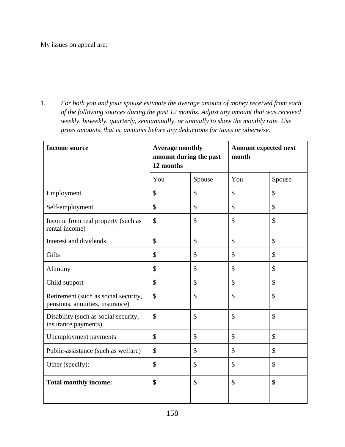My issues on appeal are:

1. *For both you and your spouse estimate the average amount of money received from each of the following sources during the past 12 months. Adjust any amount that was received weekly, biweekly, quarterly, semiannually, or annually to show the monthly rate. Use gross amounts, that is, amounts before any deductions for taxes or otherwise.* 

| <b>Income source</b>                                                    | <b>Average monthly</b><br>amount during the past<br>12 months |                    | <b>Amount expected next</b><br>month |               |
|-------------------------------------------------------------------------|---------------------------------------------------------------|--------------------|--------------------------------------|---------------|
|                                                                         | You                                                           | Spouse             | You                                  | Spouse        |
| Employment                                                              | $\mathcal{S}$                                                 | $\mathcal{S}$      | $\mathcal{S}$                        | \$            |
| Self-employment                                                         | \$                                                            | \$                 | $\mathcal{S}$                        | \$            |
| Income from real property (such as<br>rental income)                    | \$                                                            | \$                 | $\mathcal{S}$                        | $\mathcal{S}$ |
| Interest and dividends                                                  | \$                                                            | $\mathcal{S}$      | $\mathcal{S}$                        | $\mathcal{S}$ |
| Gifts                                                                   | \$                                                            | \$                 | $\mathcal{S}$                        | \$            |
| Alimony                                                                 | \$                                                            | \$                 | $\mathcal{S}$                        | $\mathcal{S}$ |
| Child support                                                           | \$                                                            | \$                 | $\mathcal{S}$                        | \$            |
| Retirement (such as social security,<br>pensions, annuities, insurance) | \$                                                            | $\mathbf{\hat{S}}$ | $\mathcal{S}$                        | \$            |
| Disability (such as social security,<br>insurance payments)             | $\mathbb{S}$                                                  | $\mathbb{S}$       | $\mathcal{S}$                        | $\mathbb{S}$  |
| Unemployment payments                                                   | \$                                                            | \$                 | $\mathcal{S}$                        | $\mathcal{S}$ |
| Public-assistance (such as welfare)                                     | $\mathcal{S}$                                                 | \$                 | $\mathcal{S}$                        | \$            |
| Other (specify):                                                        | \$                                                            | \$                 | $\mathcal{S}$                        | $\mathcal{S}$ |
| <b>Total monthly income:</b>                                            | \$                                                            | \$                 | \$                                   | \$            |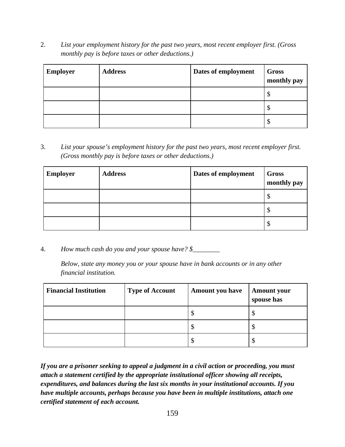2. *List your employment history for the past two years, most recent employer first. (Gross monthly pay is before taxes or other deductions.)*

| <b>Employer</b> | <b>Address</b> | Dates of employment | <b>Gross</b><br>monthly pay |
|-----------------|----------------|---------------------|-----------------------------|
|                 |                |                     | ◡                           |
|                 |                |                     | ◡                           |
|                 |                |                     | Φ                           |

3. *List your spouse's employment history for the past two years, most recent employer first. (Gross monthly pay is before taxes or other deductions.)*

| <b>Employer</b> | <b>Address</b> | Dates of employment | <b>Gross</b><br>monthly pay |
|-----------------|----------------|---------------------|-----------------------------|
|                 |                |                     | Φ                           |
|                 |                |                     | Φ                           |
|                 |                |                     | Φ                           |

4. *How much cash do you and your spouse have? \$\_\_\_\_\_\_\_\_*

*Below, state any money you or your spouse have in bank accounts or in any other financial institution.*

| <b>Financial Institution</b> | <b>Type of Account</b> | <b>Amount you have</b> | <b>Amount your</b><br>spouse has |
|------------------------------|------------------------|------------------------|----------------------------------|
|                              |                        | \$                     | Φ                                |
|                              |                        | \$                     | Φ                                |
|                              |                        | \$                     | \$                               |

*If you are a prisoner seeking to appeal a judgment in a civil action or proceeding, you must attach a statement certified by the appropriate institutional officer showing all receipts, expenditures, and balances during the last six months in your institutional accounts. If you have multiple accounts, perhaps because you have been in multiple institutions, attach one certified statement of each account.*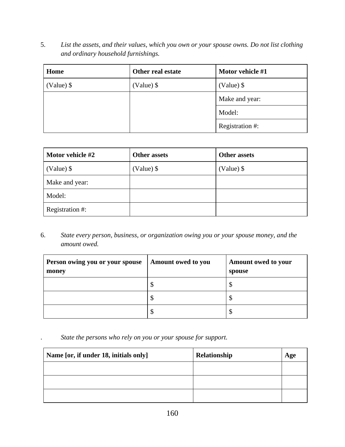5. *List the assets, and their values, which you own or your spouse owns. Do not list clothing and ordinary household furnishings.*

| Home         | Other real estate | Motor vehicle #1 |
|--------------|-------------------|------------------|
| $(Value)$ \$ | $(Value)$ \$      | $(Value)$ \$     |
|              |                   | Make and year:   |
|              |                   | Model:           |
|              |                   | Registration #:  |

| Motor vehicle #2 | <b>Other assets</b> | <b>Other assets</b> |  |
|------------------|---------------------|---------------------|--|
| $(Value)$ \$     | $(Value)$ \$        | $(Value)$ \$        |  |
| Make and year:   |                     |                     |  |
| Model:           |                     |                     |  |
| Registration #:  |                     |                     |  |

6. *State every person, business, or organization owing you or your spouse money, and the amount owed.*

| Person owing you or your spouse<br>money | Amount owed to you | Amount owed to your<br>spouse |
|------------------------------------------|--------------------|-------------------------------|
|                                          | Φ                  | Φ                             |
|                                          | Φ                  | D                             |
|                                          | \$                 | D                             |

. *State the persons who rely on you or your spouse for support.*

| Name [or, if under 18, initials only] | Relationship | Age |
|---------------------------------------|--------------|-----|
|                                       |              |     |
|                                       |              |     |
|                                       |              |     |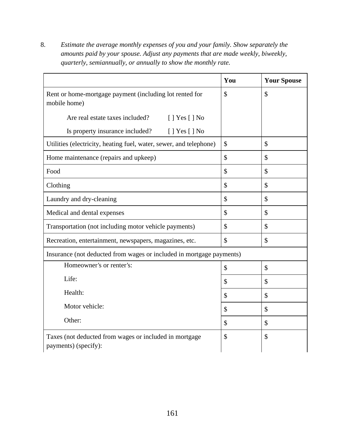8. *Estimate the average monthly expenses of you and your family. Show separately the amounts paid by your spouse. Adjust any payments that are made weekly, biweekly, quarterly, semiannually, or annually to show the monthly rate.*

|                                                                                | You           | <b>Your Spouse</b> |
|--------------------------------------------------------------------------------|---------------|--------------------|
| Rent or home-mortgage payment (including lot rented for<br>mobile home)        | $\mathcal{S}$ | \$                 |
| Are real estate taxes included?<br>$[$   Yes $[$   No                          |               |                    |
| Is property insurance included?<br>$[ ]$ Yes $[ ]$ No                          |               |                    |
| Utilities (electricity, heating fuel, water, sewer, and telephone)             | $\mathcal{S}$ | $\mathcal{S}$      |
| Home maintenance (repairs and upkeep)                                          | \$            | \$                 |
| Food                                                                           | \$            | $\mathcal{S}$      |
| Clothing                                                                       | $\mathcal{S}$ | $\mathcal{S}$      |
| Laundry and dry-cleaning                                                       | $\mathcal{S}$ | \$                 |
| Medical and dental expenses                                                    | \$            | \$                 |
| Transportation (not including motor vehicle payments)                          | $\mathcal{S}$ | $\mathcal{S}$      |
| Recreation, entertainment, newspapers, magazines, etc.                         | $\mathcal{S}$ | $\mathcal{S}$      |
| Insurance (not deducted from wages or included in mortgage payments)           |               |                    |
| Homeowner's or renter's:                                                       | \$            | \$                 |
| Life:                                                                          | \$            | $\mathcal{S}$      |
| Health:                                                                        | \$            | \$                 |
| Motor vehicle:                                                                 | $\mathcal{S}$ | \$                 |
| Other:                                                                         | $\mathcal{S}$ | $\mathcal{S}$      |
| Taxes (not deducted from wages or included in mortgage<br>payments) (specify): | \$            | \$                 |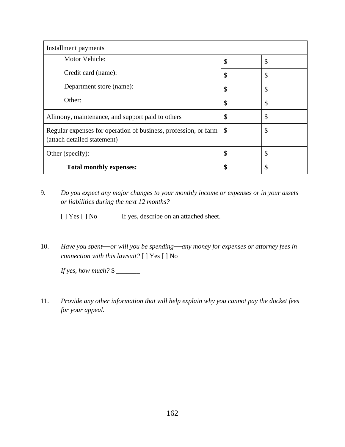| Installment payments                                                                           |          |
|------------------------------------------------------------------------------------------------|----------|
| Motor Vehicle:                                                                                 | \$<br>\$ |
| Credit card (name):                                                                            | \$<br>\$ |
| Department store (name):                                                                       | \$<br>\$ |
| Other:                                                                                         | \$<br>\$ |
| Alimony, maintenance, and support paid to others                                               | \$<br>\$ |
| Regular expenses for operation of business, profession, or farm<br>(attach detailed statement) | \$<br>\$ |
| Other (specify):                                                                               | \$<br>\$ |
| <b>Total monthly expenses:</b>                                                                 | \$<br>\$ |

9. *Do you expect any major changes to your monthly income or expenses or in your assets or liabilities during the next 12 months?*

[ ] Yes [ ] No If yes, describe on an attached sheet.

10. *Have you spent*—*or will you be spending*—*any money for expenses or attorney fees in connection with this lawsuit?* [ ] Yes [ ] No

*If yes, how much?* \$

11. *Provide any other information that will help explain why you cannot pay the docket fees for your appeal.*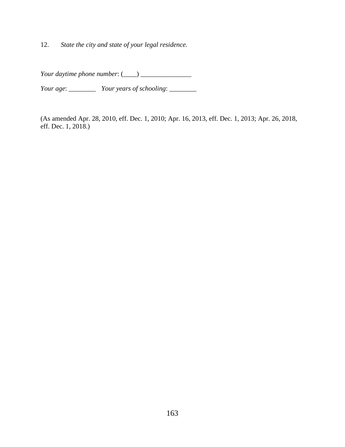12. *State the city and state of your legal residence.*

*Your daytime phone number*: (\_\_\_\_) \_\_\_\_\_\_\_\_\_\_\_\_\_\_\_

*Your age*: \_\_\_\_\_\_\_\_ *Your years of schooling*: \_\_\_\_\_\_\_\_

(As amended Apr. 28, 2010, eff. Dec. 1, 2010; Apr. 16, 2013, eff. Dec. 1, 2013; Apr. 26, 2018, eff. Dec. 1, 2018.)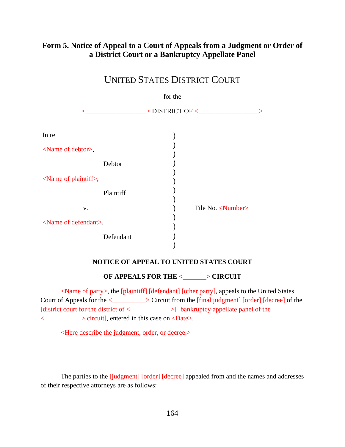## **Form 5. Notice of Appeal to a Court of Appeals from a Judgment or Order of a District Court or a Bankruptcy Appellate Panel**

UNITED STATES DISTRICT COURT

|                                   |           | UNILLO UTATLO DISTRICT COUNT |                            |
|-----------------------------------|-----------|------------------------------|----------------------------|
|                                   |           | for the                      |                            |
|                                   |           | $>$ DISTRICT OF <            |                            |
| In re                             |           |                              |                            |
| <name debtor="" of="">,</name>    |           |                              |                            |
|                                   | Debtor    |                              |                            |
| <name of="" plaintiff="">,</name> |           |                              |                            |
|                                   | Plaintiff |                              |                            |
| V.                                |           |                              | File No. <number></number> |
| <name defendant="" of="">,</name> |           |                              |                            |
|                                   | Defendant |                              |                            |

#### **NOTICE OF APPEAL TO UNITED STATES COURT**

**OF APPEALS FOR THE <\_\_\_\_\_\_\_> CIRCUIT**

<Name of party>, the [plaintiff] [defendant] [other party], appeals to the United States Court of Appeals for the  $\leq$  > Circuit from the [final judgment] [order] [decree] of the [district court for the district of <\_\_\_\_\_\_\_\_\_\_\_\_>] [bankruptcy appellate panel of the <\_\_\_\_\_\_\_\_\_\_\_> circuit], entered in this case on <Date>.

<Here describe the judgment, order, or decree.>

The parties to the [judgment] [order] [decree] appealed from and the names and addresses of their respective attorneys are as follows: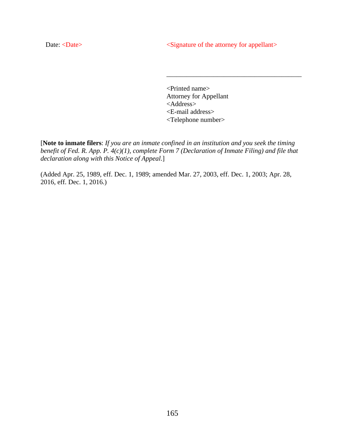Date: <Date> <Signature of the attorney for appellant>

\_\_\_\_\_\_\_\_\_\_\_\_\_\_\_\_\_\_\_\_\_\_\_\_\_\_\_\_\_\_\_\_\_\_\_\_\_\_\_\_

<Printed name> Attorney for Appellant <Address> <E-mail address> <Telephone number>

[**Note to inmate filers**: *If you are an inmate confined in an institution and you seek the timing benefit of Fed. R. App. P. 4(c)(1), complete Form 7 (Declaration of Inmate Filing) and file that declaration along with this Notice of Appeal*.]

(Added Apr. 25, 1989, eff. Dec. 1, 1989; amended Mar. 27, 2003, eff. Dec. 1, 2003; Apr. 28, 2016, eff. Dec. 1, 2016.)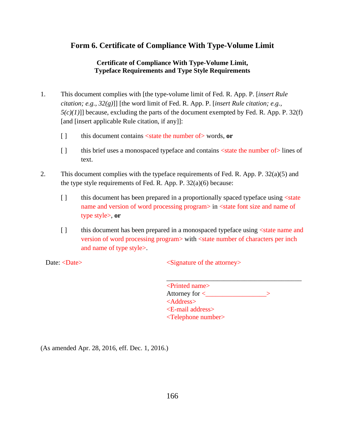## **Form 6. Certificate of Compliance With Type-Volume Limit**

#### **Certificate of Compliance With Type-Volume Limit, Typeface Requirements and Type Style Requirements**

- 1. This document complies with [the type-volume limit of Fed. R. App. P. [*insert Rule citation; e.g., 32(g)*]] [the word limit of Fed. R. App. P. [*insert Rule citation; e.g.,*   $5(c)(1)$ ]] because, excluding the parts of the document exempted by Fed. R. App. P. 32(f) [and [insert applicable Rule citation, if any]]:
	- [ ] this document contains <state the number of> words, **or**
	- [ $\vert$ ] this brief uses a monospaced typeface and contains  $\langle$  state the number of  $\rangle$  lines of text.
- 2. This document complies with the typeface requirements of Fed. R. App. P. 32(a)(5) and the type style requirements of Fed. R. App. P.  $32(a)(6)$  because:
	- [ ] this document has been prepared in a proportionally spaced typeface using  $\lt$  state name and version of word processing program> in <state font size and name of type style>, **or**
	- [ ] this document has been prepared in a monospaced typeface using  $\le$ state name and version of word processing program> with <state number of characters per inch and name of type style>.

Date: <Date> <Signature of the attorney>

(As amended Apr. 28, 2016, eff. Dec. 1, 2016.)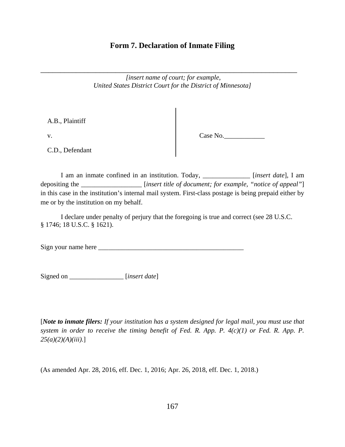## **Form 7. Declaration of Inmate Filing**

*[insert name of court; for example, United States District Court for the District of Minnesota]*

\_\_\_\_\_\_\_\_\_\_\_\_\_\_\_\_\_\_\_\_\_\_\_\_\_\_\_\_\_\_\_\_\_\_\_\_\_\_\_\_\_\_\_\_\_\_\_\_\_\_\_\_\_\_\_\_\_\_\_\_\_\_\_\_\_

A.B., Plaintiff

v.

Case No.

C.D., Defendant

I am an inmate confined in an institution. Today, \_\_\_\_\_\_\_\_\_\_\_\_\_\_ [*insert date*], I am depositing the \_\_\_\_\_\_\_\_\_\_\_\_\_\_\_\_\_\_ [*insert title of document; for example, "notice of appeal"*] in this case in the institution's internal mail system. First-class postage is being prepaid either by me or by the institution on my behalf.

I declare under penalty of perjury that the foregoing is true and correct (see 28 U.S.C. § 1746; 18 U.S.C. § 1621).

Sign your name here \_\_\_\_\_\_\_\_\_\_\_\_\_\_\_\_\_\_\_\_\_\_\_\_\_\_\_\_\_\_\_\_\_\_\_\_\_\_\_\_\_\_\_

Signed on \_\_\_\_\_\_\_\_\_\_\_\_\_\_\_\_ [*insert date*]

[*Note to inmate filers: If your institution has a system designed for legal mail, you must use that system in order to receive the timing benefit of Fed. R. App. P.*  $4(c)(1)$  *or Fed. R. App. P. 25(a)(2)(A)(iii).*]

(As amended Apr. 28, 2016, eff. Dec. 1, 2016; Apr. 26, 2018, eff. Dec. 1, 2018.)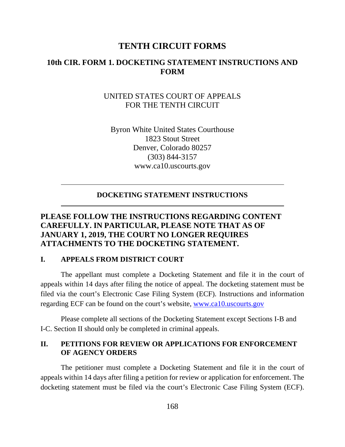## **TENTH CIRCUIT FORMS**

## **10th CIR. FORM 1. DOCKETING STATEMENT INSTRUCTIONS AND FORM**

## UNITED STATES COURT OF APPEALS FOR THE TENTH CIRCUIT

Byron White United States Courthouse 1823 Stout Street Denver, Colorado 80257 (303) 844-3157 www.ca10.uscourts.gov

#### **DOCKETING STATEMENT INSTRUCTIONS**

## **PLEASE FOLLOW THE INSTRUCTIONS REGARDING CONTENT CAREFULLY. IN PARTICULAR, PLEASE NOTE THAT AS OF JANUARY 1, 2019, THE COURT NO LONGER REQUIRES ATTACHMENTS TO THE DOCKETING STATEMENT.**

#### **I. APPEALS FROM DISTRICT COURT**

The appellant must complete a Docketing Statement and file it in the court of appeals within 14 days after filing the notice of appeal. The docketing statement must be filed via the court's Electronic Case Filing System (ECF). Instructions and information regarding ECF can be found on the court's website, [www.ca10.uscourts.gov](http://www.ca10.uscourts.gov/)

Please complete all sections of the Docketing Statement except Sections I-B and I-C. Section II should only be completed in criminal appeals.

### **II. PETITIONS FOR REVIEW OR APPLICATIONS FOR ENFORCEMENT OF AGENCY ORDERS**

The petitioner must complete a Docketing Statement and file it in the court of appeals within 14 days after filing a petition for review or application for enforcement. The docketing statement must be filed via the court's Electronic Case Filing System (ECF).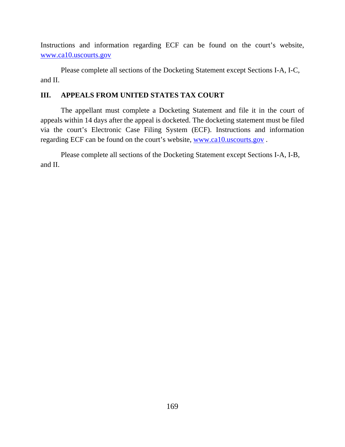Instructions and information regarding ECF can be found on the court's website, [www.ca10.uscourts.gov](http://www.ca10.uscourts.gov/)

Please complete all sections of the Docketing Statement except Sections I-A, I-C, and II.

## **III. APPEALS FROM UNITED STATES TAX COURT**

The appellant must complete a Docketing Statement and file it in the court of appeals within 14 days after the appeal is docketed. The docketing statement must be filed via the court's Electronic Case Filing System (ECF). Instructions and information regarding ECF can be found on the court's website, [www.ca10.uscourts.gov](http://www.ca10.uscourts.gov/) .

Please complete all sections of the Docketing Statement except Sections I-A, I-B, and II.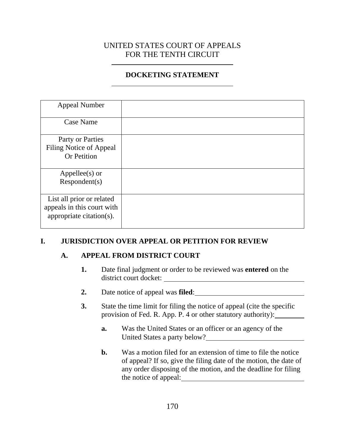## UNITED STATES COURT OF APPEALS FOR THE TENTH CIRCUIT

### **DOCKETING STATEMENT**

| <b>Appeal Number</b>                                                                |  |
|-------------------------------------------------------------------------------------|--|
| Case Name                                                                           |  |
| Party or Parties<br>Filing Notice of Appeal<br><b>Or Petition</b>                   |  |
| $Appellee(s)$ or<br>Respondent(s)                                                   |  |
| List all prior or related<br>appeals in this court with<br>appropriate citation(s). |  |

### **I. JURISDICTION OVER APPEAL OR PETITION FOR REVIEW**

### **A. APPEAL FROM DISTRICT COURT**

- **1.** Date final judgment or order to be reviewed was **entered** on the district court docket:
- **2.** Date notice of appeal was **filed**:
- **3.** State the time limit for filing the notice of appeal (cite the specific provision of Fed. R. App. P. 4 or other statutory authority):
	- **a.** Was the United States or an officer or an agency of the United States a party below?
	- **b.** Was a motion filed for an extension of time to file the notice of appeal? If so, give the filing date of the motion, the date of any order disposing of the motion, and the deadline for filing the notice of appeal: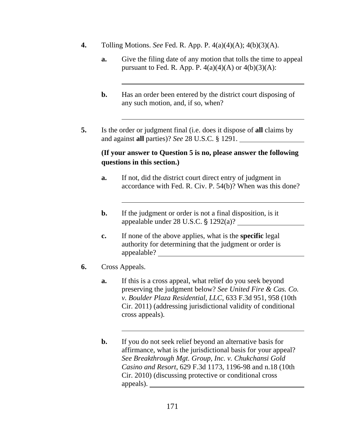- **4.** Tolling Motions. *See* Fed. R. App. P. 4(a)(4)(A); 4(b)(3)(A).
	- **a.** Give the filing date of any motion that tolls the time to appeal pursuant to Fed. R. App. P.  $4(a)(4)(A)$  or  $4(b)(3)(A)$ :
	- **b.** Has an order been entered by the district court disposing of any such motion, and, if so, when?
- **5.** Is the order or judgment final (i.e. does it dispose of **all** claims by and against **all** parties)? *See* 28 U.S.C. § 1291.

### **(If your answer to Question 5 is no, please answer the following questions in this section.)**

- **a.** If not, did the district court direct entry of judgment in accordance with Fed. R. Civ. P. 54(b)? When was this done?
- **b.** If the judgment or order is not a final disposition, is it appealable under  $28 \text{ U.S.C.}$  \$ 1292(a)?
- **c.** If none of the above applies, what is the **specific** legal authority for determining that the judgment or order is appealable?
- **6.** Cross Appeals.
	- **a.** If this is a cross appeal, what relief do you seek beyond preserving the judgment below? *See United Fire & Cas. Co. v. Boulder Plaza Residential, LLC*, 633 F.3d 951, 958 (10th Cir. 2011) (addressing jurisdictional validity of conditional cross appeals).
	- **b.** If you do not seek relief beyond an alternative basis for affirmance, what is the jurisdictional basis for your appeal? *See Breakthrough Mgt. Group, Inc. v. Chukchansi Gold Casino and Resort*, 629 F.3d 1173, 1196-98 and n.18 (10th Cir. 2010) (discussing protective or conditional cross appeals).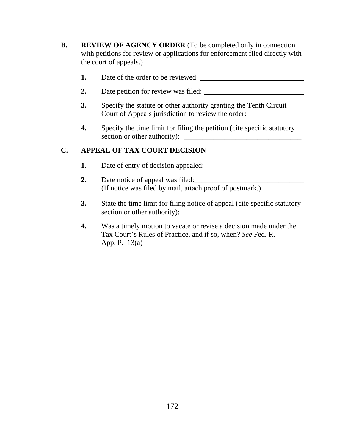- **B. REVIEW OF AGENCY ORDER** (To be completed only in connection with petitions for review or applications for enforcement filed directly with the court of appeals.)
	- **1.** Date of the order to be reviewed:
	- **2.** Date petition for review was filed:
	- **3.** Specify the statute or other authority granting the Tenth Circuit Court of Appeals jurisdiction to review the order:
	- **4.** Specify the time limit for filing the petition (cite specific statutory section or other authority):

### **C. APPEAL OF TAX COURT DECISION**

- **1.** Date of entry of decision appealed:
- 2. Date notice of appeal was filed: (If notice was filed by mail, attach proof of postmark.)
- **3.** State the time limit for filing notice of appeal (cite specific statutory section or other authority):
- **4.** Was a timely motion to vacate or revise a decision made under the Tax Court's Rules of Practice, and if so, when? *See* Fed. R. App. P. 13(a)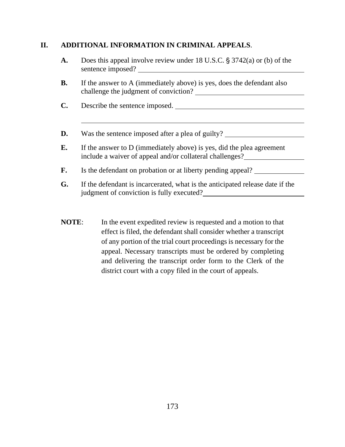### **II. ADDITIONAL INFORMATION IN CRIMINAL APPEALS**.

- **A.** Does this appeal involve review under 18 U.S.C. § 3742(a) or (b) of the sentence imposed?
- **B.** If the answer to A (immediately above) is yes, does the defendant also challenge the judgment of conviction?
- **C.** Describe the sentence imposed.
- **D.** Was the sentence imposed after a plea of guilty?
- **E.** If the answer to D (immediately above) is yes, did the plea agreement include a waiver of appeal and/or collateral challenges?
- **F.** Is the defendant on probation or at liberty pending appeal?
- **G.** If the defendant is incarcerated, what is the anticipated release date if the judgment of conviction is fully executed?
- **NOTE:** In the event expedited review is requested and a motion to that effect is filed, the defendant shall consider whether a transcript of any portion of the trial court proceedings is necessary for the appeal. Necessary transcripts must be ordered by completing and delivering the transcript order form to the Clerk of the district court with a copy filed in the court of appeals.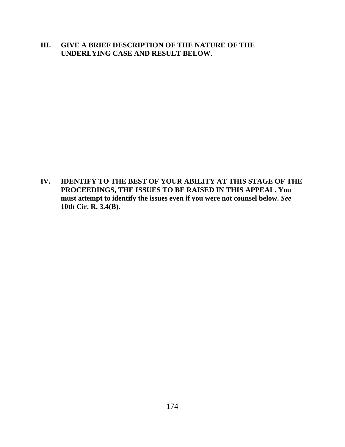### **III. GIVE A BRIEF DESCRIPTION OF THE NATURE OF THE UNDERLYING CASE AND RESULT BELOW**.

**IV. IDENTIFY TO THE BEST OF YOUR ABILITY AT THIS STAGE OF THE PROCEEDINGS, THE ISSUES TO BE RAISED IN THIS APPEAL. You must attempt to identify the issues even if you were not counsel below.** *See* **10th Cir. R. 3.4(B).**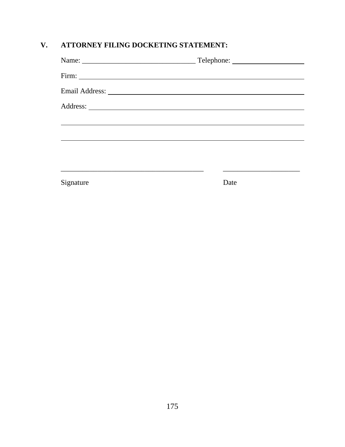## **V. ATTORNEY FILING DOCKETING STATEMENT:**

|           | Telephone: |
|-----------|------------|
|           |            |
|           |            |
|           |            |
|           |            |
|           |            |
|           |            |
|           |            |
| Signature | Date       |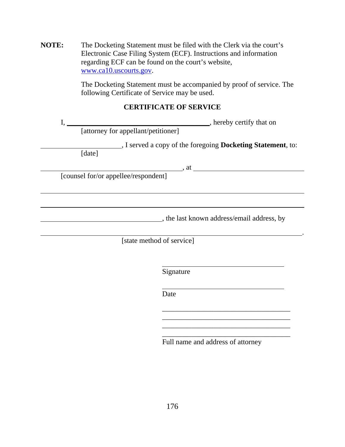| NOTE: | The Docketing Statement must be filed with the Clerk via the court's |
|-------|----------------------------------------------------------------------|
|       | Electronic Case Filing System (ECF). Instructions and information    |
|       | regarding ECF can be found on the court's website,                   |
|       | www.ca10.uscourts.gov.                                               |

The Docketing Statement must be accompanied by proof of service. The following Certificate of Service may be used.

## **CERTIFICATE OF SERVICE**

| I,<br>[attorney for appellant/petitioner] | hereby certify that on                                                     |
|-------------------------------------------|----------------------------------------------------------------------------|
|                                           | I served a copy of the foregoing <b>Docketing Statement</b> , to:          |
| [date]                                    |                                                                            |
|                                           | $\frac{1}{\sqrt{1-\frac{1}{2}}}\,$ , at $\frac{1}{\sqrt{1-\frac{1}{2}}}\,$ |
| [counsel for/or appellee/respondent]      |                                                                            |
|                                           |                                                                            |
|                                           |                                                                            |
|                                           | the last known address/email address, by                                   |
|                                           |                                                                            |
| [state method of service]                 |                                                                            |
|                                           |                                                                            |
|                                           | Signature                                                                  |
|                                           |                                                                            |
|                                           | Date                                                                       |
|                                           |                                                                            |

Full name and address of attorney

\_\_\_\_\_\_\_\_\_\_\_\_\_\_\_\_\_\_\_\_\_\_\_\_\_\_\_\_\_\_\_\_\_\_\_ \_\_\_\_\_\_\_\_\_\_\_\_\_\_\_\_\_\_\_\_\_\_\_\_\_\_\_\_\_\_\_\_\_\_\_ \_\_\_\_\_\_\_\_\_\_\_\_\_\_\_\_\_\_\_\_\_\_\_\_\_\_\_\_\_\_\_\_\_\_\_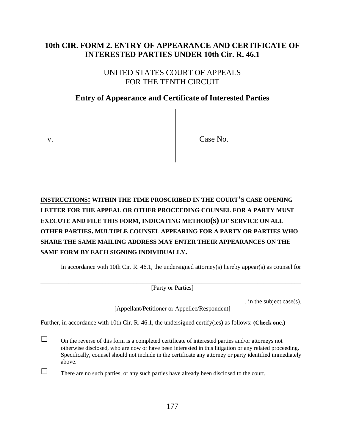## **10th CIR. FORM 2. ENTRY OF APPEARANCE AND CERTIFICATE OF INTERESTED PARTIES UNDER 10th Cir. R. 46.1**

## UNITED STATES COURT OF APPEALS FOR THE TENTH CIRCUIT

## **Entry of Appearance and Certificate of Interested Parties**

v. Case No.

**INSTRUCTIONS: WITHIN THE TIME PROSCRIBED IN THE COURT'S CASE OPENING LETTER FOR THE APPEAL OR OTHER PROCEEDING COUNSEL FOR A PARTY MUST EXECUTE AND FILE THIS FORM, INDICATING METHOD(S) OF SERVICE ON ALL OTHER PARTIES. MULTIPLE COUNSEL APPEARING FOR A PARTY OR PARTIES WHO SHARE THE SAME MAILING ADDRESS MAY ENTER THEIR APPEARANCES ON THE SAME FORM BY EACH SIGNING INDIVIDUALLY.**

In accordance with 10th Cir. R. 46.1, the undersigned attorney(s) hereby appear(s) as counsel for

\_\_\_\_\_\_\_\_\_\_\_\_\_\_\_\_\_\_\_\_\_\_\_\_\_\_\_\_\_\_\_\_\_\_\_\_\_\_\_\_\_\_\_\_\_\_\_\_\_\_\_\_\_\_\_\_\_\_\_\_\_\_\_\_\_\_\_\_\_\_\_\_\_\_\_\_\_\_\_\_\_\_\_\_ [Party or Parties]

 $\mu$ , in the subject case(s).

[Appellant/Petitioner or Appellee/Respondent]

Further, in accordance with 10th Cir. R. 46.1, the undersigned certify(ies) as follows: **(Check one.)**

 $\Box$  On the reverse of this form is a completed certificate of interested parties and/or attorneys not otherwise disclosed, who are now or have been interested in this litigation or any related proceeding. Specifically, counsel should not include in the certificate any attorney or party identified immediately above.

 $\Box$  There are no such parties, or any such parties have already been disclosed to the court.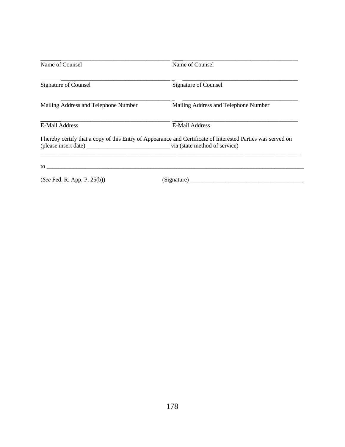| Name of Counsel                                                                                                                                                                                                                                                                                  | Name of Counsel                                                                                              |  |  |
|--------------------------------------------------------------------------------------------------------------------------------------------------------------------------------------------------------------------------------------------------------------------------------------------------|--------------------------------------------------------------------------------------------------------------|--|--|
| <b>Signature of Counsel</b>                                                                                                                                                                                                                                                                      | <b>Signature of Counsel</b>                                                                                  |  |  |
| Mailing Address and Telephone Number                                                                                                                                                                                                                                                             | Mailing Address and Telephone Number                                                                         |  |  |
| <b>E-Mail Address</b>                                                                                                                                                                                                                                                                            | E-Mail Address                                                                                               |  |  |
|                                                                                                                                                                                                                                                                                                  | I hereby certify that a copy of this Entry of Appearance and Certificate of Interested Parties was served on |  |  |
| $\frac{1}{2}$ to $\frac{1}{2}$ to $\frac{1}{2}$ to $\frac{1}{2}$ to $\frac{1}{2}$ to $\frac{1}{2}$ to $\frac{1}{2}$ to $\frac{1}{2}$ to $\frac{1}{2}$ to $\frac{1}{2}$ to $\frac{1}{2}$ to $\frac{1}{2}$ to $\frac{1}{2}$ to $\frac{1}{2}$ to $\frac{1}{2}$ to $\frac{1}{2}$ to $\frac{1}{2}$ to |                                                                                                              |  |  |
| (See Fed. R. App. P. 25(b))                                                                                                                                                                                                                                                                      | (Signature)                                                                                                  |  |  |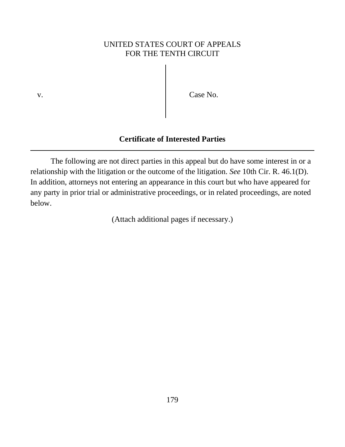### UNITED STATES COURT OF APPEALS FOR THE TENTH CIRCUIT

v. Case No.

# **Certificate of Interested Parties**

The following are not direct parties in this appeal but do have some interest in or a relationship with the litigation or the outcome of the litigation. *See* 10th Cir. R. 46.1(D). In addition, attorneys not entering an appearance in this court but who have appeared for any party in prior trial or administrative proceedings, or in related proceedings, are noted below.

(Attach additional pages if necessary.)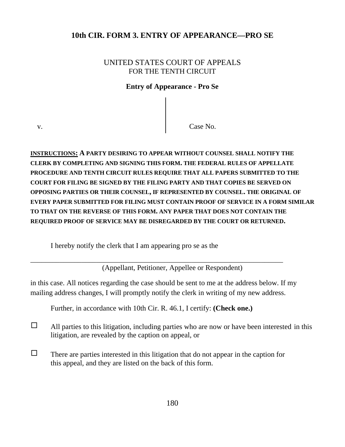## **10th CIR. FORM 3. ENTRY OF APPEARANCE—PRO SE**

### UNITED STATES COURT OF APPEALS FOR THE TENTH CIRCUIT

#### **Entry of Appearance - Pro Se**

v. Case No.

**INSTRUCTIONS: A PARTY DESIRING TO APPEAR WITHOUT COUNSEL SHALL NOTIFY THE CLERK BY COMPLETING AND SIGNING THIS FORM. THE FEDERAL RULES OF APPELLATE PROCEDURE AND TENTH CIRCUIT RULES REQUIRE THAT ALL PAPERS SUBMITTED TO THE COURT FOR FILING BE SIGNED BY THE FILING PARTY AND THAT COPIES BE SERVED ON OPPOSING PARTIES OR THEIR COUNSEL, IF REPRESENTED BY COUNSEL. THE ORIGINAL OF EVERY PAPER SUBMITTED FOR FILING MUST CONTAIN PROOF OF SERVICE IN A FORM SIMILAR TO THAT ON THE REVERSE OF THIS FORM. ANY PAPER THAT DOES NOT CONTAIN THE REQUIRED PROOF OF SERVICE MAY BE DISREGARDED BY THE COURT OR RETURNED.**

I hereby notify the clerk that I am appearing pro se as the

\_\_\_\_\_\_\_\_\_\_\_\_\_\_\_\_\_\_\_\_\_\_\_\_\_\_\_\_\_\_\_\_\_\_\_\_\_\_\_\_\_\_\_\_\_\_\_\_\_\_\_\_\_\_\_\_\_\_\_\_\_\_\_\_\_\_\_\_\_ (Appellant, Petitioner, Appellee or Respondent)

in this case. All notices regarding the case should be sent to me at the address below. If my mailing address changes, I will promptly notify the clerk in writing of my new address.

Further, in accordance with 10th Cir. R. 46.1, I certify: **(Check one.)**

- $\Box$  All parties to this litigation, including parties who are now or have been interested in this litigation, are revealed by the caption on appeal, or
- $\Box$  There are parties interested in this litigation that do not appear in the caption for this appeal, and they are listed on the back of this form.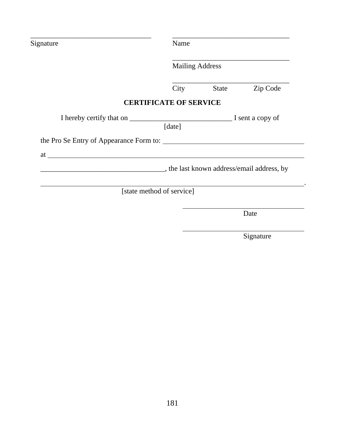| Name<br><b>Mailing Address</b> |                                     |                                                              |
|--------------------------------|-------------------------------------|--------------------------------------------------------------|
|                                |                                     |                                                              |
|                                |                                     |                                                              |
|                                |                                     |                                                              |
|                                |                                     |                                                              |
|                                |                                     |                                                              |
|                                |                                     |                                                              |
|                                |                                     |                                                              |
|                                | [date]<br>[state method of service] | <b>CERTIFICATE OF SERVICE</b><br>at $\overline{\phantom{a}}$ |

Date

Signature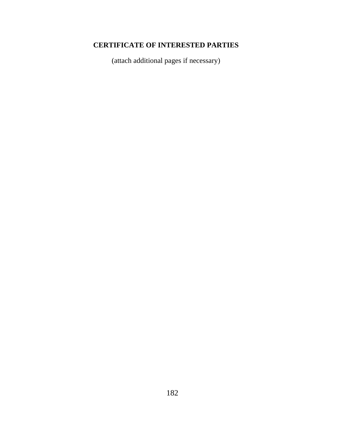## **CERTIFICATE OF INTERESTED PARTIES**

(attach additional pages if necessary)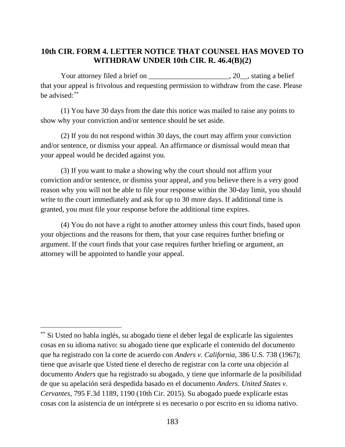## **10th CIR. FORM 4. LETTER NOTICE THAT COUNSEL HAS MOVED TO WITHDRAW UNDER 10th CIR. R. 46.4(B)(2)**

Your attorney filed a brief on  $\qquad \qquad$ , 20, stating a belief that your appeal is frivolous and requesting permission to withdraw from the case. Please be advised: [\\*\\*](#page-193-0)

(1) You have 30 days from the date this notice was mailed to raise any points to show why your conviction and/or sentence should be set aside.

(2) If you do not respond within 30 days, the court may affirm your conviction and/or sentence, or dismiss your appeal. An affirmance or dismissal would mean that your appeal would be decided against you.

(3) If you want to make a showing why the court should not affirm your conviction and/or sentence, or dismiss your appeal, and you believe there is a very good reason why you will not be able to file your response within the 30-day limit, you should write to the court immediately and ask for up to 30 more days. If additional time is granted, you must file your response before the additional time expires.

(4) You do not have a right to another attorney unless this court finds, based upon your objections and the reasons for them, that your case requires further briefing or argument. If the court finds that your case requires further briefing or argument, an attorney will be appointed to handle your appeal.

<span id="page-193-0"></span><sup>\*\*</sup> Si Usted no habla inglés, su abogado tiene el deber legal de explicarle las siguientes cosas en su idioma nativo: su abogado tiene que explicarle el contenido del documento que ha registrado con la corte de acuerdo con *Anders v. California*, 386 U.S. 738 (1967); tiene que avisarle que Usted tiene el derecho de registrar con la corte una objeción al documento *Anders* que ha registrado su abogado, y tiene que informarle de la posibilidad de que su apelación será despedida basado en el documento *Anders*. *United States v. Cervantes*, 795 F.3d 1189, 1190 (10th Cir. 2015). Su abogado puede explicarle estas cosas con la asistencia de un intérprete si es necesario o por escrito en su idioma nativo.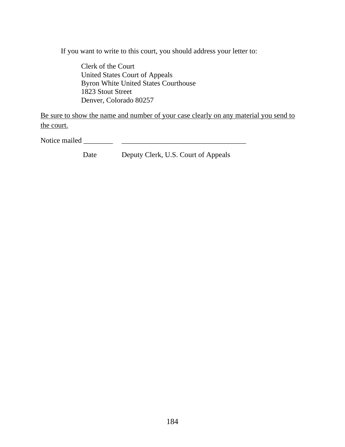If you want to write to this court, you should address your letter to:

Clerk of the Court United States Court of Appeals Byron White United States Courthouse 1823 Stout Street Denver, Colorado 80257

Be sure to show the name and number of your case clearly on any material you send to the court.

Notice mailed \_\_\_\_\_\_\_\_ \_\_\_\_\_\_\_\_\_\_\_\_\_\_\_\_\_\_\_\_\_\_\_\_\_\_\_\_\_\_\_\_\_\_

Date Deputy Clerk, U.S. Court of Appeals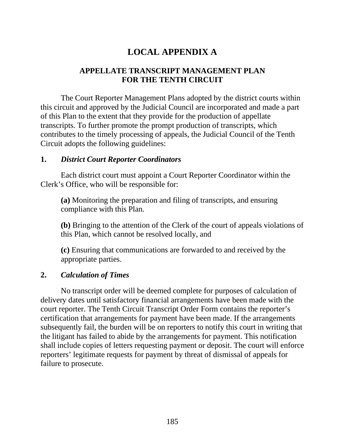# **LOCAL APPENDIX A**

## **APPELLATE TRANSCRIPT MANAGEMENT PLAN FOR THE TENTH CIRCUIT**

The Court Reporter Management Plans adopted by the district courts within this circuit and approved by the Judicial Council are incorporated and made a part of this Plan to the extent that they provide for the production of appellate transcripts. To further promote the prompt production of transcripts, which contributes to the timely processing of appeals, the Judicial Council of the Tenth Circuit adopts the following guidelines:

### **1.** *District Court Reporter Coordinators*

Each district court must appoint a Court Reporter Coordinator within the Clerk's Office, who will be responsible for:

**(a)** Monitoring the preparation and filing of transcripts, and ensuring compliance with this Plan.

**(b)** Bringing to the attention of the Clerk of the court of appeals violations of this Plan, which cannot be resolved locally, and

**(c)** Ensuring that communications are forwarded to and received by the appropriate parties.

### **2.** *Calculation of Times*

No transcript order will be deemed complete for purposes of calculation of delivery dates until satisfactory financial arrangements have been made with the court reporter. The Tenth Circuit Transcript Order Form contains the reporter's certification that arrangements for payment have been made. If the arrangements subsequently fail, the burden will be on reporters to notify this court in writing that the litigant has failed to abide by the arrangements for payment. This notification shall include copies of letters requesting payment or deposit. The court will enforce reporters' legitimate requests for payment by threat of dismissal of appeals for failure to prosecute.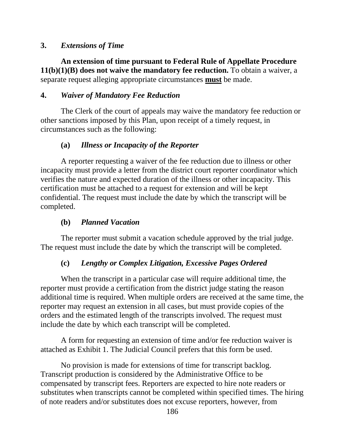### **3.** *Extensions of Time*

**An extension of time pursuant to Federal Rule of Appellate Procedure 11(b)(1)(B) does not waive the mandatory fee reduction.** To obtain a waiver, a separate request alleging appropriate circumstances **must** be made.

### **4.** *Waiver of Mandatory Fee Reduction*

The Clerk of the court of appeals may waive the mandatory fee reduction or other sanctions imposed by this Plan, upon receipt of a timely request, in circumstances such as the following:

## **(a)** *Illness or Incapacity of the Reporter*

A reporter requesting a waiver of the fee reduction due to illness or other incapacity must provide a letter from the district court reporter coordinator which verifies the nature and expected duration of the illness or other incapacity. This certification must be attached to a request for extension and will be kept confidential. The request must include the date by which the transcript will be completed.

### **(b)** *Planned Vacation*

The reporter must submit a vacation schedule approved by the trial judge. The request must include the date by which the transcript will be completed.

## **(c)** *Lengthy or Complex Litigation, Excessive Pages Ordered*

When the transcript in a particular case will require additional time, the reporter must provide a certification from the district judge stating the reason additional time is required. When multiple orders are received at the same time, the reporter may request an extension in all cases, but must provide copies of the orders and the estimated length of the transcripts involved. The request must include the date by which each transcript will be completed.

A form for requesting an extension of time and/or fee reduction waiver is attached as Exhibit 1. The Judicial Council prefers that this form be used.

No provision is made for extensions of time for transcript backlog. Transcript production is considered by the Administrative Office to be compensated by transcript fees. Reporters are expected to hire note readers or substitutes when transcripts cannot be completed within specified times. The hiring of note readers and/or substitutes does not excuse reporters, however, from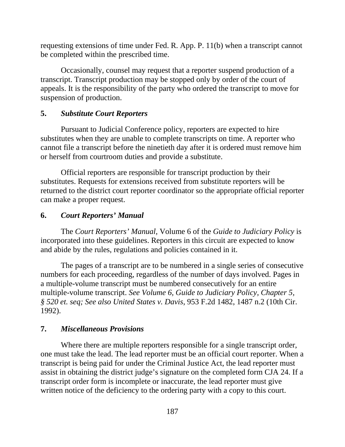requesting extensions of time under Fed. R. App. P. 11(b) when a transcript cannot be completed within the prescribed time.

Occasionally, counsel may request that a reporter suspend production of a transcript. Transcript production may be stopped only by order of the court of appeals. It is the responsibility of the party who ordered the transcript to move for suspension of production.

#### **5.** *Substitute Court Reporters*

Pursuant to Judicial Conference policy, reporters are expected to hire substitutes when they are unable to complete transcripts on time. A reporter who cannot file a transcript before the ninetieth day after it is ordered must remove him or herself from courtroom duties and provide a substitute.

Official reporters are responsible for transcript production by their substitutes. Requests for extensions received from substitute reporters will be returned to the district court reporter coordinator so the appropriate official reporter can make a proper request.

### **6.** *Court Reporters' Manual*

The *Court Reporters' Manual*, Volume 6 of the *Guide to Judiciary Policy* is incorporated into these guidelines. Reporters in this circuit are expected to know and abide by the rules, regulations and policies contained in it.

The pages of a transcript are to be numbered in a single series of consecutive numbers for each proceeding, regardless of the number of days involved. Pages in a multiple-volume transcript must be numbered consecutively for an entire multiple-volume transcript. *See Volume 6, Guide to Judiciary Policy, Chapter 5, § 520 et. seq; See also United States v. Davis*, 953 F.2d 1482, 1487 n.2 (10th Cir. 1992).

#### **7.** *Miscellaneous Provisions*

Where there are multiple reporters responsible for a single transcript order, one must take the lead. The lead reporter must be an official court reporter. When a transcript is being paid for under the Criminal Justice Act, the lead reporter must assist in obtaining the district judge's signature on the completed form CJA 24. If a transcript order form is incomplete or inaccurate, the lead reporter must give written notice of the deficiency to the ordering party with a copy to this court.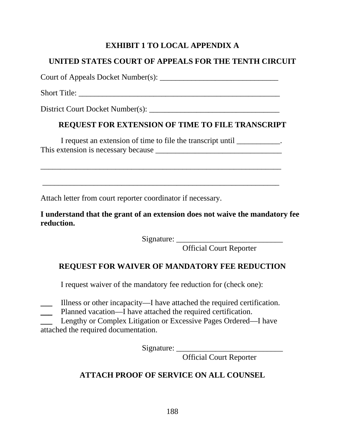## **EXHIBIT 1 TO LOCAL APPENDIX A**

## **UNITED STATES COURT OF APPEALS FOR THE TENTH CIRCUIT**

Court of Appeals Docket Number(s):

Short Title:

District Court Docket Number(s):

## **REQUEST FOR EXTENSION OF TIME TO FILE TRANSCRIPT**

I request an extension of time to file the transcript until \_\_\_\_\_\_\_\_\_\_\_. This extension is necessary because \_\_\_\_\_\_\_\_\_\_\_\_\_\_\_\_\_\_\_\_\_\_\_\_\_\_\_\_\_\_\_\_

\_\_\_\_\_\_\_\_\_\_\_\_\_\_\_\_\_\_\_\_\_\_\_\_\_\_\_\_\_\_\_\_\_\_\_\_\_\_\_\_\_\_\_\_\_\_\_\_\_\_\_\_\_\_\_\_\_\_\_\_\_

\_\_\_\_\_\_\_\_\_\_\_\_\_\_\_\_\_\_\_\_\_\_\_\_\_\_\_\_\_\_\_\_\_\_\_\_\_\_\_\_\_\_\_\_\_\_\_\_\_\_\_\_\_\_\_\_\_\_\_\_

Attach letter from court reporter coordinator if necessary.

**I understand that the grant of an extension does not waive the mandatory fee reduction.**

Signature: \_\_\_\_\_\_\_\_\_\_\_\_\_\_\_\_\_\_\_\_\_\_\_\_\_\_\_

Official Court Reporter

## **REQUEST FOR WAIVER OF MANDATORY FEE REDUCTION**

I request waiver of the mandatory fee reduction for (check one):

Illness or other incapacity—I have attached the required certification.

Planned vacation—I have attached the required certification.

Lengthy or Complex Litigation or Excessive Pages Ordered—I have attached the required documentation.

Signature: \_\_\_\_\_\_\_\_\_\_\_\_\_\_\_\_\_\_\_\_\_\_\_\_\_\_\_

Official Court Reporter

# **ATTACH PROOF OF SERVICE ON ALL COUNSEL**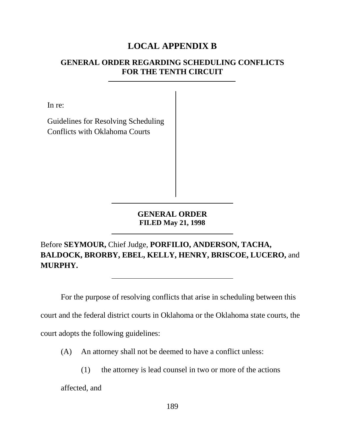# **LOCAL APPENDIX B**

## **GENERAL ORDER REGARDING SCHEDULING CONFLICTS FOR THE TENTH CIRCUIT**

In re:

Guidelines for Resolving Scheduling Conflicts with Oklahoma Courts

## **GENERAL ORDER FILED May 21, 1998**

# Before **SEYMOUR,** Chief Judge, **PORFILIO, ANDERSON, TACHA, BALDOCK, BRORBY, EBEL, KELLY, HENRY, BRISCOE, LUCERO,** and **MURPHY.**

For the purpose of resolving conflicts that arise in scheduling between this

court and the federal district courts in Oklahoma or the Oklahoma state courts, the

court adopts the following guidelines:

(A) An attorney shall not be deemed to have a conflict unless:

(1) the attorney is lead counsel in two or more of the actions

affected, and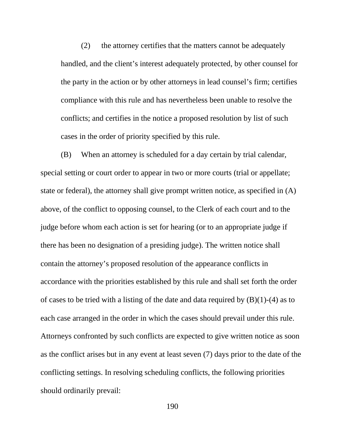(2) the attorney certifies that the matters cannot be adequately handled, and the client's interest adequately protected, by other counsel for the party in the action or by other attorneys in lead counsel's firm; certifies compliance with this rule and has nevertheless been unable to resolve the conflicts; and certifies in the notice a proposed resolution by list of such cases in the order of priority specified by this rule.

(B) When an attorney is scheduled for a day certain by trial calendar, special setting or court order to appear in two or more courts (trial or appellate; state or federal), the attorney shall give prompt written notice, as specified in (A) above, of the conflict to opposing counsel, to the Clerk of each court and to the judge before whom each action is set for hearing (or to an appropriate judge if there has been no designation of a presiding judge). The written notice shall contain the attorney's proposed resolution of the appearance conflicts in accordance with the priorities established by this rule and shall set forth the order of cases to be tried with a listing of the date and data required by  $(B)(1)-(4)$  as to each case arranged in the order in which the cases should prevail under this rule. Attorneys confronted by such conflicts are expected to give written notice as soon as the conflict arises but in any event at least seven (7) days prior to the date of the conflicting settings. In resolving scheduling conflicts, the following priorities should ordinarily prevail: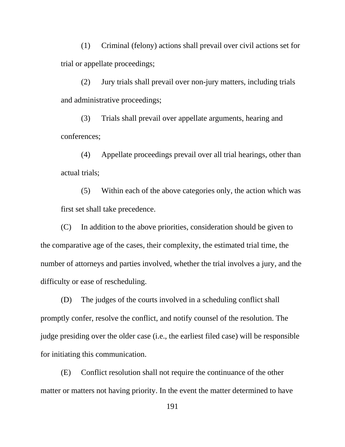(1) Criminal (felony) actions shall prevail over civil actions set for trial or appellate proceedings;

(2) Jury trials shall prevail over non-jury matters, including trials and administrative proceedings;

(3) Trials shall prevail over appellate arguments, hearing and conferences;

(4) Appellate proceedings prevail over all trial hearings, other than actual trials;

(5) Within each of the above categories only, the action which was first set shall take precedence.

(C) In addition to the above priorities, consideration should be given to the comparative age of the cases, their complexity, the estimated trial time, the number of attorneys and parties involved, whether the trial involves a jury, and the difficulty or ease of rescheduling.

(D) The judges of the courts involved in a scheduling conflict shall promptly confer, resolve the conflict, and notify counsel of the resolution. The judge presiding over the older case (i.e., the earliest filed case) will be responsible for initiating this communication.

(E) Conflict resolution shall not require the continuance of the other matter or matters not having priority. In the event the matter determined to have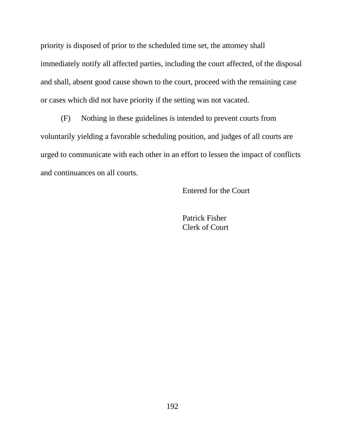priority is disposed of prior to the scheduled time set, the attorney shall immediately notify all affected parties, including the court affected, of the disposal and shall, absent good cause shown to the court, proceed with the remaining case or cases which did not have priority if the setting was not vacated.

(F) Nothing in these guidelines is intended to prevent courts from voluntarily yielding a favorable scheduling position, and judges of all courts are urged to communicate with each other in an effort to lessen the impact of conflicts and continuances on all courts.

Entered for the Court

Patrick Fisher Clerk of Court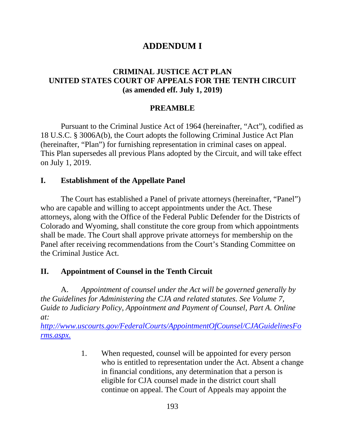# **ADDENDUM I**

## **CRIMINAL JUSTICE ACT PLAN UNITED STATES COURT OF APPEALS FOR THE TENTH CIRCUIT (as amended eff. July 1, 2019)**

## **PREAMBLE**

Pursuant to the Criminal Justice Act of 1964 (hereinafter, "Act"), codified as 18 U.S.C. § 3006A(b), the Court adopts the following Criminal Justice Act Plan (hereinafter, "Plan") for furnishing representation in criminal cases on appeal. This Plan supersedes all previous Plans adopted by the Circuit, and will take effect on July 1, 2019.

## **I. Establishment of the Appellate Panel**

The Court has established a Panel of private attorneys (hereinafter, "Panel") who are capable and willing to accept appointments under the Act. These attorneys, along with the Office of the Federal Public Defender for the Districts of Colorado and Wyoming, shall constitute the core group from which appointments shall be made. The Court shall approve private attorneys for membership on the Panel after receiving recommendations from the Court's Standing Committee on the Criminal Justice Act.

## **II. Appointment of Counsel in the Tenth Circuit**

A. *Appointment of counsel under the Act will be governed generally by the Guidelines for Administering the CJA and related statutes. See Volume 7, Guide to Judiciary Policy, Appointment and Payment of Counsel, Part A. Online at:* 

*[http://www.uscourts.gov/FederalCourts/AppointmentOfCounsel/CJAGuidelinesFo](http://www.uscourts.gov/FederalCourts/AppointmentOfCounsel/CJAGuidelinesForms.aspx) [rms.aspx.](http://www.uscourts.gov/FederalCourts/AppointmentOfCounsel/CJAGuidelinesForms.aspx)*

> 1. When requested, counsel will be appointed for every person who is entitled to representation under the Act. Absent a change in financial conditions, any determination that a person is eligible for CJA counsel made in the district court shall continue on appeal. The Court of Appeals may appoint the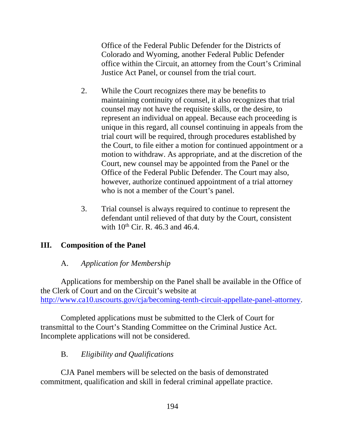Office of the Federal Public Defender for the Districts of Colorado and Wyoming, another Federal Public Defender office within the Circuit, an attorney from the Court's Criminal Justice Act Panel, or counsel from the trial court.

- 2. While the Court recognizes there may be benefits to maintaining continuity of counsel, it also recognizes that trial counsel may not have the requisite skills, or the desire, to represent an individual on appeal. Because each proceeding is unique in this regard, all counsel continuing in appeals from the trial court will be required, through procedures established by the Court, to file either a motion for continued appointment or a motion to withdraw. As appropriate, and at the discretion of the Court, new counsel may be appointed from the Panel or the Office of the Federal Public Defender. The Court may also, however, authorize continued appointment of a trial attorney who is not a member of the Court's panel.
- 3. Trial counsel is always required to continue to represent the defendant until relieved of that duty by the Court, consistent with  $10^{th}$  Cir. R. 46.3 and 46.4.

## **III. Composition of the Panel**

## A. *Application for Membership*

Applications for membership on the Panel shall be available in the Office of the Clerk of Court and on the Circuit's website at [http://www.ca10.uscourts.gov/cja/becoming-tenth-circuit-appellate-panel-attorney.](http://www.ca10.uscourts.gov/cja/becoming-tenth-circuit-appellate-panel-attorney)

Completed applications must be submitted to the Clerk of Court for transmittal to the Court's Standing Committee on the Criminal Justice Act. Incomplete applications will not be considered.

## B. *Eligibility and Qualifications*

CJA Panel members will be selected on the basis of demonstrated commitment, qualification and skill in federal criminal appellate practice.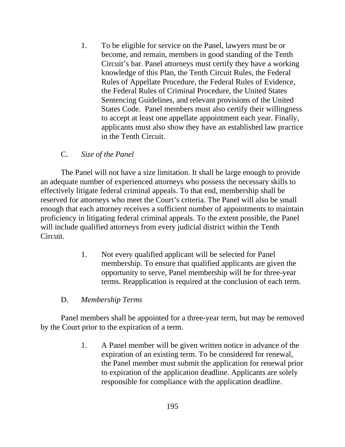1. To be eligible for service on the Panel, lawyers must be or become, and remain, members in good standing of the Tenth Circuit's bar. Panel attorneys must certify they have a working knowledge of this Plan, the Tenth Circuit Rules, the Federal Rules of Appellate Procedure, the Federal Rules of Evidence, the Federal Rules of Criminal Procedure, the United States Sentencing Guidelines, and relevant provisions of the United States Code. Panel members must also certify their willingness to accept at least one appellate appointment each year. Finally, applicants must also show they have an established law practice in the Tenth Circuit.

### C. *Size of the Panel*

The Panel will not have a size limitation. It shall be large enough to provide an adequate number of experienced attorneys who possess the necessary skills to effectively litigate federal criminal appeals. To that end, membership shall be reserved for attorneys who meet the Court's criteria. The Panel will also be small enough that each attorney receives a sufficient number of appointments to maintain proficiency in litigating federal criminal appeals. To the extent possible, the Panel will include qualified attorneys from every judicial district within the Tenth Circuit.

> 1. Not every qualified applicant will be selected for Panel membership. To ensure that qualified applicants are given the opportunity to serve, Panel membership will be for three-year terms. Reapplication is required at the conclusion of each term.

### D. *Membership Terms*

Panel members shall be appointed for a three-year term, but may be removed by the Court prior to the expiration of a term.

> 1. A Panel member will be given written notice in advance of the expiration of an existing term. To be considered for renewal, the Panel member must submit the application for renewal prior to expiration of the application deadline. Applicants are solely responsible for compliance with the application deadline.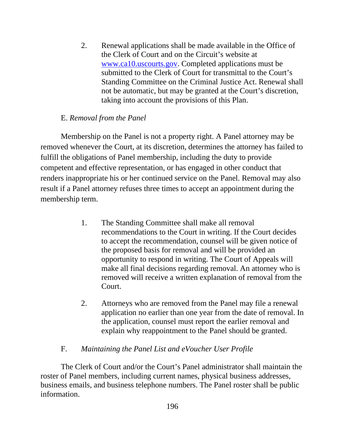2. Renewal applications shall be made available in the Office of the Clerk of Court and on the Circuit's website at [www.ca10.uscourts.gov.](http://www.ca10.uscourts.gov/) Completed applications must be submitted to the Clerk of Court for transmittal to the Court's Standing Committee on the Criminal Justice Act. Renewal shall not be automatic, but may be granted at the Court's discretion, taking into account the provisions of this Plan.

## E. *Removal from the Panel*

Membership on the Panel is not a property right. A Panel attorney may be removed whenever the Court, at its discretion, determines the attorney has failed to fulfill the obligations of Panel membership, including the duty to provide competent and effective representation, or has engaged in other conduct that renders inappropriate his or her continued service on the Panel. Removal may also result if a Panel attorney refuses three times to accept an appointment during the membership term.

- 1. The Standing Committee shall make all removal recommendations to the Court in writing. If the Court decides to accept the recommendation, counsel will be given notice of the proposed basis for removal and will be provided an opportunity to respond in writing. The Court of Appeals will make all final decisions regarding removal. An attorney who is removed will receive a written explanation of removal from the Court.
- 2. Attorneys who are removed from the Panel may file a renewal application no earlier than one year from the date of removal. In the application, counsel must report the earlier removal and explain why reappointment to the Panel should be granted.

## F. *Maintaining the Panel List and eVoucher User Profile*

The Clerk of Court and/or the Court's Panel administrator shall maintain the roster of Panel members, including current names, physical business addresses, business emails, and business telephone numbers. The Panel roster shall be public information.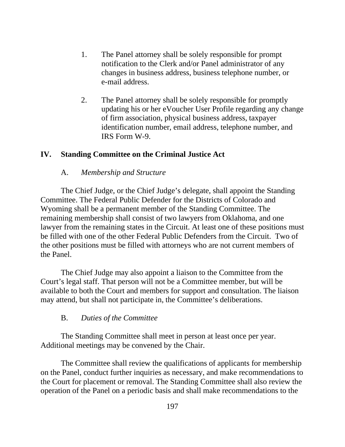- 1. The Panel attorney shall be solely responsible for prompt notification to the Clerk and/or Panel administrator of any changes in business address, business telephone number, or e-mail address.
- 2. The Panel attorney shall be solely responsible for promptly updating his or her eVoucher User Profile regarding any change of firm association, physical business address, taxpayer identification number, email address, telephone number, and IRS Form W-9.

### **IV. Standing Committee on the Criminal Justice Act**

### A. *Membership and Structure*

The Chief Judge, or the Chief Judge's delegate, shall appoint the Standing Committee. The Federal Public Defender for the Districts of Colorado and Wyoming shall be a permanent member of the Standing Committee. The remaining membership shall consist of two lawyers from Oklahoma, and one lawyer from the remaining states in the Circuit. At least one of these positions must be filled with one of the other Federal Public Defenders from the Circuit. Two of the other positions must be filled with attorneys who are not current members of the Panel.

The Chief Judge may also appoint a liaison to the Committee from the Court's legal staff. That person will not be a Committee member, but will be available to both the Court and members for support and consultation. The liaison may attend, but shall not participate in, the Committee's deliberations.

### B. *Duties of the Committee*

The Standing Committee shall meet in person at least once per year. Additional meetings may be convened by the Chair.

The Committee shall review the qualifications of applicants for membership on the Panel, conduct further inquiries as necessary, and make recommendations to the Court for placement or removal. The Standing Committee shall also review the operation of the Panel on a periodic basis and shall make recommendations to the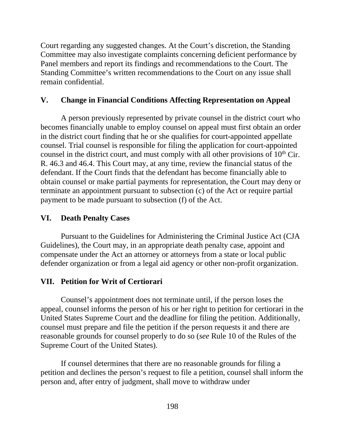Court regarding any suggested changes. At the Court's discretion, the Standing Committee may also investigate complaints concerning deficient performance by Panel members and report its findings and recommendations to the Court. The Standing Committee's written recommendations to the Court on any issue shall remain confidential.

### **V. Change in Financial Conditions Affecting Representation on Appeal**

A person previously represented by private counsel in the district court who becomes financially unable to employ counsel on appeal must first obtain an order in the district court finding that he or she qualifies for court-appointed appellate counsel. Trial counsel is responsible for filing the application for court-appointed counsel in the district court, and must comply with all other provisions of  $10<sup>th</sup>$  Cir. R. 46.3 and 46.4. This Court may, at any time, review the financial status of the defendant. If the Court finds that the defendant has become financially able to obtain counsel or make partial payments for representation, the Court may deny or terminate an appointment pursuant to subsection (c) of the Act or require partial payment to be made pursuant to subsection (f) of the Act.

#### **VI. Death Penalty Cases**

Pursuant to the Guidelines for Administering the Criminal Justice Act (CJA Guidelines), the Court may, in an appropriate death penalty case, appoint and compensate under the Act an attorney or attorneys from a state or local public defender organization or from a legal aid agency or other non-profit organization.

#### **VII. Petition for Writ of Certiorari**

Counsel's appointment does not terminate until, if the person loses the appeal, counsel informs the person of his or her right to petition for certiorari in the United States Supreme Court and the deadline for filing the petition. Additionally, counsel must prepare and file the petition if the person requests it and there are reasonable grounds for counsel properly to do so (*see* Rule 10 of the Rules of the Supreme Court of the United States).

If counsel determines that there are no reasonable grounds for filing a petition and declines the person's request to file a petition, counsel shall inform the person and, after entry of judgment, shall move to withdraw under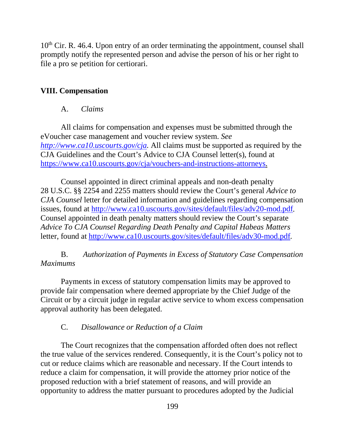$10<sup>th</sup>$  Cir. R. 46.4. Upon entry of an order terminating the appointment, counsel shall promptly notify the represented person and advise the person of his or her right to file a pro se petition for certiorari.

## **VIII. Compensation**

#### A. *Claims*

All claims for compensation and expenses must be submitted through the eVoucher case management and voucher review system. *See [http://www.ca10.uscourts.gov/cja.](http://www.ca10.uscourts.gov/cja)* All claims must be supported as required by the CJA Guidelines and the Court's Advice to CJA Counsel letter(s), found at [https://www.ca10.uscourts.gov/cja/vouchers-and-instructions-attorneys.](https://www.ca10.uscourts.gov/cja/vouchers-and-instructions-attorneys)

Counsel appointed in direct criminal appeals and non-death penalty 28 U.S.C. §§ 2254 and 2255 matters should review the Court's general *Advice to CJA Counsel* letter for detailed information and guidelines regarding compensation issues, found at<http://www.ca10.uscourts.gov/sites/default/files/adv20-mod.pdf>*.* Counsel appointed in death penalty matters should review the Court's separate *Advice To CJA Counsel Regarding Death Penalty and Capital Habeas Matters*  letter, found at<http://www.ca10.uscourts.gov/sites/default/files/adv30-mod.pdf>*.*

## B. *Authorization of Payments in Excess of Statutory Case Compensation Maximums*

Payments in excess of statutory compensation limits may be approved to provide fair compensation where deemed appropriate by the Chief Judge of the Circuit or by a circuit judge in regular active service to whom excess compensation approval authority has been delegated.

#### C. *Disallowance or Reduction of a Claim*

The Court recognizes that the compensation afforded often does not reflect the true value of the services rendered. Consequently, it is the Court's policy not to cut or reduce claims which are reasonable and necessary. If the Court intends to reduce a claim for compensation, it will provide the attorney prior notice of the proposed reduction with a brief statement of reasons, and will provide an opportunity to address the matter pursuant to procedures adopted by the Judicial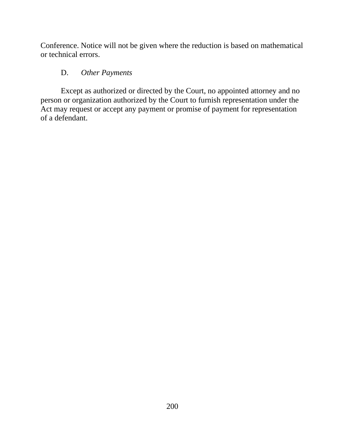Conference. Notice will not be given where the reduction is based on mathematical or technical errors.

## D. *Other Payments*

Except as authorized or directed by the Court, no appointed attorney and no person or organization authorized by the Court to furnish representation under the Act may request or accept any payment or promise of payment for representation of a defendant.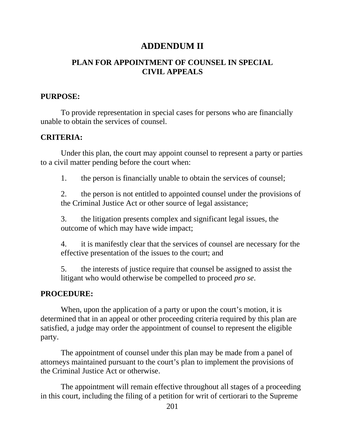## **ADDENDUM II**

## **PLAN FOR APPOINTMENT OF COUNSEL IN SPECIAL CIVIL APPEALS**

## **PURPOSE:**

To provide representation in special cases for persons who are financially unable to obtain the services of counsel.

### **CRITERIA:**

Under this plan, the court may appoint counsel to represent a party or parties to a civil matter pending before the court when:

1. the person is financially unable to obtain the services of counsel;

2. the person is not entitled to appointed counsel under the provisions of the Criminal Justice Act or other source of legal assistance;

3. the litigation presents complex and significant legal issues, the outcome of which may have wide impact;

4. it is manifestly clear that the services of counsel are necessary for the effective presentation of the issues to the court; and

5. the interests of justice require that counsel be assigned to assist the litigant who would otherwise be compelled to proceed *pro se*.

### **PROCEDURE:**

When, upon the application of a party or upon the court's motion, it is determined that in an appeal or other proceeding criteria required by this plan are satisfied, a judge may order the appointment of counsel to represent the eligible party.

The appointment of counsel under this plan may be made from a panel of attorneys maintained pursuant to the court's plan to implement the provisions of the Criminal Justice Act or otherwise.

The appointment will remain effective throughout all stages of a proceeding in this court, including the filing of a petition for writ of certiorari to the Supreme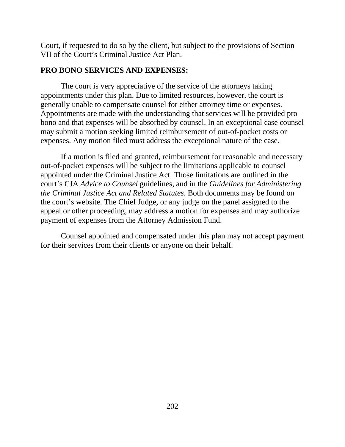Court, if requested to do so by the client, but subject to the provisions of Section VII of the Court's Criminal Justice Act Plan.

#### **PRO BONO SERVICES AND EXPENSES:**

The court is very appreciative of the service of the attorneys taking appointments under this plan. Due to limited resources, however, the court is generally unable to compensate counsel for either attorney time or expenses. Appointments are made with the understanding that services will be provided pro bono and that expenses will be absorbed by counsel. In an exceptional case counsel may submit a motion seeking limited reimbursement of out-of-pocket costs or expenses. Any motion filed must address the exceptional nature of the case.

If a motion is filed and granted, reimbursement for reasonable and necessary out-of-pocket expenses will be subject to the limitations applicable to counsel appointed under the Criminal Justice Act. Those limitations are outlined in the court's CJA *Advice to Counsel* guidelines, and in the *Guidelines for Administering the Criminal Justice Act and Related Statutes*. Both documents may be found on the court's website. The Chief Judge, or any judge on the panel assigned to the appeal or other proceeding, may address a motion for expenses and may authorize payment of expenses from the Attorney Admission Fund.

Counsel appointed and compensated under this plan may not accept payment for their services from their clients or anyone on their behalf.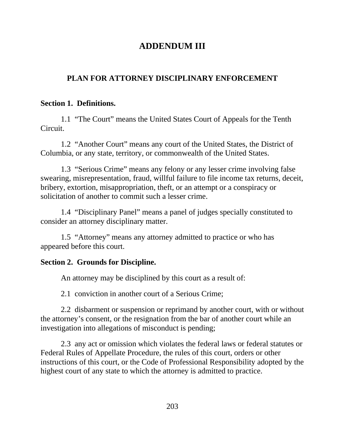# **ADDENDUM III**

## **PLAN FOR ATTORNEY DISCIPLINARY ENFORCEMENT**

## **Section 1. Definitions.**

1.1 "The Court" means the United States Court of Appeals for the Tenth Circuit.

1.2 "Another Court" means any court of the United States, the District of Columbia, or any state, territory, or commonwealth of the United States.

1.3 "Serious Crime" means any felony or any lesser crime involving false swearing, misrepresentation, fraud, willful failure to file income tax returns, deceit, bribery, extortion, misappropriation, theft, or an attempt or a conspiracy or solicitation of another to commit such a lesser crime.

1.4 "Disciplinary Panel" means a panel of judges specially constituted to consider an attorney disciplinary matter.

1.5 "Attorney" means any attorney admitted to practice or who has appeared before this court.

## **Section 2. Grounds for Discipline.**

An attorney may be disciplined by this court as a result of:

2.1 conviction in another court of a Serious Crime;

2.2 disbarment or suspension or reprimand by another court, with or without the attorney's consent, or the resignation from the bar of another court while an investigation into allegations of misconduct is pending;

2.3 any act or omission which violates the federal laws or federal statutes or Federal Rules of Appellate Procedure, the rules of this court, orders or other instructions of this court, or the Code of Professional Responsibility adopted by the highest court of any state to which the attorney is admitted to practice.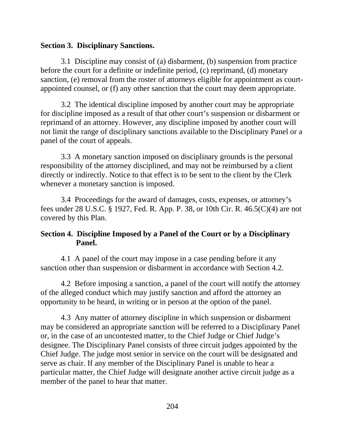### **Section 3. Disciplinary Sanctions.**

3.1 Discipline may consist of (a) disbarment, (b) suspension from practice before the court for a definite or indefinite period, (c) reprimand, (d) monetary sanction, (e) removal from the roster of attorneys eligible for appointment as courtappointed counsel, or (f) any other sanction that the court may deem appropriate.

3.2 The identical discipline imposed by another court may be appropriate for discipline imposed as a result of that other court's suspension or disbarment or reprimand of an attorney. However, any discipline imposed by another court will not limit the range of disciplinary sanctions available to the Disciplinary Panel or a panel of the court of appeals.

3.3 A monetary sanction imposed on disciplinary grounds is the personal responsibility of the attorney disciplined, and may not be reimbursed by a client directly or indirectly. Notice to that effect is to be sent to the client by the Clerk whenever a monetary sanction is imposed.

3.4 Proceedings for the award of damages, costs, expenses, or attorney's fees under 28 U.S.C. § 1927, Fed. R. App. P. 38, or 10th Cir. R. 46.5(C)(4) are not covered by this Plan.

## **Section 4. Discipline Imposed by a Panel of the Court or by a Disciplinary Panel.**

4.1 A panel of the court may impose in a case pending before it any sanction other than suspension or disbarment in accordance with Section 4.2.

4.2 Before imposing a sanction, a panel of the court will notify the attorney of the alleged conduct which may justify sanction and afford the attorney an opportunity to be heard, in writing or in person at the option of the panel.

4.3 Any matter of attorney discipline in which suspension or disbarment may be considered an appropriate sanction will be referred to a Disciplinary Panel or, in the case of an uncontested matter, to the Chief Judge or Chief Judge's designee. The Disciplinary Panel consists of three circuit judges appointed by the Chief Judge. The judge most senior in service on the court will be designated and serve as chair. If any member of the Disciplinary Panel is unable to hear a particular matter, the Chief Judge will designate another active circuit judge as a member of the panel to hear that matter.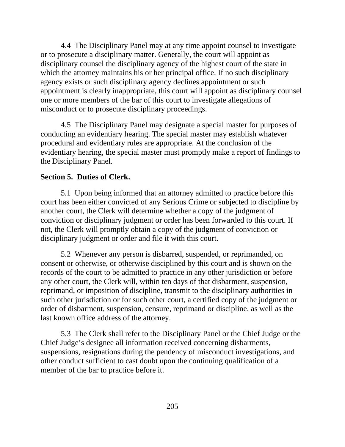4.4 The Disciplinary Panel may at any time appoint counsel to investigate or to prosecute a disciplinary matter. Generally, the court will appoint as disciplinary counsel the disciplinary agency of the highest court of the state in which the attorney maintains his or her principal office. If no such disciplinary agency exists or such disciplinary agency declines appointment or such appointment is clearly inappropriate, this court will appoint as disciplinary counsel one or more members of the bar of this court to investigate allegations of misconduct or to prosecute disciplinary proceedings.

4.5 The Disciplinary Panel may designate a special master for purposes of conducting an evidentiary hearing. The special master may establish whatever procedural and evidentiary rules are appropriate. At the conclusion of the evidentiary hearing, the special master must promptly make a report of findings to the Disciplinary Panel.

### **Section 5. Duties of Clerk.**

5.1 Upon being informed that an attorney admitted to practice before this court has been either convicted of any Serious Crime or subjected to discipline by another court, the Clerk will determine whether a copy of the judgment of conviction or disciplinary judgment or order has been forwarded to this court. If not, the Clerk will promptly obtain a copy of the judgment of conviction or disciplinary judgment or order and file it with this court.

5.2 Whenever any person is disbarred, suspended, or reprimanded, on consent or otherwise, or otherwise disciplined by this court and is shown on the records of the court to be admitted to practice in any other jurisdiction or before any other court, the Clerk will, within ten days of that disbarment, suspension, reprimand, or imposition of discipline, transmit to the disciplinary authorities in such other jurisdiction or for such other court, a certified copy of the judgment or order of disbarment, suspension, censure, reprimand or discipline, as well as the last known office address of the attorney.

5.3 The Clerk shall refer to the Disciplinary Panel or the Chief Judge or the Chief Judge's designee all information received concerning disbarments, suspensions, resignations during the pendency of misconduct investigations, and other conduct sufficient to cast doubt upon the continuing qualification of a member of the bar to practice before it.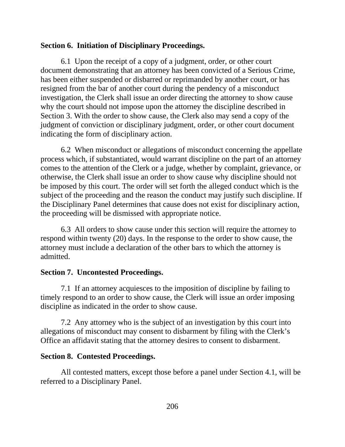## **Section 6. Initiation of Disciplinary Proceedings.**

6.1 Upon the receipt of a copy of a judgment, order, or other court document demonstrating that an attorney has been convicted of a Serious Crime, has been either suspended or disbarred or reprimanded by another court, or has resigned from the bar of another court during the pendency of a misconduct investigation, the Clerk shall issue an order directing the attorney to show cause why the court should not impose upon the attorney the discipline described in Section 3. With the order to show cause, the Clerk also may send a copy of the judgment of conviction or disciplinary judgment, order, or other court document indicating the form of disciplinary action.

6.2 When misconduct or allegations of misconduct concerning the appellate process which, if substantiated, would warrant discipline on the part of an attorney comes to the attention of the Clerk or a judge, whether by complaint, grievance, or otherwise, the Clerk shall issue an order to show cause why discipline should not be imposed by this court. The order will set forth the alleged conduct which is the subject of the proceeding and the reason the conduct may justify such discipline. If the Disciplinary Panel determines that cause does not exist for disciplinary action, the proceeding will be dismissed with appropriate notice.

6.3 All orders to show cause under this section will require the attorney to respond within twenty (20) days. In the response to the order to show cause, the attorney must include a declaration of the other bars to which the attorney is admitted.

# **Section 7. Uncontested Proceedings.**

7.1 If an attorney acquiesces to the imposition of discipline by failing to timely respond to an order to show cause, the Clerk will issue an order imposing discipline as indicated in the order to show cause.

7.2 Any attorney who is the subject of an investigation by this court into allegations of misconduct may consent to disbarment by filing with the Clerk's Office an affidavit stating that the attorney desires to consent to disbarment.

# **Section 8. Contested Proceedings.**

All contested matters, except those before a panel under Section 4.1, will be referred to a Disciplinary Panel.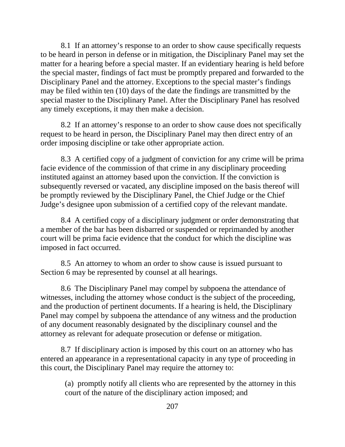8.1 If an attorney's response to an order to show cause specifically requests to be heard in person in defense or in mitigation, the Disciplinary Panel may set the matter for a hearing before a special master. If an evidentiary hearing is held before the special master, findings of fact must be promptly prepared and forwarded to the Disciplinary Panel and the attorney. Exceptions to the special master's findings may be filed within ten (10) days of the date the findings are transmitted by the special master to the Disciplinary Panel. After the Disciplinary Panel has resolved any timely exceptions, it may then make a decision.

8.2 If an attorney's response to an order to show cause does not specifically request to be heard in person, the Disciplinary Panel may then direct entry of an order imposing discipline or take other appropriate action.

8.3 A certified copy of a judgment of conviction for any crime will be prima facie evidence of the commission of that crime in any disciplinary proceeding instituted against an attorney based upon the conviction. If the conviction is subsequently reversed or vacated, any discipline imposed on the basis thereof will be promptly reviewed by the Disciplinary Panel, the Chief Judge or the Chief Judge's designee upon submission of a certified copy of the relevant mandate.

8.4 A certified copy of a disciplinary judgment or order demonstrating that a member of the bar has been disbarred or suspended or reprimanded by another court will be prima facie evidence that the conduct for which the discipline was imposed in fact occurred.

8.5 An attorney to whom an order to show cause is issued pursuant to Section 6 may be represented by counsel at all hearings.

8.6 The Disciplinary Panel may compel by subpoena the attendance of witnesses, including the attorney whose conduct is the subject of the proceeding, and the production of pertinent documents. If a hearing is held, the Disciplinary Panel may compel by subpoena the attendance of any witness and the production of any document reasonably designated by the disciplinary counsel and the attorney as relevant for adequate prosecution or defense or mitigation.

8.7 If disciplinary action is imposed by this court on an attorney who has entered an appearance in a representational capacity in any type of proceeding in this court, the Disciplinary Panel may require the attorney to:

(a) promptly notify all clients who are represented by the attorney in this court of the nature of the disciplinary action imposed; and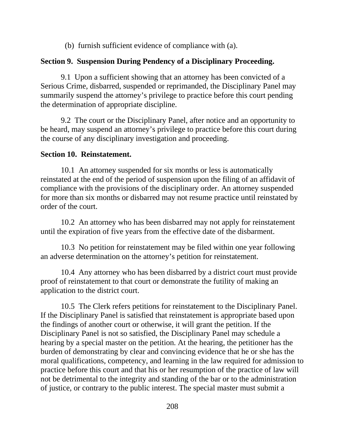(b) furnish sufficient evidence of compliance with (a).

## **Section 9. Suspension During Pendency of a Disciplinary Proceeding.**

9.1 Upon a sufficient showing that an attorney has been convicted of a Serious Crime, disbarred, suspended or reprimanded, the Disciplinary Panel may summarily suspend the attorney's privilege to practice before this court pending the determination of appropriate discipline.

9.2 The court or the Disciplinary Panel, after notice and an opportunity to be heard, may suspend an attorney's privilege to practice before this court during the course of any disciplinary investigation and proceeding.

## **Section 10. Reinstatement.**

10.1 An attorney suspended for six months or less is automatically reinstated at the end of the period of suspension upon the filing of an affidavit of compliance with the provisions of the disciplinary order. An attorney suspended for more than six months or disbarred may not resume practice until reinstated by order of the court.

10.2 An attorney who has been disbarred may not apply for reinstatement until the expiration of five years from the effective date of the disbarment.

10.3 No petition for reinstatement may be filed within one year following an adverse determination on the attorney's petition for reinstatement.

10.4 Any attorney who has been disbarred by a district court must provide proof of reinstatement to that court or demonstrate the futility of making an application to the district court.

10.5 The Clerk refers petitions for reinstatement to the Disciplinary Panel. If the Disciplinary Panel is satisfied that reinstatement is appropriate based upon the findings of another court or otherwise, it will grant the petition. If the Disciplinary Panel is not so satisfied, the Disciplinary Panel may schedule a hearing by a special master on the petition. At the hearing, the petitioner has the burden of demonstrating by clear and convincing evidence that he or she has the moral qualifications, competency, and learning in the law required for admission to practice before this court and that his or her resumption of the practice of law will not be detrimental to the integrity and standing of the bar or to the administration of justice, or contrary to the public interest. The special master must submit a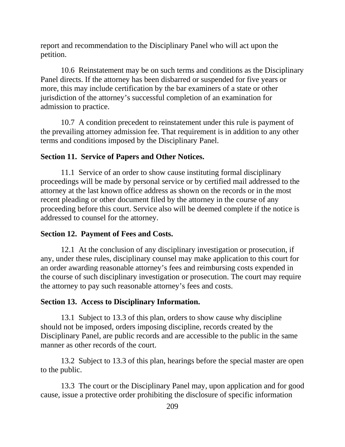report and recommendation to the Disciplinary Panel who will act upon the petition.

10.6 Reinstatement may be on such terms and conditions as the Disciplinary Panel directs. If the attorney has been disbarred or suspended for five years or more, this may include certification by the bar examiners of a state or other jurisdiction of the attorney's successful completion of an examination for admission to practice.

10.7 A condition precedent to reinstatement under this rule is payment of the prevailing attorney admission fee. That requirement is in addition to any other terms and conditions imposed by the Disciplinary Panel.

### **Section 11. Service of Papers and Other Notices.**

11.1 Service of an order to show cause instituting formal disciplinary proceedings will be made by personal service or by certified mail addressed to the attorney at the last known office address as shown on the records or in the most recent pleading or other document filed by the attorney in the course of any proceeding before this court. Service also will be deemed complete if the notice is addressed to counsel for the attorney.

#### **Section 12. Payment of Fees and Costs.**

12.1 At the conclusion of any disciplinary investigation or prosecution, if any, under these rules, disciplinary counsel may make application to this court for an order awarding reasonable attorney's fees and reimbursing costs expended in the course of such disciplinary investigation or prosecution. The court may require the attorney to pay such reasonable attorney's fees and costs.

#### **Section 13. Access to Disciplinary Information.**

13.1 Subject to 13.3 of this plan, orders to show cause why discipline should not be imposed, orders imposing discipline, records created by the Disciplinary Panel, are public records and are accessible to the public in the same manner as other records of the court.

13.2 Subject to 13.3 of this plan, hearings before the special master are open to the public.

13.3 The court or the Disciplinary Panel may, upon application and for good cause, issue a protective order prohibiting the disclosure of specific information